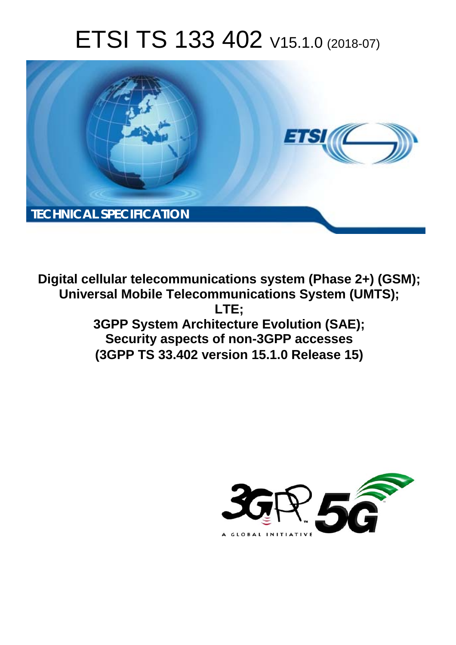# ETSI TS 133 402 V15.1.0 (2018-07)



**Digital cellular telecommunications system (Phase 2+) (GSM); Universal Mobile Telecommunications System (UMTS); LTE; 3GPP System Architecture Evolution (SAE); Security aspects of non-3GPP accesses (3GPP TS 33.402 version 15.1.0 Release 15)** 

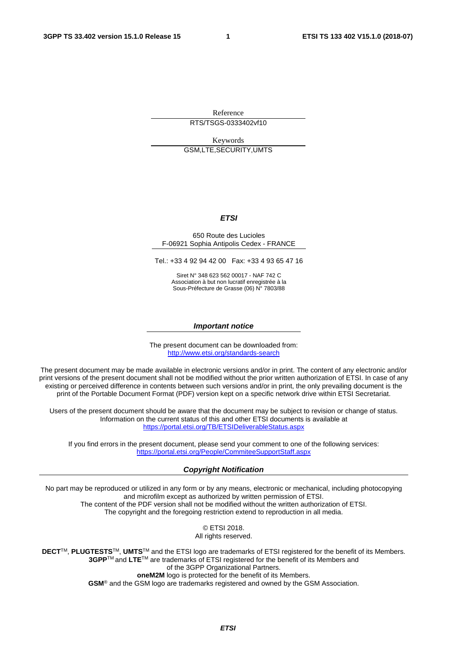Reference

RTS/TSGS-0333402vf10

Keywords GSM,LTE,SECURITY,UMTS

#### *ETSI*

#### 650 Route des Lucioles F-06921 Sophia Antipolis Cedex - FRANCE

Tel.: +33 4 92 94 42 00 Fax: +33 4 93 65 47 16

Siret N° 348 623 562 00017 - NAF 742 C Association à but non lucratif enregistrée à la Sous-Préfecture de Grasse (06) N° 7803/88

#### *Important notice*

The present document can be downloaded from: <http://www.etsi.org/standards-search>

The present document may be made available in electronic versions and/or in print. The content of any electronic and/or print versions of the present document shall not be modified without the prior written authorization of ETSI. In case of any existing or perceived difference in contents between such versions and/or in print, the only prevailing document is the print of the Portable Document Format (PDF) version kept on a specific network drive within ETSI Secretariat.

Users of the present document should be aware that the document may be subject to revision or change of status. Information on the current status of this and other ETSI documents is available at <https://portal.etsi.org/TB/ETSIDeliverableStatus.aspx>

If you find errors in the present document, please send your comment to one of the following services: <https://portal.etsi.org/People/CommiteeSupportStaff.aspx>

#### *Copyright Notification*

No part may be reproduced or utilized in any form or by any means, electronic or mechanical, including photocopying and microfilm except as authorized by written permission of ETSI. The content of the PDF version shall not be modified without the written authorization of ETSI. The copyright and the foregoing restriction extend to reproduction in all media.

> © ETSI 2018. All rights reserved.

**DECT**TM, **PLUGTESTS**TM, **UMTS**TM and the ETSI logo are trademarks of ETSI registered for the benefit of its Members. **3GPP**TM and **LTE**TM are trademarks of ETSI registered for the benefit of its Members and of the 3GPP Organizational Partners. **oneM2M** logo is protected for the benefit of its Members.

**GSM**® and the GSM logo are trademarks registered and owned by the GSM Association.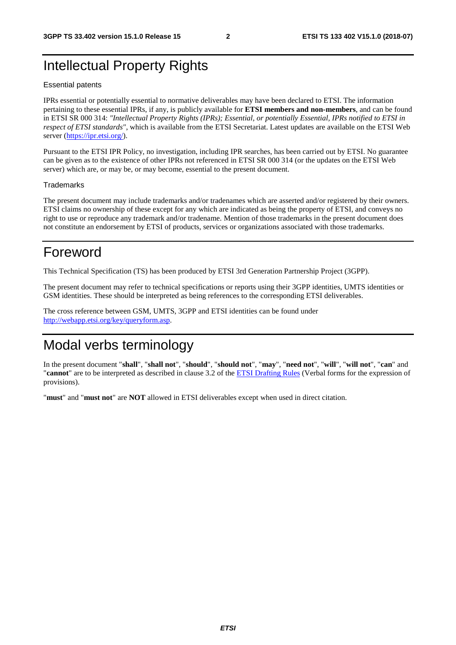## Intellectual Property Rights

#### Essential patents

IPRs essential or potentially essential to normative deliverables may have been declared to ETSI. The information pertaining to these essential IPRs, if any, is publicly available for **ETSI members and non-members**, and can be found in ETSI SR 000 314: *"Intellectual Property Rights (IPRs); Essential, or potentially Essential, IPRs notified to ETSI in respect of ETSI standards"*, which is available from the ETSI Secretariat. Latest updates are available on the ETSI Web server ([https://ipr.etsi.org/\)](https://ipr.etsi.org/).

Pursuant to the ETSI IPR Policy, no investigation, including IPR searches, has been carried out by ETSI. No guarantee can be given as to the existence of other IPRs not referenced in ETSI SR 000 314 (or the updates on the ETSI Web server) which are, or may be, or may become, essential to the present document.

#### **Trademarks**

The present document may include trademarks and/or tradenames which are asserted and/or registered by their owners. ETSI claims no ownership of these except for any which are indicated as being the property of ETSI, and conveys no right to use or reproduce any trademark and/or tradename. Mention of those trademarks in the present document does not constitute an endorsement by ETSI of products, services or organizations associated with those trademarks.

## Foreword

This Technical Specification (TS) has been produced by ETSI 3rd Generation Partnership Project (3GPP).

The present document may refer to technical specifications or reports using their 3GPP identities, UMTS identities or GSM identities. These should be interpreted as being references to the corresponding ETSI deliverables.

The cross reference between GSM, UMTS, 3GPP and ETSI identities can be found under [http://webapp.etsi.org/key/queryform.asp.](http://webapp.etsi.org/key/queryform.asp)

## Modal verbs terminology

In the present document "**shall**", "**shall not**", "**should**", "**should not**", "**may**", "**need not**", "**will**", "**will not**", "**can**" and "**cannot**" are to be interpreted as described in clause 3.2 of the [ETSI Drafting Rules](https://portal.etsi.org/Services/editHelp!/Howtostart/ETSIDraftingRules.aspx) (Verbal forms for the expression of provisions).

"**must**" and "**must not**" are **NOT** allowed in ETSI deliverables except when used in direct citation.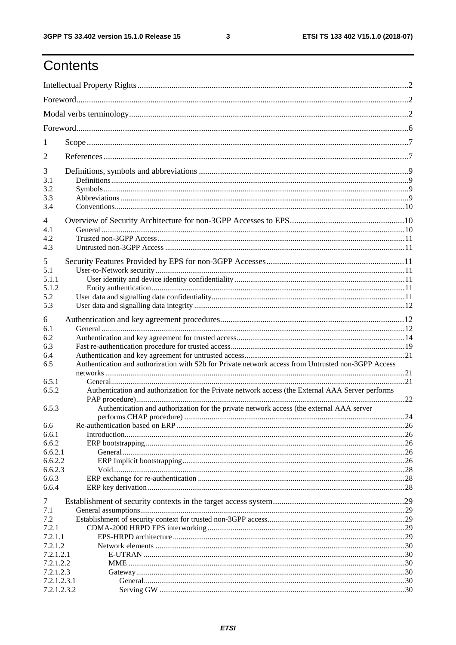ETSI TS 133 402 V15.1.0 (2018-07)

## Contents

| 1                                         |                                                                                                                                                                                               |  |
|-------------------------------------------|-----------------------------------------------------------------------------------------------------------------------------------------------------------------------------------------------|--|
| 2                                         |                                                                                                                                                                                               |  |
| 3<br>3.1<br>3.2<br>3.3<br>3.4             |                                                                                                                                                                                               |  |
| 4<br>4.1<br>4.2<br>4.3                    |                                                                                                                                                                                               |  |
| 5<br>5.1<br>5.1.1<br>5.1.2                |                                                                                                                                                                                               |  |
| 5.2<br>5.3                                |                                                                                                                                                                                               |  |
| 6<br>6.1<br>6.2<br>6.3                    |                                                                                                                                                                                               |  |
| 6.4<br>6.5<br>6.5.1                       | Authentication and authorization with S2b for Private network access from Untrusted non-3GPP Access                                                                                           |  |
| 6.5.2<br>6.5.3                            | Authentication and authorization for the Private network access (the External AAA Server performs<br>Authentication and authorization for the private network access (the external AAA server |  |
|                                           |                                                                                                                                                                                               |  |
| 6.6<br>6.6.1<br>6.6.2                     |                                                                                                                                                                                               |  |
| 6.6.2.1<br>6.6.2.2<br>6.6.2.3<br>6.6.3    |                                                                                                                                                                                               |  |
| 6.6.4<br>7                                |                                                                                                                                                                                               |  |
| 7.1<br>7.2<br>7.2.1<br>7.2.1.1<br>7.2.1.2 |                                                                                                                                                                                               |  |
| 7.2.1.2.1<br>7.2.1.2.2<br>7.2.1.2.3       |                                                                                                                                                                                               |  |
| 7.2.1.2.3.1<br>7.2.1.2.3.2                |                                                                                                                                                                                               |  |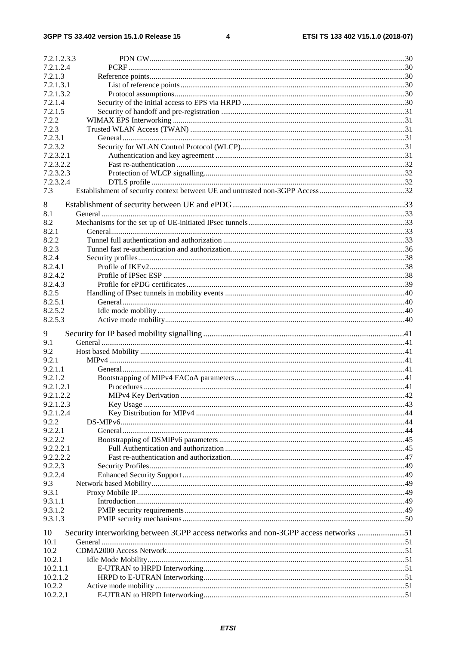| 7.2.1.2.3.3            |                                                                                    |  |
|------------------------|------------------------------------------------------------------------------------|--|
| 7.2.1.2.4              |                                                                                    |  |
| 7.2.1.3                |                                                                                    |  |
| 7.2.1.3.1              |                                                                                    |  |
| 7.2.1.3.2              |                                                                                    |  |
| 7.2.1.4<br>7.2.1.5     |                                                                                    |  |
| 7.2.2                  |                                                                                    |  |
| 7.2.3                  |                                                                                    |  |
| 7.2.3.1                |                                                                                    |  |
| 7.2.3.2                |                                                                                    |  |
| 7.2.3.2.1              |                                                                                    |  |
| 7.2.3.2.2              |                                                                                    |  |
| 7.2.3.2.3              |                                                                                    |  |
| 7.2.3.2.4              |                                                                                    |  |
| 7.3                    |                                                                                    |  |
| 8                      |                                                                                    |  |
| 8.1                    |                                                                                    |  |
| 8.2                    |                                                                                    |  |
| 8.2.1                  |                                                                                    |  |
| 8.2.2                  |                                                                                    |  |
| 8.2.3                  |                                                                                    |  |
| 8.2.4                  |                                                                                    |  |
| 8.2.4.1                |                                                                                    |  |
| 8.2.4.2                |                                                                                    |  |
| 8.2.4.3                |                                                                                    |  |
| 8.2.5                  |                                                                                    |  |
| 8.2.5.1                |                                                                                    |  |
| 8.2.5.2                |                                                                                    |  |
| 8.2.5.3                |                                                                                    |  |
| 9                      |                                                                                    |  |
| 9.1                    |                                                                                    |  |
| 9.2                    |                                                                                    |  |
| 9.2.1                  |                                                                                    |  |
| 9.2.1.1                |                                                                                    |  |
| 9.2.1.2                |                                                                                    |  |
| 9.2.1.2.1<br>9.2.1.2.2 |                                                                                    |  |
| 9.2.1.2.3              |                                                                                    |  |
| 9.2.1.2.4              |                                                                                    |  |
| 9.2.2                  |                                                                                    |  |
| 9.2.2.1                |                                                                                    |  |
| 9.2.2.2                |                                                                                    |  |
| 9.2.2.2.1              |                                                                                    |  |
| 9.2.2.2.2              |                                                                                    |  |
| 9.2.2.3                |                                                                                    |  |
| 9.2.2.4                |                                                                                    |  |
| 9.3                    |                                                                                    |  |
| 9.3.1                  |                                                                                    |  |
| 9.3.1.1                |                                                                                    |  |
| 9.3.1.2                |                                                                                    |  |
| 9.3.1.3                |                                                                                    |  |
| 10                     | Security interworking between 3GPP access networks and non-3GPP access networks 51 |  |
| 10.1                   |                                                                                    |  |
| 10.2                   |                                                                                    |  |
| 10.2.1                 |                                                                                    |  |
| 10.2.1.1               |                                                                                    |  |
| 10.2.1.2               |                                                                                    |  |
|                        |                                                                                    |  |
| 10.2.2<br>10.2.2.1     |                                                                                    |  |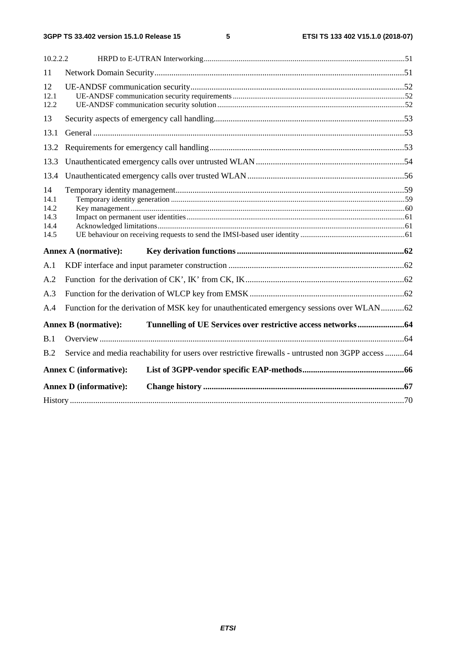| 10.2.2.2                                   |                                                                                                    |  |
|--------------------------------------------|----------------------------------------------------------------------------------------------------|--|
| 11                                         |                                                                                                    |  |
| 12<br>12.1<br>12.2                         |                                                                                                    |  |
| 13                                         |                                                                                                    |  |
| 13.1                                       |                                                                                                    |  |
| 13.2                                       |                                                                                                    |  |
| 13.3                                       |                                                                                                    |  |
| 13.4                                       |                                                                                                    |  |
| 14<br>14.1<br>14.2<br>14.3<br>14.4<br>14.5 |                                                                                                    |  |
|                                            | <b>Annex A (normative):</b>                                                                        |  |
| A.1                                        |                                                                                                    |  |
| A.2                                        |                                                                                                    |  |
| A.3                                        |                                                                                                    |  |
| A.4                                        | Function for the derivation of MSK key for unauthenticated emergency sessions over WLAN62          |  |
|                                            | <b>Annex B</b> (normative):                                                                        |  |
| B.1                                        |                                                                                                    |  |
| B.2                                        | Service and media reachability for users over restrictive firewalls - untrusted non 3GPP access 64 |  |
|                                            | <b>Annex C</b> (informative):                                                                      |  |
|                                            | <b>Annex D</b> (informative):                                                                      |  |
|                                            |                                                                                                    |  |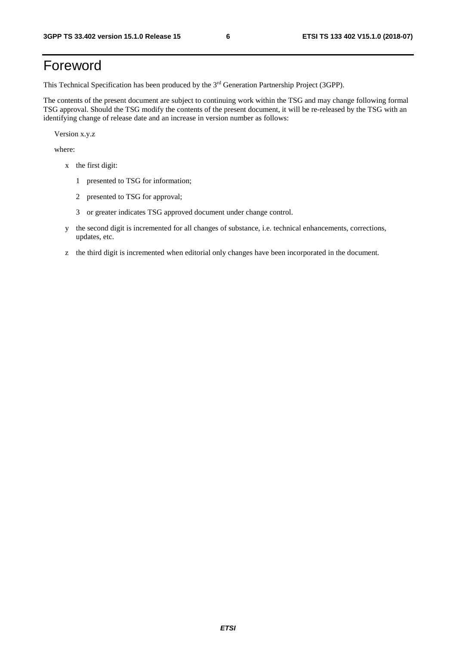## Foreword

This Technical Specification has been produced by the 3rd Generation Partnership Project (3GPP).

The contents of the present document are subject to continuing work within the TSG and may change following formal TSG approval. Should the TSG modify the contents of the present document, it will be re-released by the TSG with an identifying change of release date and an increase in version number as follows:

Version x.y.z

where:

- x the first digit:
	- 1 presented to TSG for information;
	- 2 presented to TSG for approval;
	- 3 or greater indicates TSG approved document under change control.
- y the second digit is incremented for all changes of substance, i.e. technical enhancements, corrections, updates, etc.
- z the third digit is incremented when editorial only changes have been incorporated in the document.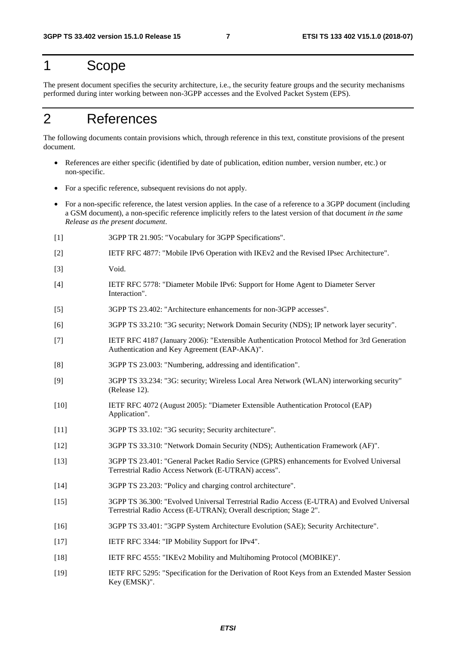## 1 Scope

The present document specifies the security architecture, i.e., the security feature groups and the security mechanisms performed during inter working between non-3GPP accesses and the Evolved Packet System (EPS).

## 2 References

The following documents contain provisions which, through reference in this text, constitute provisions of the present document.

- References are either specific (identified by date of publication, edition number, version number, etc.) or non-specific.
- For a specific reference, subsequent revisions do not apply.
- For a non-specific reference, the latest version applies. In the case of a reference to a 3GPP document (including a GSM document), a non-specific reference implicitly refers to the latest version of that document *in the same Release as the present document*.
- [1] 3GPP TR 21.905: "Vocabulary for 3GPP Specifications".
- [2] IETF RFC 4877: "Mobile IPv6 Operation with IKEv2 and the Revised IPsec Architecture".
- [3] Void.
- [4] IETF RFC 5778: "Diameter Mobile IPv6: Support for Home Agent to Diameter Server Interaction".
- [5] 3GPP TS 23.402: "Architecture enhancements for non-3GPP accesses".
- [6] 3GPP TS 33.210: "3G security; Network Domain Security (NDS); IP network layer security".
- [7] IETF RFC 4187 (January 2006): "Extensible Authentication Protocol Method for 3rd Generation Authentication and Key Agreement (EAP-AKA)".
- [8] 3GPP TS 23.003: "Numbering, addressing and identification".
- [9] 3GPP TS 33.234: "3G: security; Wireless Local Area Network (WLAN) interworking security" (Release 12).
- [10] IETF RFC 4072 (August 2005): "Diameter Extensible Authentication Protocol (EAP) Application".
- [11] 3GPP TS 33.102: "3G security; Security architecture".
- [12] 3GPP TS 33.310: "Network Domain Security (NDS); Authentication Framework (AF)".
- [13] 3GPP TS 23.401: "General Packet Radio Service (GPRS) enhancements for Evolved Universal Terrestrial Radio Access Network (E-UTRAN) access".
- [14] 3GPP TS 23.203: "Policy and charging control architecture".
- [15] 3GPP TS 36.300: "Evolved Universal Terrestrial Radio Access (E-UTRA) and Evolved Universal Terrestrial Radio Access (E-UTRAN); Overall description; Stage 2".
- [16] 3GPP TS 33.401: "3GPP System Architecture Evolution (SAE); Security Architecture".
- [17] IETF RFC 3344: "IP Mobility Support for IPv4".
- [18] IETF RFC 4555: "IKEv2 Mobility and Multihoming Protocol (MOBIKE)".
- [19] IETF RFC 5295: "Specification for the Derivation of Root Keys from an Extended Master Session Key (EMSK)".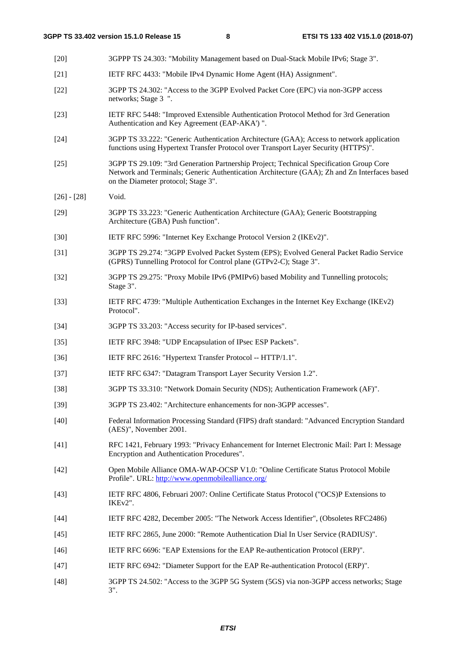| $[20]$        | 3GPPP TS 24.303: "Mobility Management based on Dual-Stack Mobile IPv6; Stage 3".                                                                                                                                               |
|---------------|--------------------------------------------------------------------------------------------------------------------------------------------------------------------------------------------------------------------------------|
| $[21]$        | IETF RFC 4433: "Mobile IPv4 Dynamic Home Agent (HA) Assignment".                                                                                                                                                               |
| $[22]$        | 3GPP TS 24.302: "Access to the 3GPP Evolved Packet Core (EPC) via non-3GPP access<br>networks; Stage 3 ".                                                                                                                      |
| $[23]$        | IETF RFC 5448: "Improved Extensible Authentication Protocol Method for 3rd Generation<br>Authentication and Key Agreement (EAP-AKA') ".                                                                                        |
| $[24]$        | 3GPP TS 33.222: "Generic Authentication Architecture (GAA); Access to network application<br>functions using Hypertext Transfer Protocol over Transport Layer Security (HTTPS)".                                               |
| $[25]$        | 3GPP TS 29.109: "3rd Generation Partnership Project; Technical Specification Group Core<br>Network and Terminals; Generic Authentication Architecture (GAA); Zh and Zn Interfaces based<br>on the Diameter protocol; Stage 3". |
| $[26] - [28]$ | Void.                                                                                                                                                                                                                          |
| $[29]$        | 3GPP TS 33.223: "Generic Authentication Architecture (GAA); Generic Bootstrapping<br>Architecture (GBA) Push function".                                                                                                        |
| $[30]$        | IETF RFC 5996: "Internet Key Exchange Protocol Version 2 (IKEv2)".                                                                                                                                                             |
| $[31]$        | 3GPP TS 29.274: "3GPP Evolved Packet System (EPS); Evolved General Packet Radio Service<br>(GPRS) Tunnelling Protocol for Control plane (GTPv2-C); Stage 3".                                                                   |
| $[32]$        | 3GPP TS 29.275: "Proxy Mobile IPv6 (PMIPv6) based Mobility and Tunnelling protocols;<br>Stage 3".                                                                                                                              |
| $[33]$        | IETF RFC 4739: "Multiple Authentication Exchanges in the Internet Key Exchange (IKEv2)<br>Protocol".                                                                                                                           |
| $[34]$        | 3GPP TS 33.203: "Access security for IP-based services".                                                                                                                                                                       |
| $[35]$        | IETF RFC 3948: "UDP Encapsulation of IPsec ESP Packets".                                                                                                                                                                       |
| $[36]$        | IETF RFC 2616: "Hypertext Transfer Protocol -- HTTP/1.1".                                                                                                                                                                      |
| $[37]$        | IETF RFC 6347: "Datagram Transport Layer Security Version 1.2".                                                                                                                                                                |
| $[38]$        | 3GPP TS 33.310: "Network Domain Security (NDS); Authentication Framework (AF)".                                                                                                                                                |
| [39]          | 3GPP TS 23.402: "Architecture enhancements for non-3GPP accesses".                                                                                                                                                             |
| $[40]$        | Federal Information Processing Standard (FIPS) draft standard: "Advanced Encryption Standard<br>(AES)", November 2001.                                                                                                         |
| $[41]$        | RFC 1421, February 1993: "Privacy Enhancement for Internet Electronic Mail: Part I: Message<br>Encryption and Authentication Procedures".                                                                                      |
| $[42]$        | Open Mobile Alliance OMA-WAP-OCSP V1.0: "Online Certificate Status Protocol Mobile<br>Profile". URL: http://www.openmobilealliance.org/                                                                                        |
| $[43]$        | IETF RFC 4806, Februari 2007: Online Certificate Status Protocol ("OCS)P Extensions to<br>IKE <sub>v2"</sub> .                                                                                                                 |
| $[44]$        | IETF RFC 4282, December 2005: "The Network Access Identifier", (Obsoletes RFC2486)                                                                                                                                             |
| $[45]$        | IETF RFC 2865, June 2000: "Remote Authentication Dial In User Service (RADIUS)".                                                                                                                                               |
| $[46]$        | IETF RFC 6696: "EAP Extensions for the EAP Re-authentication Protocol (ERP)".                                                                                                                                                  |
| $[47]$        | IETF RFC 6942: "Diameter Support for the EAP Re-authentication Protocol (ERP)".                                                                                                                                                |
| $[48]$        | 3GPP TS 24.502: "Access to the 3GPP 5G System (5GS) via non-3GPP access networks; Stage<br>$3$ ".                                                                                                                              |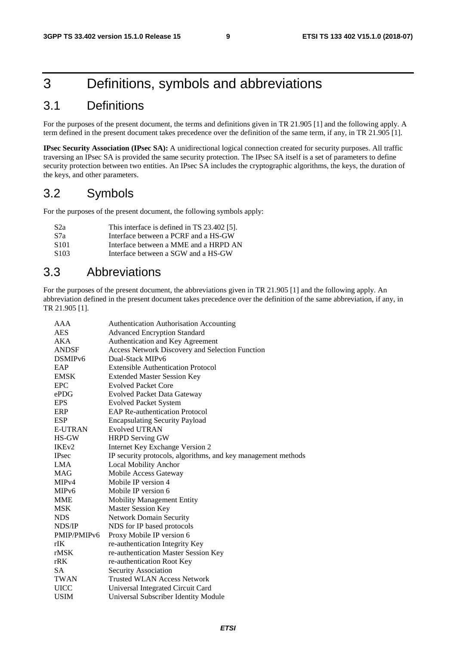## 3 Definitions, symbols and abbreviations

## 3.1 Definitions

For the purposes of the present document, the terms and definitions given in TR 21.905 [1] and the following apply. A term defined in the present document takes precedence over the definition of the same term, if any, in TR 21.905 [1].

**IPsec Security Association (IPsec SA):** A unidirectional logical connection created for security purposes. All traffic traversing an IPsec SA is provided the same security protection. The IPsec SA itself is a set of parameters to define security protection between two entities. An IPsec SA includes the cryptographic algorithms, the keys, the duration of the keys, and other parameters.

### 3.2 Symbols

For the purposes of the present document, the following symbols apply:

| S <sub>2</sub> a | This interface is defined in TS 23.402 [5]. |
|------------------|---------------------------------------------|
| S7a              | Interface between a PCRF and a HS-GW        |
| S <sub>101</sub> | Interface between a MME and a HRPD AN       |
| S <sub>103</sub> | Interface between a SGW and a HS-GW         |

### 3.3 Abbreviations

For the purposes of the present document, the abbreviations given in TR 21.905 [1] and the following apply. An abbreviation defined in the present document takes precedence over the definition of the same abbreviation, if any, in TR 21.905 [1].

| AAA                 | <b>Authentication Authorisation Accounting</b>                |
|---------------------|---------------------------------------------------------------|
| <b>AES</b>          | <b>Advanced Encryption Standard</b>                           |
| AKA                 | Authentication and Key Agreement                              |
| <b>ANDSF</b>        | <b>Access Network Discovery and Selection Function</b>        |
| DSMIP <sub>v6</sub> | Dual-Stack MIPv6                                              |
| EAP                 | <b>Extensible Authentication Protocol</b>                     |
| <b>EMSK</b>         | <b>Extended Master Session Key</b>                            |
| <b>EPC</b>          | <b>Evolved Packet Core</b>                                    |
| ePDG                | <b>Evolved Packet Data Gateway</b>                            |
| <b>EPS</b>          | <b>Evolved Packet System</b>                                  |
| <b>ERP</b>          | <b>EAP Re-authentication Protocol</b>                         |
| ESP                 | <b>Encapsulating Security Payload</b>                         |
| <b>E-UTRAN</b>      | Evolved UTRAN                                                 |
| HS-GW               | <b>HRPD Serving GW</b>                                        |
| IKE <sub>v2</sub>   | Internet Key Exchange Version 2                               |
| <b>IPsec</b>        | IP security protocols, algorithms, and key management methods |
| LMA                 | <b>Local Mobility Anchor</b>                                  |
| MAG                 | Mobile Access Gateway                                         |
| MIP <sub>v4</sub>   | Mobile IP version 4                                           |
| MIP <sub>v</sub> 6  | Mobile IP version 6                                           |
| MME                 | <b>Mobility Management Entity</b>                             |
| <b>MSK</b>          | <b>Master Session Key</b>                                     |
| <b>NDS</b>          | <b>Network Domain Security</b>                                |
| NDS/IP              | NDS for IP based protocols                                    |
| PMIP/PMIPv6         | Proxy Mobile IP version 6                                     |
| rIK                 | re-authentication Integrity Key                               |
| rMSK                | re-authentication Master Session Key                          |
| rRK                 | re-authentication Root Key                                    |
| SA                  | Security Association                                          |
| TWAN                | <b>Trusted WLAN Access Network</b>                            |
| UICC                | Universal Integrated Circuit Card                             |
| <b>USIM</b>         | Universal Subscriber Identity Module                          |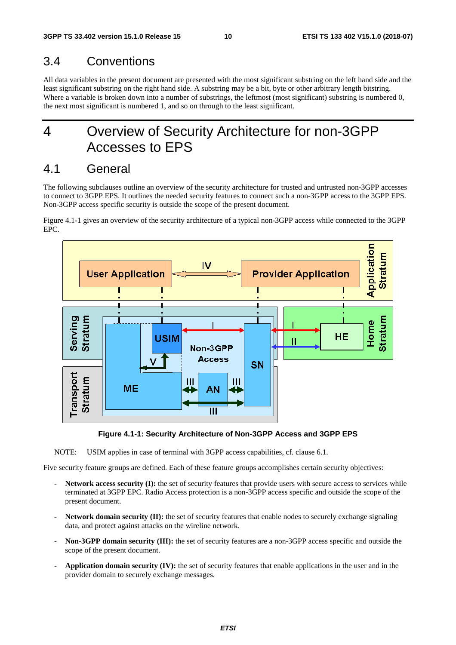### 3.4 Conventions

All data variables in the present document are presented with the most significant substring on the left hand side and the least significant substring on the right hand side. A substring may be a bit, byte or other arbitrary length bitstring. Where a variable is broken down into a number of substrings, the leftmost (most significant) substring is numbered 0, the next most significant is numbered 1, and so on through to the least significant.

## 4 Overview of Security Architecture for non-3GPP Accesses to EPS

### 4.1 General

The following subclauses outline an overview of the security architecture for trusted and untrusted non-3GPP accesses to connect to 3GPP EPS. It outlines the needed security features to connect such a non-3GPP access to the 3GPP EPS. Non-3GPP access specific security is outside the scope of the present document.

Figure 4.1-1 gives an overview of the security architecture of a typical non-3GPP access while connected to the 3GPP EPC.



**Figure 4.1-1: Security Architecture of Non-3GPP Access and 3GPP EPS** 

NOTE: USIM applies in case of terminal with 3GPP access capabilities, cf. clause 6.1.

Five security feature groups are defined. Each of these feature groups accomplishes certain security objectives:

- **Network access security (I):** the set of security features that provide users with secure access to services while terminated at 3GPP EPC. Radio Access protection is a non-3GPP access specific and outside the scope of the present document.
- **Network domain security (II):** the set of security features that enable nodes to securely exchange signaling data, and protect against attacks on the wireline network.
- **Non-3GPP domain security (III):** the set of security features are a non-3GPP access specific and outside the scope of the present document.
- **Application domain security (IV):** the set of security features that enable applications in the user and in the provider domain to securely exchange messages.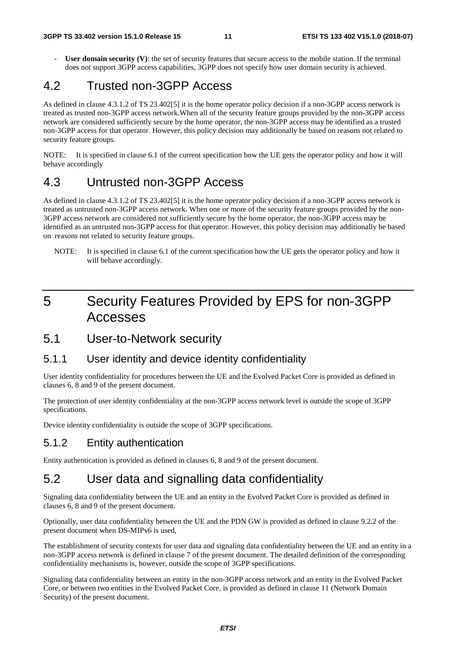**User domain security (V)**: the set of security features that secure access to the mobile station. If the terminal does not support 3GPP access capabilities, 3GPP does not specify how user domain security is achieved.

### 4.2 Trusted non-3GPP Access

As defined in clause 4.3.1.2 of TS 23.402[5] it is the home operator policy decision if a non-3GPP access network is treated as trusted non-3GPP access network.When all of the security feature groups provided by the non-3GPP access network are considered sufficiently secure by the home operator, the non-3GPP access may be identified as a trusted non-3GPP access for that operator. However, this policy decision may additionally be based on reasons not related to security feature groups.

NOTE: It is specified in clause 6.1 of the current specification how the UE gets the operator policy and how it will behave accordingly

## 4.3 Untrusted non-3GPP Access

As defined in clause 4.3.1.2 of TS 23.402[5] it is the home operator policy decision if a non-3GPP access network is treated as untrusted non-3GPP access network. When one or more of the security feature groups provided by the non-3GPP access network are considered not sufficiently secure by the home operator, the non-3GPP access may be identified as an untrusted non-3GPP access for that operator. However, this policy decision may additionally be based on reasons not related to security feature groups.

NOTE: It is specified in clause 6.1 of the current specification how the UE gets the operator policy and how it will behave accordingly.

## 5 Security Features Provided by EPS for non-3GPP Accesses

### 5.1 User-to-Network security

#### 5.1.1 User identity and device identity confidentiality

User identity confidentiality for procedures between the UE and the Evolved Packet Core is provided as defined in clauses 6, 8 and 9 of the present document.

The protection of user identity confidentiality at the non-3GPP access network level is outside the scope of 3GPP specifications.

Device identity confidentiality is outside the scope of 3GPP specifications.

### 5.1.2 Entity authentication

Entity authentication is provided as defined in clauses 6, 8 and 9 of the present document.

### 5.2 User data and signalling data confidentiality

Signaling data confidentiality between the UE and an entity in the Evolved Packet Core is provided as defined in clauses 6, 8 and 9 of the present document.

Optionally, user data confidentiality between the UE and the PDN GW is provided as defined in clause 9.2.2 of the present document when DS-MIPv6 is used,

The establishment of security contexts for user data and signaling data confidentiality between the UE and an entity in a non-3GPP access network is defined in clause 7 of the present document. The detailed definition of the corresponding confidentiality mechanisms is, however, outside the scope of 3GPP specifications.

Signaling data confidentiality between an entity in the non-3GPP access network and an entity in the Evolved Packet Core, or between two entities in the Evolved Packet Core, is provided as defined in clause 11 (Network Domain Security) of the present document.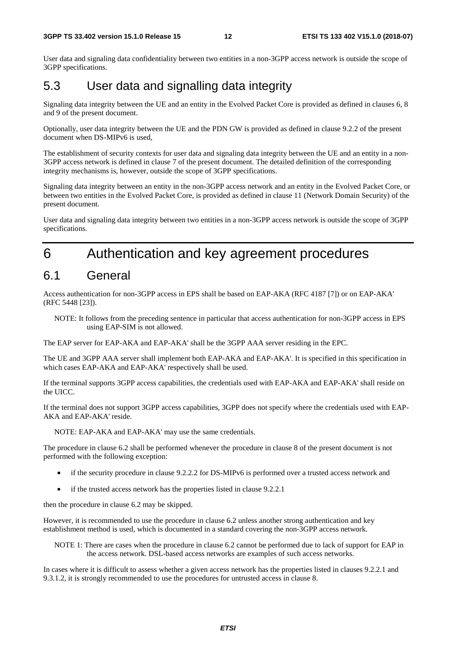User data and signaling data confidentiality between two entities in a non-3GPP access network is outside the scope of 3GPP specifications.

## 5.3 User data and signalling data integrity

Signaling data integrity between the UE and an entity in the Evolved Packet Core is provided as defined in clauses 6, 8 and 9 of the present document.

Optionally, user data integrity between the UE and the PDN GW is provided as defined in clause 9.2.2 of the present document when DS-MIPv6 is used,

The establishment of security contexts for user data and signaling data integrity between the UE and an entity in a non-3GPP access network is defined in clause 7 of the present document. The detailed definition of the corresponding integrity mechanisms is, however, outside the scope of 3GPP specifications.

Signaling data integrity between an entity in the non-3GPP access network and an entity in the Evolved Packet Core, or between two entities in the Evolved Packet Core, is provided as defined in clause 11 (Network Domain Security) of the present document.

User data and signaling data integrity between two entities in a non-3GPP access network is outside the scope of 3GPP specifications.

## 6 Authentication and key agreement procedures

### 6.1 General

Access authentication for non-3GPP access in EPS shall be based on EAP-AKA (RFC 4187 [7]) or on EAP-AKA' (RFC 5448 [23]).

NOTE: It follows from the preceding sentence in particular that access authentication for non-3GPP access in EPS using EAP-SIM is not allowed.

The EAP server for EAP-AKA and EAP-AKA' shall be the 3GPP AAA server residing in the EPC.

The UE and 3GPP AAA server shall implement both EAP-AKA and EAP-AKA'. It is specified in this specification in which cases EAP-AKA and EAP-AKA' respectively shall be used.

If the terminal supports 3GPP access capabilities, the credentials used with EAP-AKA and EAP-AKA' shall reside on the UICC.

If the terminal does not support 3GPP access capabilities, 3GPP does not specify where the credentials used with EAP-AKA and EAP-AKA' reside.

NOTE: EAP-AKA and EAP-AKA' may use the same credentials.

The procedure in clause 6.2 shall be performed whenever the procedure in clause 8 of the present document is not performed with the following exception:

- if the security procedure in clause 9.2.2.2 for DS-MIPv6 is performed over a trusted access network and
- if the trusted access network has the properties listed in clause 9.2.2.1

then the procedure in clause 6.2 may be skipped.

However, it is recommended to use the procedure in clause 6.2 unless another strong authentication and key establishment method is used, which is documented in a standard covering the non-3GPP access network.

NOTE 1: There are cases when the procedure in clause 6.2 cannot be performed due to lack of support for EAP in the access network. DSL-based access networks are examples of such access networks.

In cases where it is difficult to assess whether a given access network has the properties listed in clauses 9.2.2.1 and 9.3.1.2, it is strongly recommended to use the procedures for untrusted access in clause 8.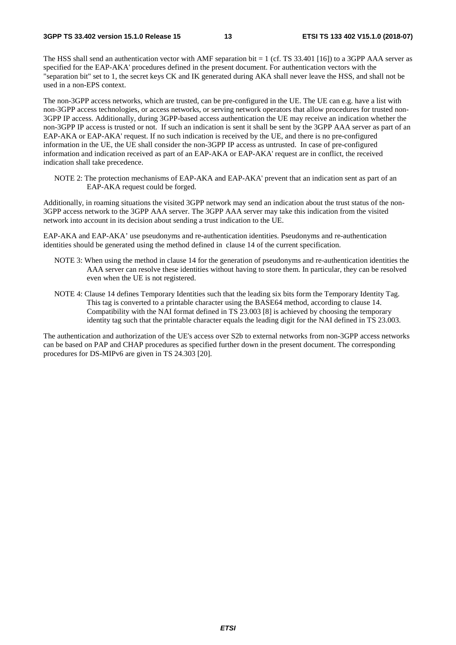The HSS shall send an authentication vector with AMF separation bit = 1 (cf. TS 33.401 [16]) to a 3GPP AAA server as specified for the EAP-AKA' procedures defined in the present document. For authentication vectors with the "separation bit" set to 1, the secret keys CK and IK generated during AKA shall never leave the HSS, and shall not be used in a non-EPS context.

The non-3GPP access networks, which are trusted, can be pre-configured in the UE. The UE can e.g. have a list with non-3GPP access technologies, or access networks, or serving network operators that allow procedures for trusted non-3GPP IP access. Additionally, during 3GPP-based access authentication the UE may receive an indication whether the non-3GPP IP access is trusted or not. If such an indication is sent it shall be sent by the 3GPP AAA server as part of an EAP-AKA or EAP-AKA' request. If no such indication is received by the UE, and there is no pre-configured information in the UE, the UE shall consider the non-3GPP IP access as untrusted. In case of pre-configured information and indication received as part of an EAP-AKA or EAP-AKA' request are in conflict, the received indication shall take precedence.

NOTE 2: The protection mechanisms of EAP-AKA and EAP-AKA' prevent that an indication sent as part of an EAP-AKA request could be forged.

Additionally, in roaming situations the visited 3GPP network may send an indication about the trust status of the non-3GPP access network to the 3GPP AAA server. The 3GPP AAA server may take this indication from the visited network into account in its decision about sending a trust indication to the UE.

EAP-AKA and EAP-AKA' use pseudonyms and re-authentication identities. Pseudonyms and re-authentication identities should be generated using the method defined in clause 14 of the current specification.

- NOTE 3: When using the method in clause 14 for the generation of pseudonyms and re-authentication identities the AAA server can resolve these identities without having to store them. In particular, they can be resolved even when the UE is not registered.
- NOTE 4: Clause 14 defines Temporary Identities such that the leading six bits form the Temporary Identity Tag. This tag is converted to a printable character using the BASE64 method, according to clause 14. Compatibility with the NAI format defined in TS 23.003 [8] is achieved by choosing the temporary identity tag such that the printable character equals the leading digit for the NAI defined in TS 23.003.

The authentication and authorization of the UE's access over S2b to external networks from non-3GPP access networks can be based on PAP and CHAP procedures as specified further down in the present document. The corresponding procedures for DS-MIPv6 are given in TS 24.303 [20].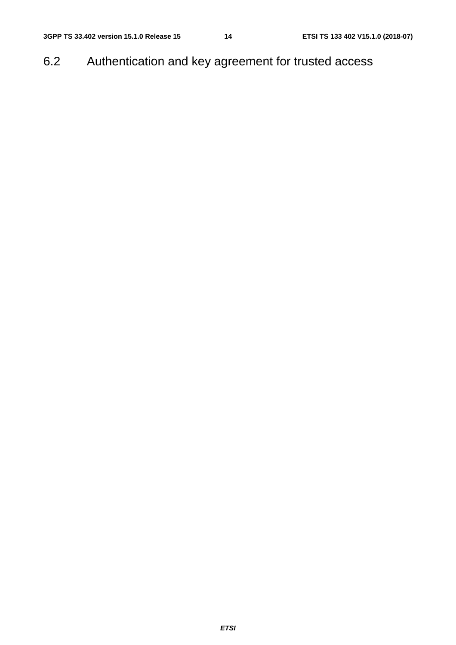6.2 Authentication and key agreement for trusted access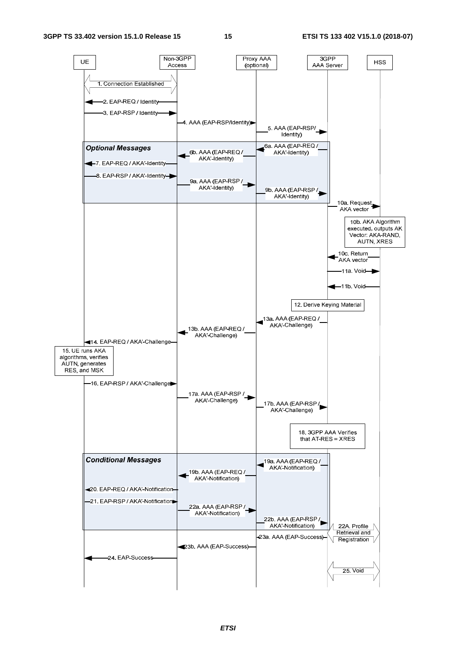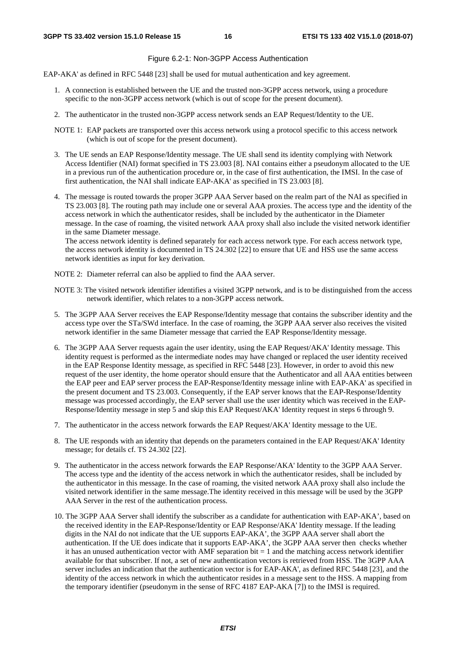#### Figure 6.2-1: Non-3GPP Access Authentication

EAP-AKA' as defined in RFC 5448 [23] shall be used for mutual authentication and key agreement.

- 1. A connection is established between the UE and the trusted non-3GPP access network, using a procedure specific to the non-3GPP access network (which is out of scope for the present document).
- 2. The authenticator in the trusted non-3GPP access network sends an EAP Request/Identity to the UE.
- NOTE 1: EAP packets are transported over this access network using a protocol specific to this access network (which is out of scope for the present document).
- 3. The UE sends an EAP Response/Identity message. The UE shall send its identity complying with Network Access Identifier (NAI) format specified in TS 23.003 [8]. NAI contains either a pseudonym allocated to the UE in a previous run of the authentication procedure or, in the case of first authentication, the IMSI. In the case of first authentication, the NAI shall indicate EAP-AKA' as specified in TS 23.003 [8].
- 4. The message is routed towards the proper 3GPP AAA Server based on the realm part of the NAI as specified in TS 23.003 [8]. The routing path may include one or several AAA proxies. The access type and the identity of the access network in which the authenticator resides, shall be included by the authenticator in the Diameter message. In the case of roaming, the visited network AAA proxy shall also include the visited network identifier in the same Diameter message.

The access network identity is defined separately for each access network type. For each access network type, the access network identity is documented in TS 24.302 [22] to ensure that UE and HSS use the same access network identities as input for key derivation.

- NOTE 2: Diameter referral can also be applied to find the AAA server.
- NOTE 3: The visited network identifier identifies a visited 3GPP network, and is to be distinguished from the access network identifier, which relates to a non-3GPP access network.
- 5. The 3GPP AAA Server receives the EAP Response/Identity message that contains the subscriber identity and the access type over the STa/SWd interface. In the case of roaming, the 3GPP AAA server also receives the visited network identifier in the same Diameter message that carried the EAP Response/Identity message.
- 6. The 3GPP AAA Server requests again the user identity, using the EAP Request/AKA' Identity message. This identity request is performed as the intermediate nodes may have changed or replaced the user identity received in the EAP Response Identity message, as specified in RFC 5448 [23]. However, in order to avoid this new request of the user identity, the home operator should ensure that the Authenticator and all AAA entities between the EAP peer and EAP server process the EAP-Response/Identity message inline with EAP-AKA' as specified in the present document and TS 23.003. Consequently, if the EAP server knows that the EAP-Response/Identity message was processed accordingly, the EAP server shall use the user identity which was received in the EAP-Response/Identity message in step 5 and skip this EAP Request/AKA' Identity request in steps 6 through 9.
- 7. The authenticator in the access network forwards the EAP Request/AKA' Identity message to the UE.
- 8. The UE responds with an identity that depends on the parameters contained in the EAP Request/AKA' Identity message; for details cf. TS 24.302 [22].
- 9. The authenticator in the access network forwards the EAP Response/AKA' Identity to the 3GPP AAA Server. The access type and the identity of the access network in which the authenticator resides, shall be included by the authenticator in this message. In the case of roaming, the visited network AAA proxy shall also include the visited network identifier in the same message.The identity received in this message will be used by the 3GPP AAA Server in the rest of the authentication process.
- 10. The 3GPP AAA Server shall identify the subscriber as a candidate for authentication with EAP-AKA', based on the received identity in the EAP-Response/Identity or EAP Response/AKA' Identity message. If the leading digits in the NAI do not indicate that the UE supports EAP-AKA', the 3GPP AAA server shall abort the authentication. If the UE does indicate that it supports EAP-AKA', the 3GPP AAA server then checks whether it has an unused authentication vector with AMF separation bit  $= 1$  and the matching access network identifier available for that subscriber. If not, a set of new authentication vectors is retrieved from HSS. The 3GPP AAA server includes an indication that the authentication vector is for EAP-AKA', as defined RFC 5448 [23], and the identity of the access network in which the authenticator resides in a message sent to the HSS. A mapping from the temporary identifier (pseudonym in the sense of RFC 4187 EAP-AKA [7]) to the IMSI is required.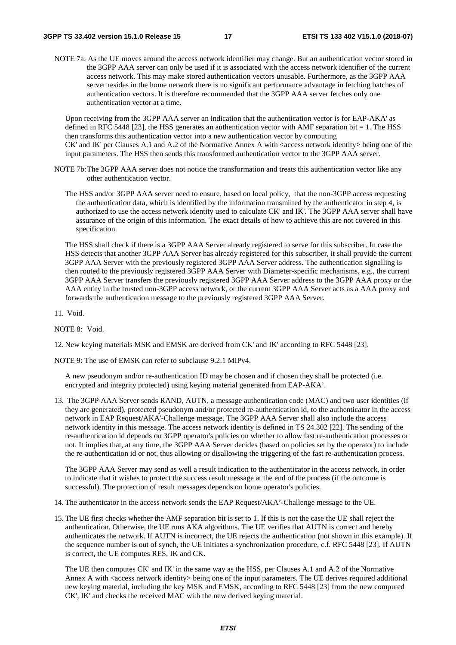NOTE 7a: As the UE moves around the access network identifier may change. But an authentication vector stored in the 3GPP AAA server can only be used if it is associated with the access network identifier of the current access network. This may make stored authentication vectors unusable. Furthermore, as the 3GPP AAA server resides in the home network there is no significant performance advantage in fetching batches of authentication vectors. It is therefore recommended that the 3GPP AAA server fetches only one authentication vector at a time.

Upon receiving from the 3GPP AAA server an indication that the authentication vector is for EAP-AKA' as defined in RFC 5448 [23], the HSS generates an authentication vector with AMF separation bit  $= 1$ . The HSS then transforms this authentication vector into a new authentication vector by computing CK' and IK' per Clauses A.1 and A.2 of the Normative Annex A with <access network identity> being one of the input parameters. The HSS then sends this transformed authentication vector to the 3GPP AAA server.

- NOTE 7b: The 3GPP AAA server does not notice the transformation and treats this authentication vector like any other authentication vector.
	- The HSS and/or 3GPP AAA server need to ensure, based on local policy, that the non-3GPP access requesting the authentication data, which is identified by the information transmitted by the authenticator in step 4, is authorized to use the access network identity used to calculate CK' and IK'. The 3GPP AAA server shall have assurance of the origin of this information. The exact details of how to achieve this are not covered in this specification.

 The HSS shall check if there is a 3GPP AAA Server already registered to serve for this subscriber. In case the HSS detects that another 3GPP AAA Server has already registered for this subscriber, it shall provide the current 3GPP AAA Server with the previously registered 3GPP AAA Server address. The authentication signalling is then routed to the previously registered 3GPP AAA Server with Diameter-specific mechanisms, e.g., the current 3GPP AAA Server transfers the previously registered 3GPP AAA Server address to the 3GPP AAA proxy or the AAA entity in the trusted non-3GPP access network, or the current 3GPP AAA Server acts as a AAA proxy and forwards the authentication message to the previously registered 3GPP AAA Server.

11. Void.

NOTE 8: Void.

12. New keying materials MSK and EMSK are derived from CK' and IK' according to RFC 5448 [23].

NOTE 9: The use of EMSK can refer to subclause 9.2.1 MIPv4.

 A new pseudonym and/or re-authentication ID may be chosen and if chosen they shall be protected (i.e. encrypted and integrity protected) using keying material generated from EAP-AKA'.

13. The 3GPP AAA Server sends RAND, AUTN, a message authentication code (MAC) and two user identities (if they are generated), protected pseudonym and/or protected re-authentication id, to the authenticator in the access network in EAP Request/AKA'-Challenge message. The 3GPP AAA Server shall also include the access network identity in this message. The access network identity is defined in TS 24.302 [22]. The sending of the re-authentication id depends on 3GPP operator's policies on whether to allow fast re-authentication processes or not. It implies that, at any time, the 3GPP AAA Server decides (based on policies set by the operator) to include the re-authentication id or not, thus allowing or disallowing the triggering of the fast re-authentication process.

 The 3GPP AAA Server may send as well a result indication to the authenticator in the access network, in order to indicate that it wishes to protect the success result message at the end of the process (if the outcome is successful). The protection of result messages depends on home operator's policies.

- 14. The authenticator in the access network sends the EAP Request/AKA'-Challenge message to the UE.
- 15. The UE first checks whether the AMF separation bit is set to 1. If this is not the case the UE shall reject the authentication. Otherwise, the UE runs AKA algorithms. The UE verifies that AUTN is correct and hereby authenticates the network. If AUTN is incorrect, the UE rejects the authentication (not shown in this example). If the sequence number is out of synch, the UE initiates a synchronization procedure, c.f. RFC 5448 [23]. If AUTN is correct, the UE computes RES, IK and CK.

 The UE then computes CK' and IK' in the same way as the HSS, per Clauses A.1 and A.2 of the Normative Annex A with <access network identity> being one of the input parameters. The UE derives required additional new keying material, including the key MSK and EMSK, according to RFC 5448 [23] from the new computed CK', IK' and checks the received MAC with the new derived keying material.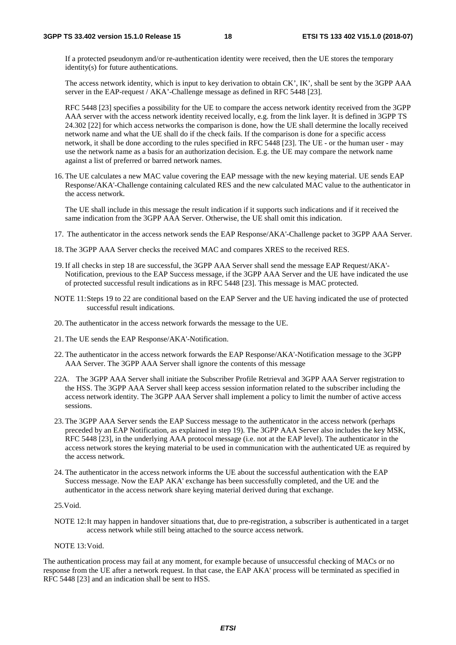If a protected pseudonym and/or re-authentication identity were received, then the UE stores the temporary identity(s) for future authentications.

The access network identity, which is input to key derivation to obtain CK', IK', shall be sent by the 3GPP AAA server in the EAP-request / AKA'-Challenge message as defined in RFC 5448 [23].

RFC 5448 [23] specifies a possibility for the UE to compare the access network identity received from the 3GPP AAA server with the access network identity received locally, e.g. from the link layer. It is defined in 3GPP TS 24.302 [22] for which access networks the comparison is done, how the UE shall determine the locally received network name and what the UE shall do if the check fails. If the comparison is done for a specific access network, it shall be done according to the rules specified in RFC 5448 [23]. The UE - or the human user - may use the network name as a basis for an authorization decision. E.g. the UE may compare the network name against a list of preferred or barred network names.

16. The UE calculates a new MAC value covering the EAP message with the new keying material. UE sends EAP Response/AKA'-Challenge containing calculated RES and the new calculated MAC value to the authenticator in the access network.

 The UE shall include in this message the result indication if it supports such indications and if it received the same indication from the 3GPP AAA Server. Otherwise, the UE shall omit this indication.

- 17. The authenticator in the access network sends the EAP Response/AKA'-Challenge packet to 3GPP AAA Server.
- 18. The 3GPP AAA Server checks the received MAC and compares XRES to the received RES.
- 19. If all checks in step 18 are successful, the 3GPP AAA Server shall send the message EAP Request/AKA'- Notification, previous to the EAP Success message, if the 3GPP AAA Server and the UE have indicated the use of protected successful result indications as in RFC 5448 [23]. This message is MAC protected.
- NOTE 11: Steps 19 to 22 are conditional based on the EAP Server and the UE having indicated the use of protected successful result indications.
- 20. The authenticator in the access network forwards the message to the UE.
- 21. The UE sends the EAP Response/AKA'-Notification.
- 22. The authenticator in the access network forwards the EAP Response/AKA'-Notification message to the 3GPP AAA Server. The 3GPP AAA Server shall ignore the contents of this message
- 22A. The 3GPP AAA Server shall initiate the Subscriber Profile Retrieval and 3GPP AAA Server registration to the HSS. The 3GPP AAA Server shall keep access session information related to the subscriber including the access network identity. The 3GPP AAA Server shall implement a policy to limit the number of active access sessions.
- 23. The 3GPP AAA Server sends the EAP Success message to the authenticator in the access network (perhaps preceded by an EAP Notification, as explained in step 19). The 3GPP AAA Server also includes the key MSK, RFC 5448 [23], in the underlying AAA protocol message (i.e. not at the EAP level). The authenticator in the access network stores the keying material to be used in communication with the authenticated UE as required by the access network.
- 24. The authenticator in the access network informs the UE about the successful authentication with the EAP Success message. Now the EAP AKA' exchange has been successfully completed, and the UE and the authenticator in the access network share keying material derived during that exchange.

#### 25.Void.

NOTE 12: It may happen in handover situations that, due to pre-registration, a subscriber is authenticated in a target access network while still being attached to the source access network.

#### NOTE 13: Void.

The authentication process may fail at any moment, for example because of unsuccessful checking of MACs or no response from the UE after a network request. In that case, the EAP AKA' process will be terminated as specified in RFC 5448 [23] and an indication shall be sent to HSS.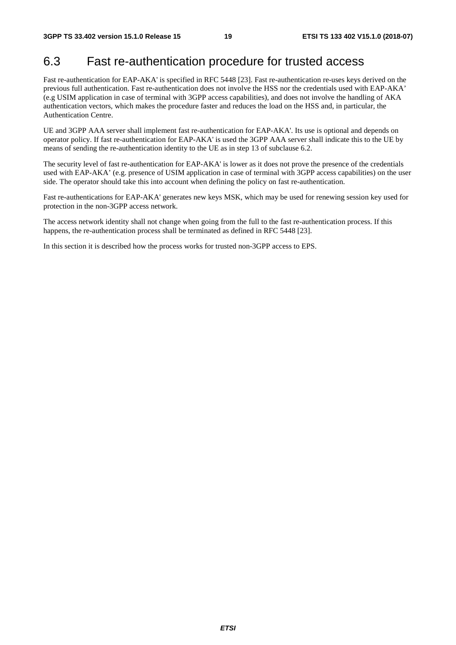## 6.3 Fast re-authentication procedure for trusted access

Fast re-authentication for EAP-AKA' is specified in RFC 5448 [23]. Fast re-authentication re-uses keys derived on the previous full authentication. Fast re-authentication does not involve the HSS nor the credentials used with EAP-AKA' (e.g USIM application in case of terminal with 3GPP access capabilities), and does not involve the handling of AKA authentication vectors, which makes the procedure faster and reduces the load on the HSS and, in particular, the Authentication Centre.

UE and 3GPP AAA server shall implement fast re-authentication for EAP-AKA'. Its use is optional and depends on operator policy. If fast re-authentication for EAP-AKA' is used the 3GPP AAA server shall indicate this to the UE by means of sending the re-authentication identity to the UE as in step 13 of subclause 6.2.

The security level of fast re-authentication for EAP-AKA' is lower as it does not prove the presence of the credentials used with EAP-AKA' (e.g. presence of USIM application in case of terminal with 3GPP access capabilities) on the user side. The operator should take this into account when defining the policy on fast re-authentication.

Fast re-authentications for EAP-AKA' generates new keys MSK, which may be used for renewing session key used for protection in the non-3GPP access network.

The access network identity shall not change when going from the full to the fast re-authentication process. If this happens, the re-authentication process shall be terminated as defined in RFC 5448 [23].

In this section it is described how the process works for trusted non-3GPP access to EPS.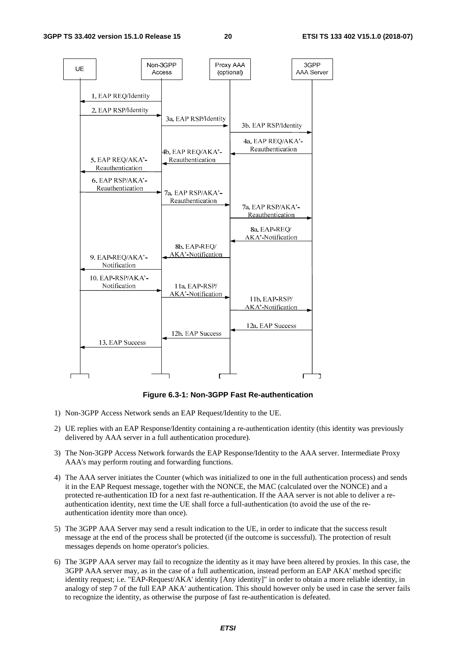

**Figure 6.3-1: Non-3GPP Fast Re-authentication**

- 1) Non-3GPP Access Network sends an EAP Request/Identity to the UE.
- 2) UE replies with an EAP Response/Identity containing a re-authentication identity (this identity was previously delivered by AAA server in a full authentication procedure).
- 3) The Non-3GPP Access Network forwards the EAP Response/Identity to the AAA server. Intermediate Proxy AAA's may perform routing and forwarding functions.
- 4) The AAA server initiates the Counter (which was initialized to one in the full authentication process) and sends it in the EAP Request message, together with the NONCE, the MAC (calculated over the NONCE) and a protected re-authentication ID for a next fast re-authentication. If the AAA server is not able to deliver a reauthentication identity, next time the UE shall force a full-authentication (to avoid the use of the reauthentication identity more than once).
- 5) The 3GPP AAA Server may send a result indication to the UE, in order to indicate that the success result message at the end of the process shall be protected (if the outcome is successful). The protection of result messages depends on home operator's policies.
- 6) The 3GPP AAA server may fail to recognize the identity as it may have been altered by proxies. In this case, the 3GPP AAA server may, as in the case of a full authentication, instead perform an EAP AKA' method specific identity request; i.e. "EAP-Request/AKA' identity [Any identity]" in order to obtain a more reliable identity, in analogy of step 7 of the full EAP AKA' authentication. This should however only be used in case the server fails to recognize the identity, as otherwise the purpose of fast re-authentication is defeated.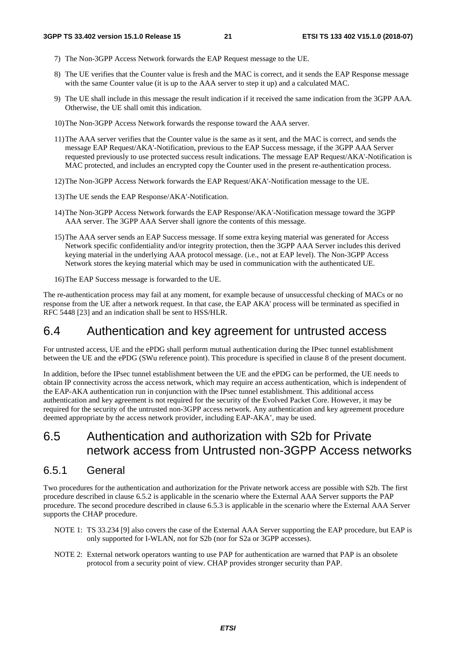- 7) The Non-3GPP Access Network forwards the EAP Request message to the UE.
- 8) The UE verifies that the Counter value is fresh and the MAC is correct, and it sends the EAP Response message with the same Counter value (it is up to the AAA server to step it up) and a calculated MAC.
- 9) The UE shall include in this message the result indication if it received the same indication from the 3GPP AAA. Otherwise, the UE shall omit this indication.
- 10) The Non-3GPP Access Network forwards the response toward the AAA server.
- 11) The AAA server verifies that the Counter value is the same as it sent, and the MAC is correct, and sends the message EAP Request/AKA'-Notification, previous to the EAP Success message, if the 3GPP AAA Server requested previously to use protected success result indications. The message EAP Request/AKA'-Notification is MAC protected, and includes an encrypted copy the Counter used in the present re-authentication process.
- 12) The Non-3GPP Access Network forwards the EAP Request/AKA'-Notification message to the UE.
- 13) The UE sends the EAP Response/AKA'-Notification.
- 14) The Non-3GPP Access Network forwards the EAP Response/AKA'-Notification message toward the 3GPP AAA server. The 3GPP AAA Server shall ignore the contents of this message.
- 15) The AAA server sends an EAP Success message. If some extra keying material was generated for Access Network specific confidentiality and/or integrity protection, then the 3GPP AAA Server includes this derived keying material in the underlying AAA protocol message. (i.e., not at EAP level). The Non-3GPP Access Network stores the keying material which may be used in communication with the authenticated UE.
- 16) The EAP Success message is forwarded to the UE.

The re-authentication process may fail at any moment, for example because of unsuccessful checking of MACs or no response from the UE after a network request. In that case, the EAP AKA' process will be terminated as specified in RFC 5448 [23] and an indication shall be sent to HSS/HLR.

### 6.4 Authentication and key agreement for untrusted access

For untrusted access, UE and the ePDG shall perform mutual authentication during the IPsec tunnel establishment between the UE and the ePDG (SWu reference point). This procedure is specified in clause 8 of the present document.

In addition, before the IPsec tunnel establishment between the UE and the ePDG can be performed, the UE needs to obtain IP connectivity across the access network, which may require an access authentication, which is independent of the EAP-AKA authentication run in conjunction with the IPsec tunnel establishment. This additional access authentication and key agreement is not required for the security of the Evolved Packet Core. However, it may be required for the security of the untrusted non-3GPP access network. Any authentication and key agreement procedure deemed appropriate by the access network provider, including EAP-AKA', may be used.

## 6.5 Authentication and authorization with S2b for Private network access from Untrusted non-3GPP Access networks

### 6.5.1 General

Two procedures for the authentication and authorization for the Private network access are possible with S2b. The first procedure described in clause 6.5.2 is applicable in the scenario where the External AAA Server supports the PAP procedure. The second procedure described in clause 6.5.3 is applicable in the scenario where the External AAA Server supports the CHAP procedure.

- NOTE 1: TS 33.234 [9] also covers the case of the External AAA Server supporting the EAP procedure, but EAP is only supported for I-WLAN, not for S2b (nor for S2a or 3GPP accesses).
- NOTE 2: External network operators wanting to use PAP for authentication are warned that PAP is an obsolete protocol from a security point of view. CHAP provides stronger security than PAP.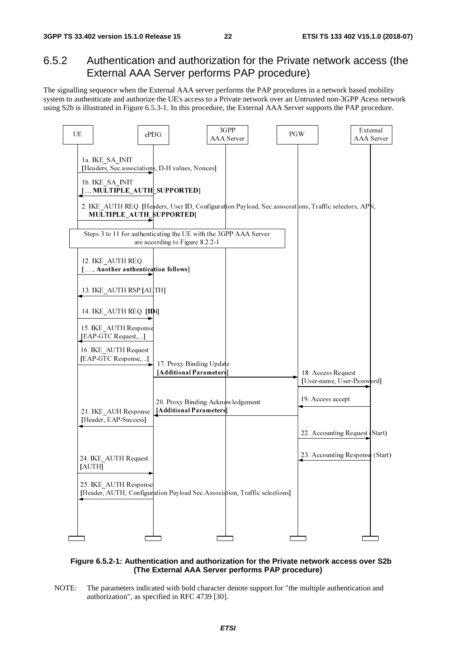### 6.5.2 Authentication and authorization for the Private network access (the External AAA Server performs PAP procedure)

The signalling sequence when the External AAA server performs the PAP procedures in a network based mobility system to authenticate and authorize the UE's access to a Private network over an Untrusted non-3GPP Acess network using S2b is illustrated in Figure 6.5.3-1. In this procedure, the External AAA Server supports the PAP procedure.



#### **Figure 6.5.2-1: Authentication and authorization for the Private network access over S2b (The External AAA Server performs PAP procedure)**

NOTE: The parameters indicated with bold character denote support for "the multiple authentication and authorization", as specified in RFC 4739 [30].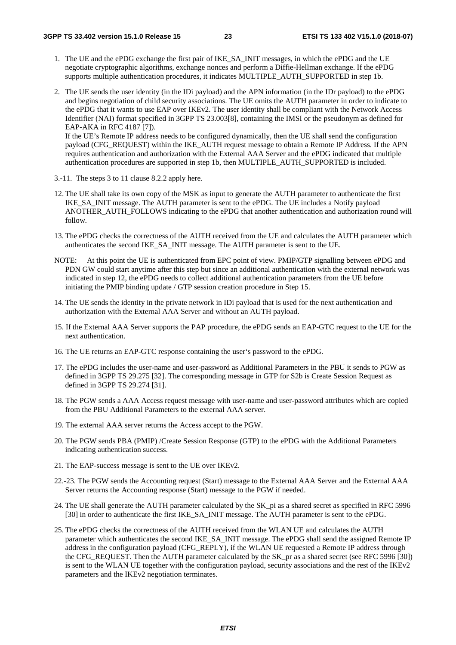- 1. The UE and the ePDG exchange the first pair of IKE\_SA\_INIT messages, in which the ePDG and the UE negotiate cryptographic algorithms, exchange nonces and perform a Diffie-Hellman exchange. If the ePDG supports multiple authentication procedures, it indicates MULTIPLE\_AUTH\_SUPPORTED in step 1b.
- 2. The UE sends the user identity (in the IDi payload) and the APN information (in the IDr payload) to the ePDG and begins negotiation of child security associations. The UE omits the AUTH parameter in order to indicate to the ePDG that it wants to use EAP over IKEv2. The user identity shall be compliant with the Network Access Identifier (NAI) format specified in 3GPP TS 23.003[8], containing the IMSI or the pseudonym as defined for EAP-AKA in RFC 4187 [7]). If the UE's Remote IP address needs to be configured dynamically, then the UE shall send the configuration

payload (CFG\_REQUEST) within the IKE\_AUTH request message to obtain a Remote IP Address. If the APN requires authentication and authorization with the External AAA Server and the ePDG indicated that multiple authentication procedures are supported in step 1b, then MULTIPLE\_AUTH\_SUPPORTED is included.

- 3.-11. The steps 3 to 11 clause 8.2.2 apply here.
- 12. The UE shall take its own copy of the MSK as input to generate the AUTH parameter to authenticate the first IKE\_SA\_INIT message. The AUTH parameter is sent to the ePDG. The UE includes a Notify payload ANOTHER\_AUTH\_FOLLOWS indicating to the ePDG that another authentication and authorization round will follow.
- 13. The ePDG checks the correctness of the AUTH received from the UE and calculates the AUTH parameter which authenticates the second IKE\_SA\_INIT message. The AUTH parameter is sent to the UE.
- NOTE: At this point the UE is authenticated from EPC point of view. PMIP/GTP signalling between ePDG and PDN GW could start anytime after this step but since an additional authentication with the external network was indicated in step 12, the ePDG needs to collect additional authentication parameters from the UE before initiating the PMIP binding update / GTP session creation procedure in Step 15.
- 14. The UE sends the identity in the private network in IDi payload that is used for the next authentication and authorization with the External AAA Server and without an AUTH payload.
- 15. If the External AAA Server supports the PAP procedure, the ePDG sends an EAP-GTC request to the UE for the next authentication.
- 16. The UE returns an EAP-GTC response containing the user's password to the ePDG.
- 17. The ePDG includes the user-name and user-password as Additional Parameters in the PBU it sends to PGW as defined in 3GPP TS 29.275 [32]. The corresponding message in GTP for S2b is Create Session Request as defined in 3GPP TS 29.274 [31].
- 18. The PGW sends a AAA Access request message with user-name and user-password attributes which are copied from the PBU Additional Parameters to the external AAA server.
- 19. The external AAA server returns the Access accept to the PGW.
- 20. The PGW sends PBA (PMIP) /Create Session Response (GTP) to the ePDG with the Additional Parameters indicating authentication success.
- 21. The EAP-success message is sent to the UE over IKEv2.
- 22.-23. The PGW sends the Accounting request (Start) message to the External AAA Server and the External AAA Server returns the Accounting response (Start) message to the PGW if needed.
- 24. The UE shall generate the AUTH parameter calculated by the SK\_pi as a shared secret as specified in RFC 5996 [30] in order to authenticate the first IKE\_SA\_INIT message. The AUTH parameter is sent to the ePDG.
- 25. The ePDG checks the correctness of the AUTH received from the WLAN UE and calculates the AUTH parameter which authenticates the second IKE\_SA\_INIT message. The ePDG shall send the assigned Remote IP address in the configuration payload (CFG\_REPLY), if the WLAN UE requested a Remote IP address through the CFG\_REQUEST. Then the AUTH parameter calculated by the SK\_pr as a shared secret (see RFC 5996 [30]) is sent to the WLAN UE together with the configuration payload, security associations and the rest of the IKEv2 parameters and the IKEv2 negotiation terminates.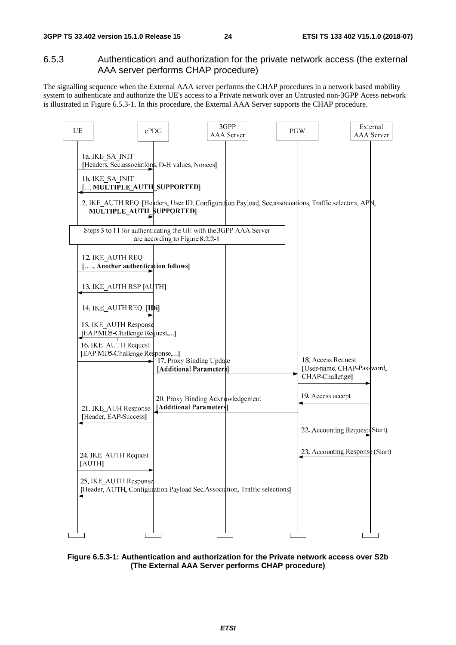#### 6.5.3 Authentication and authorization for the private network access (the external AAA server performs CHAP procedure)

The signalling sequence when the External AAA server performs the CHAP procedures in a network based mobility system to authenticate and authorize the UE's access to a Private network over an Untrusted non-3GPP Acess network is illustrated in Figure 6.5.3-1. In this procedure, the External AAA Server supports the CHAP procedure.



**Figure 6.5.3-1: Authentication and authorization for the Private network access over S2b (The External AAA Server performs CHAP procedure)**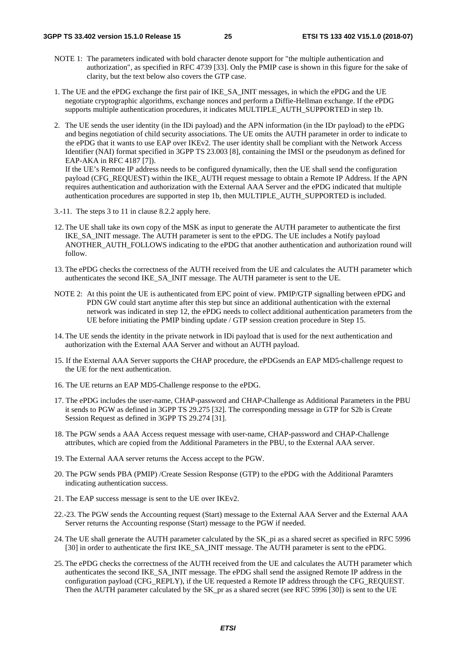- NOTE 1: The parameters indicated with bold character denote support for "the multiple authentication and authorization", as specified in RFC 4739 [33]. Only the PMIP case is shown in this figure for the sake of clarity, but the text below also covers the GTP case.
- 1. The UE and the ePDG exchange the first pair of IKE\_SA\_INIT messages, in which the ePDG and the UE negotiate cryptographic algorithms, exchange nonces and perform a Diffie-Hellman exchange. If the ePDG supports multiple authentication procedures, it indicates MULTIPLE\_AUTH\_SUPPORTED in step 1b.
- 2. The UE sends the user identity (in the IDi payload) and the APN information (in the IDr payload) to the ePDG and begins negotiation of child security associations. The UE omits the AUTH parameter in order to indicate to the ePDG that it wants to use EAP over IKEv2. The user identity shall be compliant with the Network Access Identifier (NAI) format specified in 3GPP TS 23.003 [8], containing the IMSI or the pseudonym as defined for EAP-AKA in RFC 4187 [7]). If the UE's Remote IP address needs to be configured dynamically, then the UE shall send the configuration payload (CFG\_REQUEST) within the IKE\_AUTH request message to obtain a Remote IP Address. If the APN requires authentication and authorization with the External AAA Server and the ePDG indicated that multiple

authentication procedures are supported in step 1b, then MULTIPLE\_AUTH\_SUPPORTED is included.

- 3.-11. The steps 3 to 11 in clause 8.2.2 apply here.
- 12. The UE shall take its own copy of the MSK as input to generate the AUTH parameter to authenticate the first IKE\_SA\_INIT message. The AUTH parameter is sent to the ePDG. The UE includes a Notify payload ANOTHER\_AUTH\_FOLLOWS indicating to the ePDG that another authentication and authorization round will follow.
- 13. The ePDG checks the correctness of the AUTH received from the UE and calculates the AUTH parameter which authenticates the second IKE\_SA\_INIT message. The AUTH parameter is sent to the UE.
- NOTE 2: At this point the UE is authenticated from EPC point of view. PMIP/GTP signalling between ePDG and PDN GW could start anytime after this step but since an additional authentication with the external network was indicated in step 12, the ePDG needs to collect additional authentication parameters from the UE before initiating the PMIP binding update / GTP session creation procedure in Step 15.
- 14. The UE sends the identity in the private network in IDi payload that is used for the next authentication and authorization with the External AAA Server and without an AUTH payload.
- 15. If the External AAA Server supports the CHAP procedure, the ePDGsends an EAP MD5-challenge request to the UE for the next authentication.
- 16. The UE returns an EAP MD5-Challenge response to the ePDG.
- 17. The ePDG includes the user-name, CHAP-password and CHAP-Challenge as Additional Parameters in the PBU it sends to PGW as defined in 3GPP TS 29.275 [32]. The corresponding message in GTP for S2b is Create Session Request as defined in 3GPP TS 29.274 [31].
- 18. The PGW sends a AAA Access request message with user-name, CHAP-password and CHAP-Challenge attributes, which are copied from the Additional Parameters in the PBU, to the External AAA server.
- 19. The External AAA server returns the Access accept to the PGW.
- 20. The PGW sends PBA (PMIP) /Create Session Response (GTP) to the ePDG with the Additional Paramters indicating authentication success.
- 21. The EAP success message is sent to the UE over IKEv2.
- 22.-23. The PGW sends the Accounting request (Start) message to the External AAA Server and the External AAA Server returns the Accounting response (Start) message to the PGW if needed.
- 24. The UE shall generate the AUTH parameter calculated by the SK\_pi as a shared secret as specified in RFC 5996 [30] in order to authenticate the first IKE\_SA\_INIT message. The AUTH parameter is sent to the ePDG.
- 25. The ePDG checks the correctness of the AUTH received from the UE and calculates the AUTH parameter which authenticates the second IKE\_SA\_INIT message. The ePDG shall send the assigned Remote IP address in the configuration payload (CFG\_REPLY), if the UE requested a Remote IP address through the CFG\_REQUEST. Then the AUTH parameter calculated by the SK\_pr as a shared secret (see RFC 5996 [30]) is sent to the UE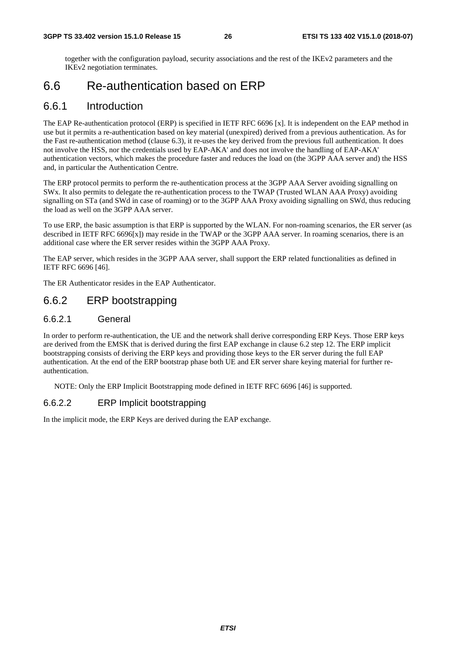together with the configuration payload, security associations and the rest of the IKEv2 parameters and the IKEv2 negotiation terminates.

## 6.6 Re-authentication based on ERP

#### 6.6.1 Introduction

The EAP Re-authentication protocol (ERP) is specified in IETF RFC 6696 [x]. It is independent on the EAP method in use but it permits a re-authentication based on key material (unexpired) derived from a previous authentication. As for the Fast re-authentication method (clause 6.3), it re-uses the key derived from the previous full authentication. It does not involve the HSS, nor the credentials used by EAP-AKA' and does not involve the handling of EAP-AKA' authentication vectors, which makes the procedure faster and reduces the load on (the 3GPP AAA server and) the HSS and, in particular the Authentication Centre.

The ERP protocol permits to perform the re-authentication process at the 3GPP AAA Server avoiding signalling on SWx. It also permits to delegate the re-authentication process to the TWAP (Trusted WLAN AAA Proxy) avoiding signalling on STa (and SWd in case of roaming) or to the 3GPP AAA Proxy avoiding signalling on SWd, thus reducing the load as well on the 3GPP AAA server.

To use ERP, the basic assumption is that ERP is supported by the WLAN. For non-roaming scenarios, the ER server (as described in IETF RFC 6696[x]) may reside in the TWAP or the 3GPP AAA server. In roaming scenarios, there is an additional case where the ER server resides within the 3GPP AAA Proxy.

The EAP server, which resides in the 3GPP AAA server, shall support the ERP related functionalities as defined in IETF RFC 6696 [46].

The ER Authenticator resides in the EAP Authenticator.

### 6.6.2 ERP bootstrapping

#### 6.6.2.1 General

In order to perform re-authentication, the UE and the network shall derive corresponding ERP Keys. Those ERP keys are derived from the EMSK that is derived during the first EAP exchange in clause 6.2 step 12. The ERP implicit bootstrapping consists of deriving the ERP keys and providing those keys to the ER server during the full EAP authentication. At the end of the ERP bootstrap phase both UE and ER server share keying material for further reauthentication.

NOTE: Only the ERP Implicit Bootstrapping mode defined in IETF RFC 6696 [46] is supported.

#### 6.6.2.2 ERP Implicit bootstrapping

In the implicit mode, the ERP Keys are derived during the EAP exchange.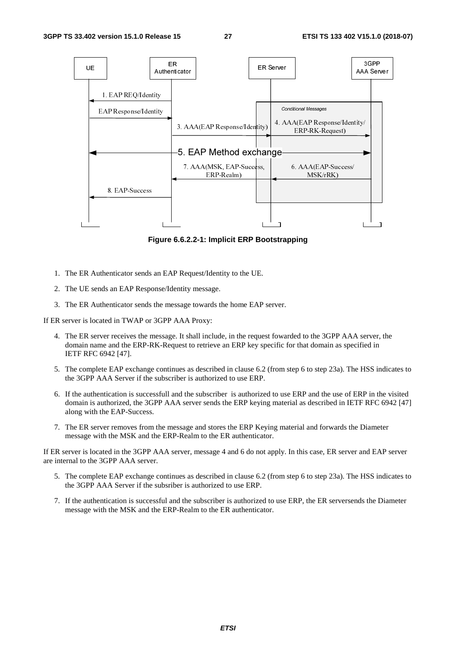

**Figure 6.6.2.2-1: Implicit ERP Bootstrapping** 

- 1. The ER Authenticator sends an EAP Request/Identity to the UE.
- 2. The UE sends an EAP Response/Identity message.
- 3. The ER Authenticator sends the message towards the home EAP server.

If ER server is located in TWAP or 3GPP AAA Proxy:

- 4. The ER server receives the message. It shall include, in the request fowarded to the 3GPP AAA server, the domain name and the ERP-RK-Request to retrieve an ERP key specific for that domain as specified in IETF RFC 6942 [47].
- 5. The complete EAP exchange continues as described in clause 6.2 (from step 6 to step 23a). The HSS indicates to the 3GPP AAA Server if the subscriber is authorized to use ERP.
- 6. If the authentication is successfull and the subscriber is authorized to use ERP and the use of ERP in the visited domain is authorized, the 3GPP AAA server sends the ERP keying material as described in IETF RFC 6942 [47] along with the EAP-Success.
- 7. The ER server removes from the message and stores the ERP Keying material and forwards the Diameter message with the MSK and the ERP-Realm to the ER authenticator.

If ER server is located in the 3GPP AAA server, message 4 and 6 do not apply. In this case, ER server and EAP server are internal to the 3GPP AAA server.

- 5. The complete EAP exchange continues as described in clause 6.2 (from step 6 to step 23a). The HSS indicates to the 3GPP AAA Server if the subsriber is authorized to use ERP.
- 7. If the authentication is successful and the subscriber is authorized to use ERP, the ER serversends the Diameter message with the MSK and the ERP-Realm to the ER authenticator.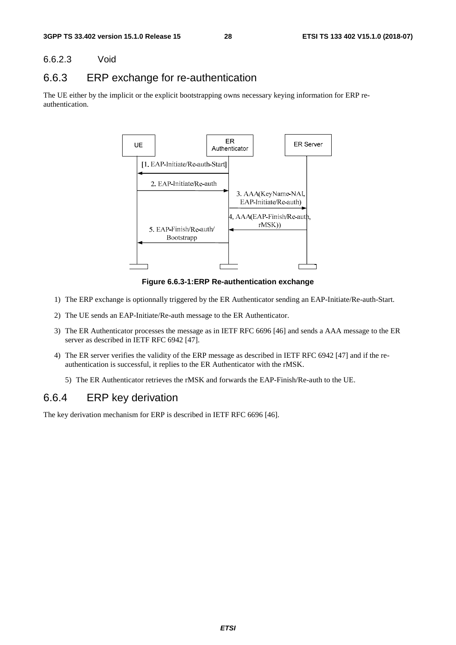#### 6.6.2.3 Void

### 6.6.3 ERP exchange for re-authentication

The UE either by the implicit or the explicit bootstrapping owns necessary keying information for ERP reauthentication.



**Figure 6.6.3-1:ERP Re-authentication exchange** 

- 1) The ERP exchange is optionnally triggered by the ER Authenticator sending an EAP-Initiate/Re-auth-Start.
- 2) The UE sends an EAP-Initiate/Re-auth message to the ER Authenticator.
- 3) The ER Authenticator processes the message as in IETF RFC 6696 [46] and sends a AAA message to the ER server as described in IETF RFC 6942 [47].
- 4) The ER server verifies the validity of the ERP message as described in IETF RFC 6942 [47] and if the reauthentication is successful, it replies to the ER Authenticator with the rMSK.
	- 5) The ER Authenticator retrieves the rMSK and forwards the EAP-Finish/Re-auth to the UE.

### 6.6.4 ERP key derivation

The key derivation mechanism for ERP is described in IETF RFC 6696 [46].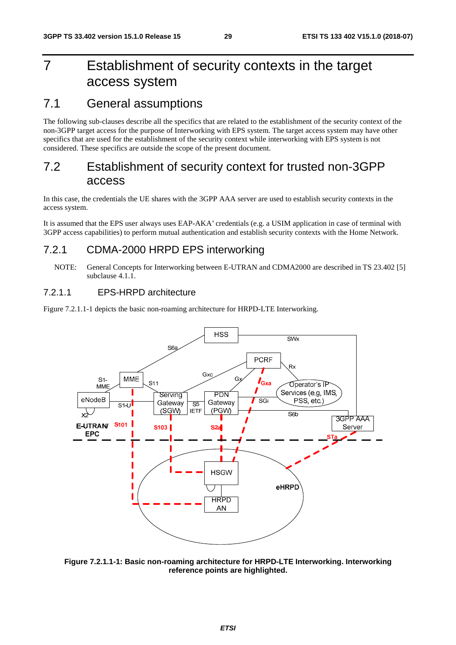## 7 Establishment of security contexts in the target access system

### 7.1 General assumptions

The following sub-clauses describe all the specifics that are related to the establishment of the security context of the non-3GPP target access for the purpose of Interworking with EPS system. The target access system may have other specifics that are used for the establishment of the security context while interworking with EPS system is not considered. These specifics are outside the scope of the present document.

## 7.2 Establishment of security context for trusted non-3GPP access

In this case, the credentials the UE shares with the 3GPP AAA server are used to establish security contexts in the access system.

It is assumed that the EPS user always uses EAP-AKA' credentials (e.g. a USIM application in case of terminal with 3GPP access capabilities) to perform mutual authentication and establish security contexts with the Home Network.

### 7.2.1 CDMA-2000 HRPD EPS interworking

#### 7.2.1.1 EPS-HRPD architecture

Figure 7.2.1.1-1 depicts the basic non-roaming architecture for HRPD-LTE Interworking.



**Figure 7.2.1.1-1: Basic non-roaming architecture for HRPD-LTE Interworking. Interworking reference points are highlighted.** 

NOTE: General Concepts for Interworking between E-UTRAN and CDMA2000 are described in TS 23.402 [5] subclause 4.1.1.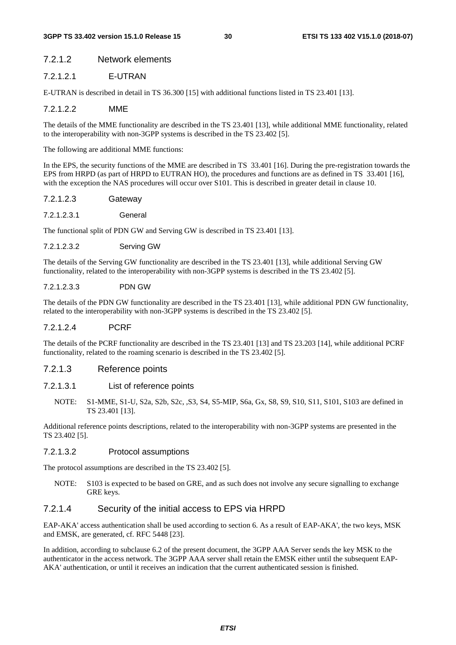#### 7.2.1.2 Network elements

#### 7.2.1.2.1 E-UTRAN

E-UTRAN is described in detail in TS 36.300 [15] with additional functions listed in TS 23.401 [13].

#### 7.2.1.2.2 MME

The details of the MME functionality are described in the TS 23.401 [13], while additional MME functionality, related to the interoperability with non-3GPP systems is described in the TS 23.402 [5].

The following are additional MME functions:

In the EPS, the security functions of the MME are described in TS 33.401 [16]. During the pre-registration towards the EPS from HRPD (as part of HRPD to EUTRAN HO), the procedures and functions are as defined in TS 33.401 [16], with the exception the NAS procedures will occur over S101. This is described in greater detail in clause 10.

- 7.2.1.2.3 Gateway
- 7.2.1.2.3.1 General

The functional split of PDN GW and Serving GW is described in TS 23.401 [13].

7.2.1.2.3.2 Serving GW

The details of the Serving GW functionality are described in the TS 23.401 [13], while additional Serving GW functionality, related to the interoperability with non-3GPP systems is described in the TS 23.402 [5].

#### 7.2.1.2.3.3 PDN GW

The details of the PDN GW functionality are described in the TS 23.401 [13], while additional PDN GW functionality, related to the interoperability with non-3GPP systems is described in the TS 23.402 [5].

#### 7.2.1.2.4 PCRF

The details of the PCRF functionality are described in the TS 23.401 [13] and TS 23.203 [14], while additional PCRF functionality, related to the roaming scenario is described in the TS 23.402 [5].

#### 7.2.1.3 Reference points

#### 7.2.1.3.1 List of reference points

NOTE: S1-MME, S1-U, S2a, S2b, S2c, ,S3, S4, S5-MIP, S6a, Gx, S8, S9, S10, S11, S101, S103 are defined in TS 23.401 [13].

Additional reference points descriptions, related to the interoperability with non-3GPP systems are presented in the TS 23.402 [5].

#### 7.2.1.3.2 Protocol assumptions

The protocol assumptions are described in the TS 23.402 [5].

NOTE: S103 is expected to be based on GRE, and as such does not involve any secure signalling to exchange GRE keys.

#### 7.2.1.4 Security of the initial access to EPS via HRPD

EAP-AKA' access authentication shall be used according to section 6. As a result of EAP-AKA', the two keys, MSK and EMSK, are generated, cf. RFC 5448 [23].

In addition, according to subclause 6.2 of the present document, the 3GPP AAA Server sends the key MSK to the authenticator in the access network. The 3GPP AAA server shall retain the EMSK either until the subsequent EAP-AKA' authentication, or until it receives an indication that the current authenticated session is finished.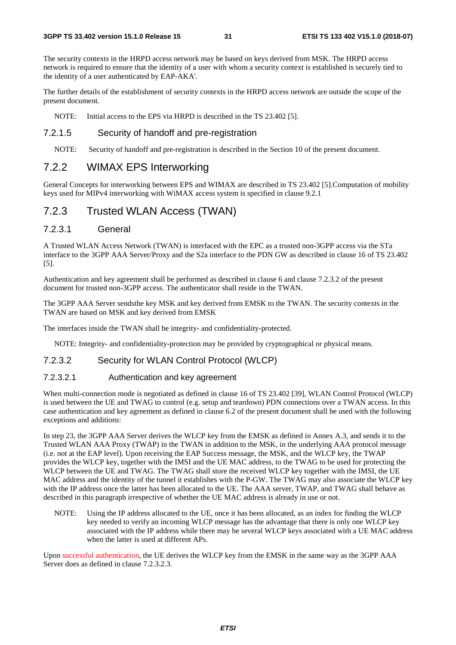The security contexts in the HRPD access network may be based on keys derived from MSK. The HRPD access network is required to ensure that the identity of a user with whom a security context is established is securely tied to the identity of a user authenticated by EAP-AKA'.

The further details of the establishment of security contexts in the HRPD access network are outside the scope of the present document.

NOTE: Initial access to the EPS via HRPD is described in the TS 23.402 [5].

#### 7.2.1.5 Security of handoff and pre-registration

NOTE: Security of handoff and pre-registration is described in the Section 10 of the present document.

### 7.2.2 WIMAX EPS Interworking

General Concepts for interworking between EPS and WIMAX are described in TS 23.402 [5].Computation of mobility keys used for MIPv4 interworking with WiMAX access system is specified in clause 9.2.1

### 7.2.3 Trusted WLAN Access (TWAN)

#### 7.2.3.1 General

A Trusted WLAN Access Network (TWAN) is interfaced with the EPC as a trusted non-3GPP access via the STa interface to the 3GPP AAA Server/Proxy and the S2a interface to the PDN GW as described in clause 16 of TS 23.402 [5].

Authentication and key agreement shall be performed as described in clause 6 and clause 7.2.3.2 of the present document for trusted non-3GPP access. The authenticator shall reside in the TWAN.

The 3GPP AAA Server sendsthe key MSK and key derived from EMSK to the TWAN. The security contexts in the TWAN are based on MSK and key derived from EMSK

The interfaces inside the TWAN shall be integrity- and confidentiality-protected.

NOTE: Integrity- and confidentiality-protection may be provided by cryptographical or physical means.

#### 7.2.3.2 Security for WLAN Control Protocol (WLCP)

#### 7.2.3.2.1 Authentication and key agreement

When multi-connection mode is negotiated as defined in clause 16 of TS 23.402 [39], WLAN Control Protocol (WLCP) is used between the UE and TWAG to control (e.g. setup and teardown) PDN connections over a TWAN access. In this case authentication and key agreement as defined in clause 6.2 of the present document shall be used with the following exceptions and additions:

In step 23, the 3GPP AAA Server derives the WLCP key from the EMSK as defined in Annex A.3, and sends it to the Trusted WLAN AAA Proxy (TWAP) in the TWAN in addition to the MSK, in the underlying AAA protocol message (i.e. not at the EAP level). Upon receiving the EAP Success message, the MSK, and the WLCP key, the TWAP provides the WLCP key, together with the IMSI and the UE MAC address, to the TWAG to be used for protecting the WLCP between the UE and TWAG. The TWAG shall store the received WLCP key together with the IMSI, the UE MAC address and the identity of the tunnel it establishes with the P-GW. The TWAG may also associate the WLCP key with the IP address once the latter has been allocated to the UE. The AAA server, TWAP, and TWAG shall behave as described in this paragraph irrespective of whether the UE MAC address is already in use or not.

NOTE: Using the IP address allocated to the UE, once it has been allocated, as an index for finding the WLCP key needed to verify an incoming WLCP message has the advantage that there is only one WLCP key associated with the IP address while there may be several WLCP keys associated with a UE MAC address when the latter is used at different APs.

Upon successful authentication, the UE derives the WLCP key from the EMSK in the same way as the 3GPP AAA Server does as defined in clause 7.2.3.2.3.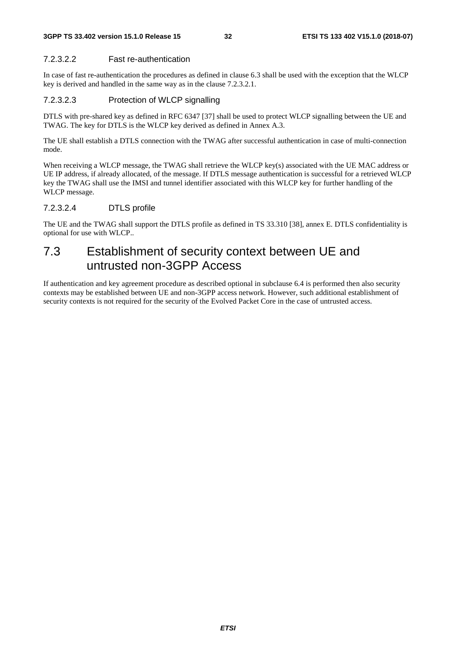#### 7.2.3.2.2 Fast re-authentication

In case of fast re-authentication the procedures as defined in clause 6.3 shall be used with the exception that the WLCP key is derived and handled in the same way as in the clause 7.2.3.2.1.

#### 7.2.3.2.3 Protection of WLCP signalling

DTLS with pre-shared key as defined in RFC 6347 [37] shall be used to protect WLCP signalling between the UE and TWAG. The key for DTLS is the WLCP key derived as defined in Annex A.3.

The UE shall establish a DTLS connection with the TWAG after successful authentication in case of multi-connection mode.

When receiving a WLCP message, the TWAG shall retrieve the WLCP key(s) associated with the UE MAC address or UE IP address, if already allocated, of the message. If DTLS message authentication is successful for a retrieved WLCP key the TWAG shall use the IMSI and tunnel identifier associated with this WLCP key for further handling of the WLCP message.

#### 7.2.3.2.4 DTLS profile

The UE and the TWAG shall support the DTLS profile as defined in TS 33.310 [38], annex E. DTLS confidentiality is optional for use with WLCP..

## 7.3 Establishment of security context between UE and untrusted non-3GPP Access

If authentication and key agreement procedure as described optional in subclause 6.4 is performed then also security contexts may be established between UE and non-3GPP access network. However, such additional establishment of security contexts is not required for the security of the Evolved Packet Core in the case of untrusted access.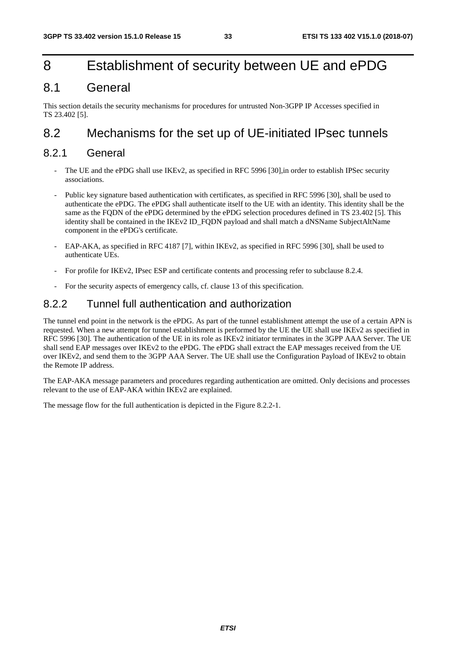## 8 Establishment of security between UE and ePDG

## 8.1 General

This section details the security mechanisms for procedures for untrusted Non-3GPP IP Accesses specified in TS 23.402 [5].

## 8.2 Mechanisms for the set up of UE-initiated IPsec tunnels

### 8.2.1 General

- The UE and the ePDG shall use IKEv2, as specified in RFC 5996 [30], in order to establish IPSec security associations.
- Public key signature based authentication with certificates, as specified in RFC 5996 [30], shall be used to authenticate the ePDG. The ePDG shall authenticate itself to the UE with an identity. This identity shall be the same as the FQDN of the ePDG determined by the ePDG selection procedures defined in TS 23.402 [5]. This identity shall be contained in the IKEv2 ID\_FODN payload and shall match a dNSName SubjectAltName component in the ePDG's certificate.
- EAP-AKA, as specified in RFC 4187 [7], within IKEv2, as specified in RFC 5996 [30], shall be used to authenticate UEs.
- For profile for IKEv2, IPsec ESP and certificate contents and processing refer to subclause 8.2.4.
- For the security aspects of emergency calls, cf. clause 13 of this specification.

### 8.2.2 Tunnel full authentication and authorization

The tunnel end point in the network is the ePDG. As part of the tunnel establishment attempt the use of a certain APN is requested. When a new attempt for tunnel establishment is performed by the UE the UE shall use IKEv2 as specified in RFC 5996 [30]. The authentication of the UE in its role as IKEv2 initiator terminates in the 3GPP AAA Server. The UE shall send EAP messages over IKEv2 to the ePDG. The ePDG shall extract the EAP messages received from the UE over IKEv2, and send them to the 3GPP AAA Server. The UE shall use the Configuration Payload of IKEv2 to obtain the Remote IP address.

The EAP-AKA message parameters and procedures regarding authentication are omitted. Only decisions and processes relevant to the use of EAP-AKA within IKEv2 are explained.

The message flow for the full authentication is depicted in the Figure 8.2.2-1.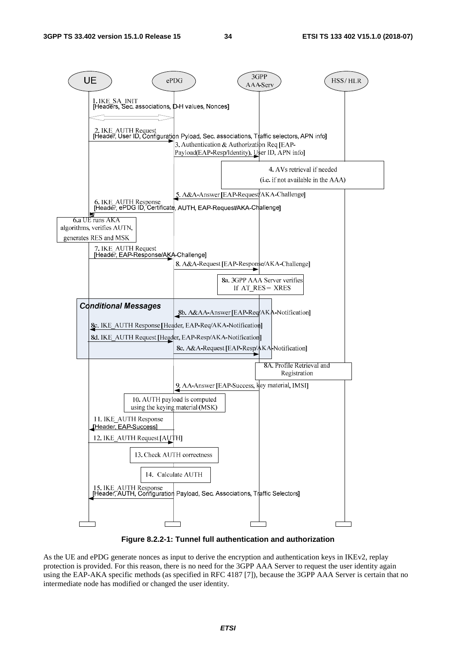

**Figure 8.2.2-1: Tunnel full authentication and authorization** 

As the UE and ePDG generate nonces as input to derive the encryption and authentication keys in IKEv2, replay protection is provided. For this reason, there is no need for the 3GPP AAA Server to request the user identity again using the EAP-AKA specific methods (as specified in RFC 4187 [7]), because the 3GPP AAA Server is certain that no intermediate node has modified or changed the user identity.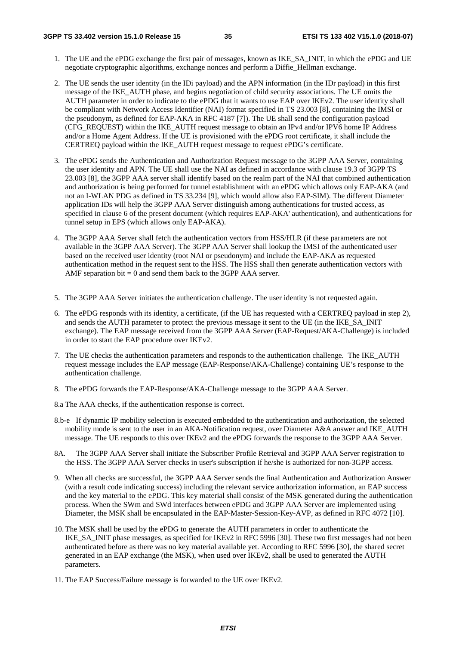- 1. The UE and the ePDG exchange the first pair of messages, known as IKE\_SA\_INIT, in which the ePDG and UE negotiate cryptographic algorithms, exchange nonces and perform a Diffie\_Hellman exchange.
- 2. The UE sends the user identity (in the IDi payload) and the APN information (in the IDr payload) in this first message of the IKE\_AUTH phase, and begins negotiation of child security associations. The UE omits the AUTH parameter in order to indicate to the ePDG that it wants to use EAP over IKEv2. The user identity shall be compliant with Network Access Identifier (NAI) format specified in TS 23.003 [8], containing the IMSI or the pseudonym, as defined for EAP-AKA in RFC 4187 [7]). The UE shall send the configuration payload (CFG\_REQUEST) within the IKE\_AUTH request message to obtain an IPv4 and/or IPV6 home IP Address and/or a Home Agent Address. If the UE is provisioned with the ePDG root certificate, it shall include the CERTREQ payload within the IKE\_AUTH request message to request ePDG's certificate.
- 3. The ePDG sends the Authentication and Authorization Request message to the 3GPP AAA Server, containing the user identity and APN. The UE shall use the NAI as defined in accordance with clause 19.3 of 3GPP TS 23.003 [8], the 3GPP AAA server shall identify based on the realm part of the NAI that combined authentication and authorization is being performed for tunnel establishment with an ePDG which allows only EAP-AKA (and not an I-WLAN PDG as defined in TS 33.234 [9], which would allow also EAP-SIM). The different Diameter application IDs will help the 3GPP AAA Server distinguish among authentications for trusted access, as specified in clause 6 of the present document (which requires EAP-AKA' authentication), and authentications for tunnel setup in EPS (which allows only EAP-AKA).
- 4. The 3GPP AAA Server shall fetch the authentication vectors from HSS/HLR (if these parameters are not available in the 3GPP AAA Server). The 3GPP AAA Server shall lookup the IMSI of the authenticated user based on the received user identity (root NAI or pseudonym) and include the EAP-AKA as requested authentication method in the request sent to the HSS. The HSS shall then generate authentication vectors with AMF separation bit  $= 0$  and send them back to the 3GPP AAA server.
- 5. The 3GPP AAA Server initiates the authentication challenge. The user identity is not requested again.
- 6. The ePDG responds with its identity, a certificate, (if the UE has requested with a CERTREQ payload in step 2), and sends the AUTH parameter to protect the previous message it sent to the UE (in the IKE\_SA\_INIT exchange). The EAP message received from the 3GPP AAA Server (EAP-Request/AKA-Challenge) is included in order to start the EAP procedure over IKEv2.
- 7. The UE checks the authentication parameters and responds to the authentication challenge. The IKE\_AUTH request message includes the EAP message (EAP-Response/AKA-Challenge) containing UE's response to the authentication challenge.
- 8. The ePDG forwards the EAP-Response/AKA-Challenge message to the 3GPP AAA Server.

8.a The AAA checks, if the authentication response is correct.

- 8.b-e If dynamic IP mobility selection is executed embedded to the authentication and authorization, the selected mobility mode is sent to the user in an AKA-Notification request, over Diameter A&A answer and IKE\_AUTH message. The UE responds to this over IKEv2 and the ePDG forwards the response to the 3GPP AAA Server.
- 8A. The 3GPP AAA Server shall initiate the Subscriber Profile Retrieval and 3GPP AAA Server registration to the HSS. The 3GPP AAA Server checks in user's subscription if he/she is authorized for non-3GPP access.
- 9. When all checks are successful, the 3GPP AAA Server sends the final Authentication and Authorization Answer (with a result code indicating success) including the relevant service authorization information, an EAP success and the key material to the ePDG. This key material shall consist of the MSK generated during the authentication process. When the SWm and SWd interfaces between ePDG and 3GPP AAA Server are implemented using Diameter, the MSK shall be encapsulated in the EAP-Master-Session-Key-AVP, as defined in RFC 4072 [10].
- 10. The MSK shall be used by the ePDG to generate the AUTH parameters in order to authenticate the IKE\_SA\_INIT phase messages, as specified for IKEv2 in RFC 5996 [30]. These two first messages had not been authenticated before as there was no key material available yet. According to RFC 5996 [30], the shared secret generated in an EAP exchange (the MSK), when used over IKEv2, shall be used to generated the AUTH parameters.
- 11. The EAP Success/Failure message is forwarded to the UE over IKEv2.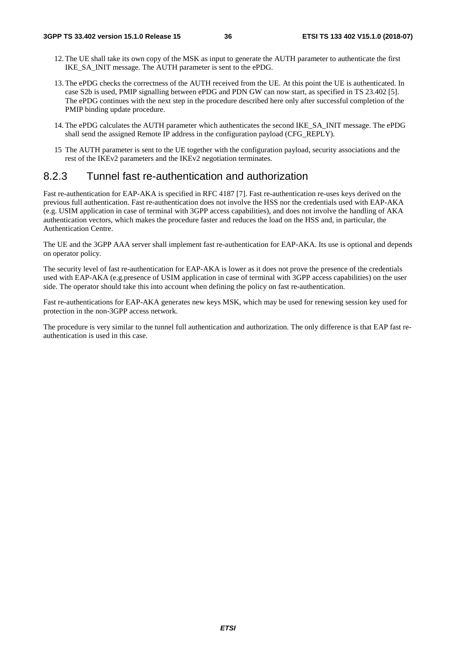- 12. The UE shall take its own copy of the MSK as input to generate the AUTH parameter to authenticate the first IKE\_SA\_INIT message. The AUTH parameter is sent to the ePDG.
- 13. The ePDG checks the correctness of the AUTH received from the UE. At this point the UE is authenticated. In case S2b is used, PMIP signalling between ePDG and PDN GW can now start, as specified in TS 23.402 [5]. The ePDG continues with the next step in the procedure described here only after successful completion of the PMIP binding update procedure.
- 14. The ePDG calculates the AUTH parameter which authenticates the second IKE\_SA\_INIT message. The ePDG shall send the assigned Remote IP address in the configuration payload (CFG\_REPLY).
- 15 The AUTH parameter is sent to the UE together with the configuration payload, security associations and the rest of the IKEv2 parameters and the IKEv2 negotiation terminates.

#### 8.2.3 Tunnel fast re-authentication and authorization

Fast re-authentication for EAP-AKA is specified in RFC 4187 [7]. Fast re-authentication re-uses keys derived on the previous full authentication. Fast re-authentication does not involve the HSS nor the credentials used with EAP-AKA (e.g. USIM application in case of terminal with 3GPP access capabilities), and does not involve the handling of AKA authentication vectors, which makes the procedure faster and reduces the load on the HSS and, in particular, the Authentication Centre.

The UE and the 3GPP AAA server shall implement fast re-authentication for EAP-AKA. Its use is optional and depends on operator policy.

The security level of fast re-authentication for EAP-AKA is lower as it does not prove the presence of the credentials used with EAP-AKA (e.g.presence of USIM application in case of terminal with 3GPP access capabilities) on the user side. The operator should take this into account when defining the policy on fast re-authentication.

Fast re-authentications for EAP-AKA generates new keys MSK, which may be used for renewing session key used for protection in the non-3GPP access network.

The procedure is very similar to the tunnel full authentication and authorization. The only difference is that EAP fast reauthentication is used in this case.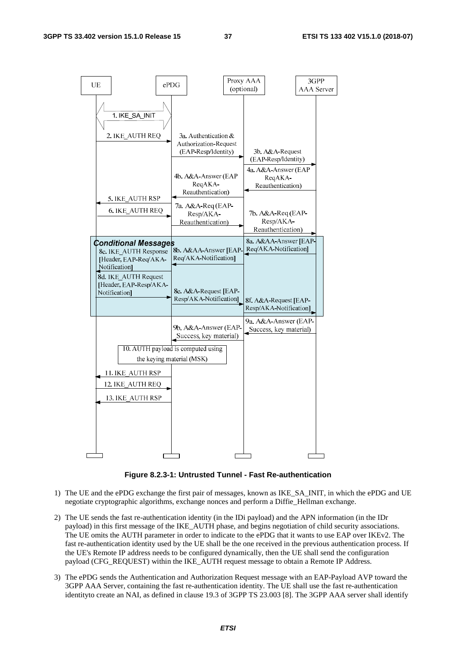

**Figure 8.2.3-1: Untrusted Tunnel - Fast Re-authentication** 

- 1) The UE and the ePDG exchange the first pair of messages, known as IKE\_SA\_INIT, in which the ePDG and UE negotiate cryptographic algorithms, exchange nonces and perform a Diffie\_Hellman exchange.
- 2) The UE sends the fast re-authentication identity (in the IDi payload) and the APN information (in the IDr payload) in this first message of the IKE\_AUTH phase, and begins negotiation of child security associations. The UE omits the AUTH parameter in order to indicate to the ePDG that it wants to use EAP over IKEv2. The fast re-authentication identity used by the UE shall be the one received in the previous authentication process. If the UE's Remote IP address needs to be configured dynamically, then the UE shall send the configuration payload (CFG\_REQUEST) within the IKE\_AUTH request message to obtain a Remote IP Address.
- 3) The ePDG sends the Authentication and Authorization Request message with an EAP-Payload AVP toward the 3GPP AAA Server, containing the fast re-authentication identity. The UE shall use the fast re-authentication identityto create an NAI, as defined in clause 19.3 of 3GPP TS 23.003 [8]. The 3GPP AAA server shall identify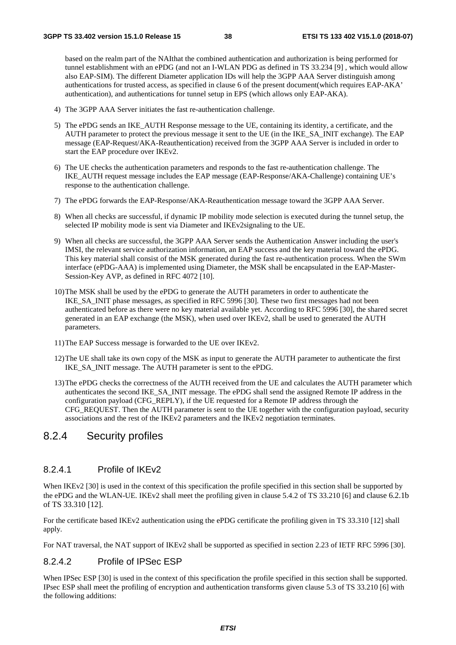based on the realm part of the NAIthat the combined authentication and authorization is being performed for tunnel establishment with an ePDG (and not an I-WLAN PDG as defined in TS 33.234 [9] , which would allow also EAP-SIM). The different Diameter application IDs will help the 3GPP AAA Server distinguish among authentications for trusted access, as specified in clause 6 of the present document(which requires EAP-AKA' authentication), and authentications for tunnel setup in EPS (which allows only EAP-AKA).

- 4) The 3GPP AAA Server initiates the fast re-authentication challenge.
- 5) The ePDG sends an IKE\_AUTH Response message to the UE, containing its identity, a certificate, and the AUTH parameter to protect the previous message it sent to the UE (in the IKE\_SA\_INIT exchange). The EAP message (EAP-Request/AKA-Reauthentication) received from the 3GPP AAA Server is included in order to start the EAP procedure over IKEv2.
- 6) The UE checks the authentication parameters and responds to the fast re-authentication challenge. The IKE\_AUTH request message includes the EAP message (EAP-Response/AKA-Challenge) containing UE's response to the authentication challenge.
- 7) The ePDG forwards the EAP-Response/AKA-Reauthentication message toward the 3GPP AAA Server.
- 8) When all checks are successful, if dynamic IP mobility mode selection is executed during the tunnel setup, the selected IP mobility mode is sent via Diameter and IKEv2signaling to the UE.
- 9) When all checks are successful, the 3GPP AAA Server sends the Authentication Answer including the user's IMSI, the relevant service authorization information, an EAP success and the key material toward the ePDG. This key material shall consist of the MSK generated during the fast re-authentication process. When the SWm interface (ePDG-AAA) is implemented using Diameter, the MSK shall be encapsulated in the EAP-Master-Session-Key AVP, as defined in RFC 4072 [10].
- 10) The MSK shall be used by the ePDG to generate the AUTH parameters in order to authenticate the IKE\_SA\_INIT phase messages, as specified in RFC 5996 [30]. These two first messages had not been authenticated before as there were no key material available yet. According to RFC 5996 [30], the shared secret generated in an EAP exchange (the MSK), when used over IKEv2, shall be used to generated the AUTH parameters.
- 11) The EAP Success message is forwarded to the UE over IKEv2.
- 12) The UE shall take its own copy of the MSK as input to generate the AUTH parameter to authenticate the first IKE\_SA\_INIT message. The AUTH parameter is sent to the ePDG.
- 13) The ePDG checks the correctness of the AUTH received from the UE and calculates the AUTH parameter which authenticates the second IKE\_SA\_INIT message. The ePDG shall send the assigned Remote IP address in the configuration payload (CFG\_REPLY), if the UE requested for a Remote IP address through the CFG\_REQUEST. Then the AUTH parameter is sent to the UE together with the configuration payload, security associations and the rest of the IKEv2 parameters and the IKEv2 negotiation terminates.

#### 8.2.4 Security profiles

#### 8.2.4.1 Profile of IKEv2

When IKEv2 [30] is used in the context of this specification the profile specified in this section shall be supported by the ePDG and the WLAN-UE. IKEv2 shall meet the profiling given in clause 5.4.2 of TS 33.210 [6] and clause 6.2.1b of TS 33.310 [12].

For the certificate based IKEv2 authentication using the ePDG certificate the profiling given in TS 33.310 [12] shall apply.

For NAT traversal, the NAT support of IKEv2 shall be supported as specified in section 2.23 of IETF RFC 5996 [30].

#### 8.2.4.2 Profile of IPSec ESP

When IPSec ESP [30] is used in the context of this specification the profile specified in this section shall be supported. IPsec ESP shall meet the profiling of encryption and authentication transforms given clause 5.3 of TS 33.210 [6] with the following additions: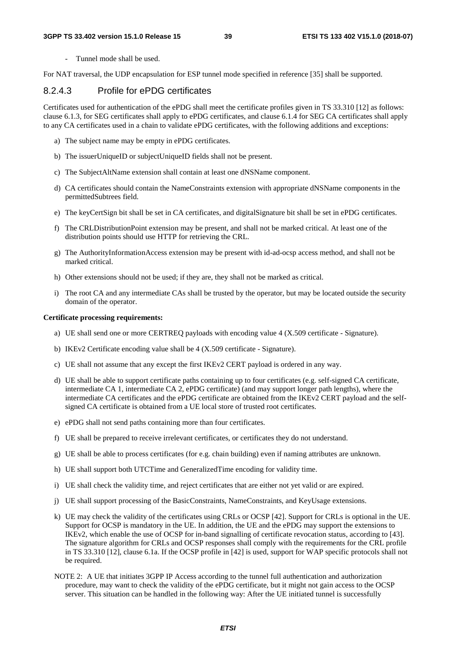- Tunnel mode shall be used.

For NAT traversal, the UDP encapsulation for ESP tunnel mode specified in reference [35] shall be supported.

#### 8.2.4.3 Profile for ePDG certificates

Certificates used for authentication of the ePDG shall meet the certificate profiles given in TS 33.310 [12] as follows: clause 6.1.3, for SEG certificates shall apply to ePDG certificates, and clause 6.1.4 for SEG CA certificates shall apply to any CA certificates used in a chain to validate ePDG certificates, with the following additions and exceptions:

- a) The subject name may be empty in ePDG certificates.
- b) The issuerUniqueID or subjectUniqueID fields shall not be present.
- c) The SubjectAltName extension shall contain at least one dNSName component.
- d) CA certificates should contain the NameConstraints extension with appropriate dNSName components in the permittedSubtrees field.
- e) The keyCertSign bit shall be set in CA certificates, and digitalSignature bit shall be set in ePDG certificates.
- f) The CRLDistributionPoint extension may be present, and shall not be marked critical. At least one of the distribution points should use HTTP for retrieving the CRL.
- g) The AuthorityInformationAccess extension may be present with id-ad-ocsp access method, and shall not be marked critical.
- h) Other extensions should not be used; if they are, they shall not be marked as critical.
- i) The root CA and any intermediate CAs shall be trusted by the operator, but may be located outside the security domain of the operator.

#### **Certificate processing requirements:**

- a) UE shall send one or more CERTREO payloads with encoding value  $4$  (X.509 certificate Signature).
- b) IKEv2 Certificate encoding value shall be 4 (X.509 certificate Signature).
- c) UE shall not assume that any except the first IKEv2 CERT payload is ordered in any way.
- d) UE shall be able to support certificate paths containing up to four certificates (e.g. self-signed CA certificate, intermediate CA 1, intermediate CA 2, ePDG certificate) (and may support longer path lengths), where the intermediate CA certificates and the ePDG certificate are obtained from the IKEv2 CERT payload and the selfsigned CA certificate is obtained from a UE local store of trusted root certificates.
- e) ePDG shall not send paths containing more than four certificates.
- f) UE shall be prepared to receive irrelevant certificates, or certificates they do not understand.
- g) UE shall be able to process certificates (for e.g. chain building) even if naming attributes are unknown.
- h) UE shall support both UTCTime and GeneralizedTime encoding for validity time.
- i) UE shall check the validity time, and reject certificates that are either not yet valid or are expired.
- j) UE shall support processing of the BasicConstraints, NameConstraints, and KeyUsage extensions.
- k) UE may check the validity of the certificates using CRLs or OCSP [42]. Support for CRLs is optional in the UE. Support for OCSP is mandatory in the UE. In addition, the UE and the ePDG may support the extensions to IKEv2, which enable the use of OCSP for in-band signalling of certificate revocation status, according to [43]. The signature algorithm for CRLs and OCSP responses shall comply with the requirements for the CRL profile in TS 33.310 [12], clause 6.1a. If the OCSP profile in [42] is used, support for WAP specific protocols shall not be required.
- NOTE 2: A UE that initiates 3GPP IP Access according to the tunnel full authentication and authorization procedure, may want to check the validity of the ePDG certificate, but it might not gain access to the OCSP server. This situation can be handled in the following way: After the UE initiated tunnel is successfully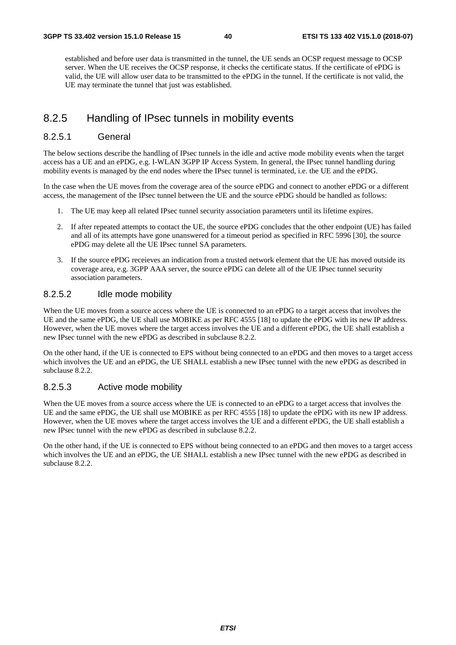established and before user data is transmitted in the tunnel, the UE sends an OCSP request message to OCSP server. When the UE receives the OCSP response, it checks the certificate status. If the certificate of ePDG is valid, the UE will allow user data to be transmitted to the ePDG in the tunnel. If the certificate is not valid, the UE may terminate the tunnel that just was established.

### 8.2.5 Handling of IPsec tunnels in mobility events

#### 8.2.5.1 General

The below sections describe the handling of IPsec tunnels in the idle and active mode mobility events when the target access has a UE and an ePDG, e.g. I-WLAN 3GPP IP Access System. In general, the IPsec tunnel handling during mobility events is managed by the end nodes where the IPsec tunnel is terminated, i.e. the UE and the ePDG.

In the case when the UE moves from the coverage area of the source ePDG and connect to another ePDG or a different access, the management of the IPsec tunnel between the UE and the source ePDG should be handled as follows:

- 1. The UE may keep all related IPsec tunnel security association parameters until its lifetime expires.
- 2. If after repeated attempts to contact the UE, the source ePDG concludes that the other endpoint (UE) has failed and all of its attempts have gone unanswered for a timeout period as specified in RFC 5996 [30], the source ePDG may delete all the UE IPsec tunnel SA parameters.
- 3. If the source ePDG receieves an indication from a trusted network element that the UE has moved outside its coverage area, e.g. 3GPP AAA server, the source ePDG can delete all of the UE IPsec tunnel security association parameters.

#### 8.2.5.2 Idle mode mobility

When the UE moves from a source access where the UE is connected to an ePDG to a target access that involves the UE and the same ePDG, the UE shall use MOBIKE as per RFC 4555 [18] to update the ePDG with its new IP address. However, when the UE moves where the target access involves the UE and a different ePDG, the UE shall establish a new IPsec tunnel with the new ePDG as described in subclause 8.2.2.

On the other hand, if the UE is connected to EPS without being connected to an ePDG and then moves to a target access which involves the UE and an ePDG, the UE SHALL establish a new IPsec tunnel with the new ePDG as described in subclause 8.2.2.

#### 8.2.5.3 Active mode mobility

When the UE moves from a source access where the UE is connected to an ePDG to a target access that involves the UE and the same ePDG, the UE shall use MOBIKE as per RFC 4555 [18] to update the ePDG with its new IP address. However, when the UE moves where the target access involves the UE and a different ePDG, the UE shall establish a new IPsec tunnel with the new ePDG as described in subclause 8.2.2.

On the other hand, if the UE is connected to EPS without being connected to an ePDG and then moves to a target access which involves the UE and an ePDG, the UE SHALL establish a new IPsec tunnel with the new ePDG as described in subclause 8.2.2.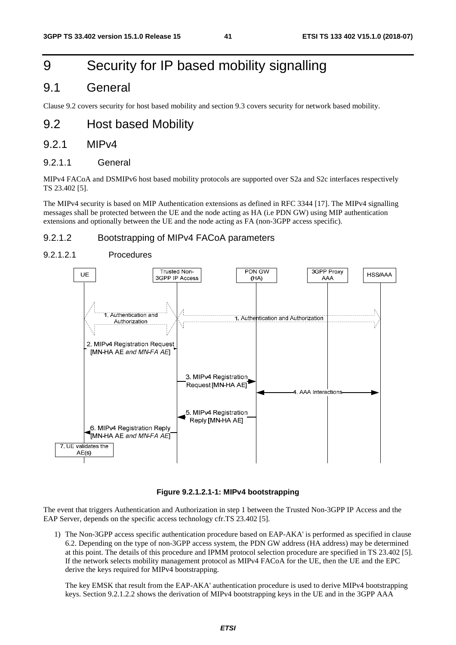## 9 Security for IP based mobility signalling

### 9.1 General

Clause 9.2 covers security for host based mobility and section 9.3 covers security for network based mobility.

### 9.2 Host based Mobility

#### 9.2.1 MIPv4

9.2.1.1 General

MIPv4 FACoA and DSMIPv6 host based mobility protocols are supported over S2a and S2c interfaces respectively TS 23.402 [5].

The MIPv4 security is based on MIP Authentication extensions as defined in RFC 3344 [17]. The MIPv4 signalling messages shall be protected between the UE and the node acting as HA (i.e PDN GW) using MIP authentication extensions and optionally between the UE and the node acting as FA (non-3GPP access specific).

#### 9.2.1.2 Bootstrapping of MIPv4 FACoA parameters

#### 9.2.1.2.1 Procedures



#### **Figure 9.2.1.2.1-1: MIPv4 bootstrapping**

The event that triggers Authentication and Authorization in step 1 between the Trusted Non-3GPP IP Access and the EAP Server, depends on the specific access technology cfr.TS 23.402 [5].

1) The Non-3GPP access specific authentication procedure based on EAP-AKA' is performed as specified in clause 6.2. Depending on the type of non-3GPP access system, the PDN GW address (HA address) may be determined at this point. The details of this procedure and IPMM protocol selection procedure are specified in TS 23.402 [5]. If the network selects mobility management protocol as MIPv4 FACoA for the UE, then the UE and the EPC derive the keys required for MIPv4 bootstrapping.

The key EMSK that result from the EAP-AKA' authentication procedure is used to derive MIPv4 bootstrapping keys. Section 9.2.1.2.2 shows the derivation of MIPv4 bootstrapping keys in the UE and in the 3GPP AAA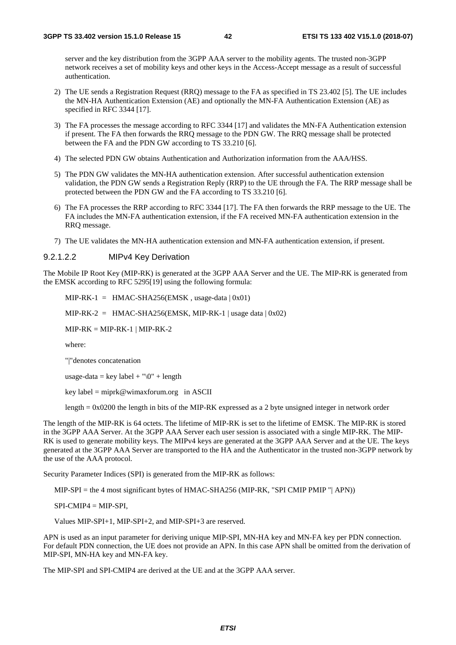server and the key distribution from the 3GPP AAA server to the mobility agents. The trusted non-3GPP network receives a set of mobility keys and other keys in the Access-Accept message as a result of successful authentication.

- 2) The UE sends a Registration Request (RRQ) message to the FA as specified in TS 23.402 [5]. The UE includes the MN-HA Authentication Extension (AE) and optionally the MN-FA Authentication Extension (AE) as specified in RFC 3344 [17].
- 3) The FA processes the message according to RFC 3344 [17] and validates the MN-FA Authentication extension if present. The FA then forwards the RRQ message to the PDN GW. The RRQ message shall be protected between the FA and the PDN GW according to TS 33.210 [6].
- 4) The selected PDN GW obtains Authentication and Authorization information from the AAA/HSS.
- 5) The PDN GW validates the MN-HA authentication extension. After successful authentication extension validation, the PDN GW sends a Registration Reply (RRP) to the UE through the FA. The RRP message shall be protected between the PDN GW and the FA according to TS 33.210 [6].
- 6) The FA processes the RRP according to RFC 3344 [17]. The FA then forwards the RRP message to the UE. The FA includes the MN-FA authentication extension, if the FA received MN-FA authentication extension in the RRQ message.
- 7) The UE validates the MN-HA authentication extension and MN-FA authentication extension, if present.

#### 9.2.1.2.2 MIPv4 Key Derivation

The Mobile IP Root Key (MIP-RK) is generated at the 3GPP AAA Server and the UE. The MIP-RK is generated from the EMSK according to RFC 5295[19] using the following formula:

 $MIP-RK-1 = HMAC-SHA256(EMSK, usage-data | 0x01)$ 

MIP-RK-2 = HMAC-SHA256(EMSK, MIP-RK-1 | usage data  $(0x02)$ )

 $MIP-RK = MIP-RK-1$  |  $MIP-RK-2$ 

where:

"|"denotes concatenation

usage-data = key label + " $0$ " + length

key label = miprk@wimaxforum.org in ASCII

length  $= 0x0200$  the length in bits of the MIP-RK expressed as a 2 byte unsigned integer in network order

The length of the MIP-RK is 64 octets. The lifetime of MIP-RK is set to the lifetime of EMSK. The MIP-RK is stored in the 3GPP AAA Server. At the 3GPP AAA Server each user session is associated with a single MIP-RK. The MIP-RK is used to generate mobility keys. The MIPv4 keys are generated at the 3GPP AAA Server and at the UE. The keys generated at the 3GPP AAA Server are transported to the HA and the Authenticator in the trusted non-3GPP network by the use of the AAA protocol.

Security Parameter Indices (SPI) is generated from the MIP-RK as follows:

MIP-SPI = the 4 most significant bytes of HMAC-SHA256 (MIP-RK, "SPI CMIP PMIP "| APN))

 $SPI-CMIP4 = MIP-SPI$ ,

Values MIP-SPI+1, MIP-SPI+2, and MIP-SPI+3 are reserved.

APN is used as an input parameter for deriving unique MIP-SPI, MN-HA key and MN-FA key per PDN connection. For default PDN connection, the UE does not provide an APN. In this case APN shall be omitted from the derivation of MIP-SPI, MN-HA key and MN-FA key.

The MIP-SPI and SPI-CMIP4 are derived at the UE and at the 3GPP AAA server.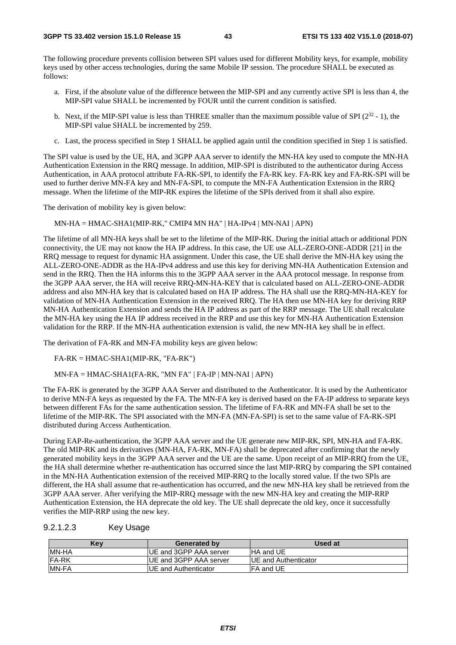The following procedure prevents collision between SPI values used for different Mobility keys, for example, mobility keys used by other access technologies, during the same Mobile IP session. The procedure SHALL be executed as follows:

- a. First, if the absolute value of the difference between the MIP-SPI and any currently active SPI is less than 4, the MIP-SPI value SHALL be incremented by FOUR until the current condition is satisfied.
- b. Next, if the MIP-SPI value is less than THREE smaller than the maximum possible value of SPI ( $2^{32}$  1), the MIP-SPI value SHALL be incremented by 259.
- c. Last, the process specified in Step 1 SHALL be applied again until the condition specified in Step 1 is satisfied.

The SPI value is used by the UE, HA, and 3GPP AAA server to identify the MN-HA key used to compute the MN-HA Authentication Extension in the RRQ message. In addition, MIP-SPI is distributed to the authenticator during Access Authentication, in AAA protocol attribute FA-RK-SPI, to identify the FA-RK key. FA-RK key and FA-RK-SPI will be used to further derive MN-FA key and MN-FA-SPI, to compute the MN-FA Authentication Extension in the RRQ message. When the lifetime of the MIP-RK expires the lifetime of the SPIs derived from it shall also expire.

The derivation of mobility key is given below:

MN-HA = HMAC-SHA1(MIP-RK," CMIP4 MN HA" | HA-IPv4 | MN-NAI | APN)

The lifetime of all MN-HA keys shall be set to the lifetime of the MIP-RK. During the initial attach or additional PDN connectivity, the UE may not know the HA IP address. In this case, the UE use ALL-ZERO-ONE-ADDR [21] in the RRQ message to request for dynamic HA assignment. Under this case, the UE shall derive the MN-HA key using the ALL-ZERO-ONE-ADDR as the HA-IPv4 address and use this key for deriving MN-HA Authentication Extension and send in the RRQ. Then the HA informs this to the 3GPP AAA server in the AAA protocol message. In response from the 3GPP AAA server, the HA will receive RRQ-MN-HA-KEY that is calculated based on ALL-ZERO-ONE-ADDR address and also MN-HA key that is calculated based on HA IP address. The HA shall use the RRQ-MN-HA-KEY for validation of MN-HA Authentication Extension in the received RRQ. The HA then use MN-HA key for deriving RRP MN-HA Authentication Extension and sends the HA IP address as part of the RRP message. The UE shall recalculate the MN-HA key using the HA IP address received in the RRP and use this key for MN-HA Authentication Extension validation for the RRP. If the MN-HA authentication extension is valid, the new MN-HA key shall be in effect.

The derivation of FA-RK and MN-FA mobility keys are given below:

FA-RK = HMAC-SHA1(MIP-RK, "FA-RK")

MN-FA = HMAC-SHA1(FA-RK, "MN FA" | FA-IP | MN-NAI | APN)

The FA-RK is generated by the 3GPP AAA Server and distributed to the Authenticator. It is used by the Authenticator to derive MN-FA keys as requested by the FA. The MN-FA key is derived based on the FA-IP address to separate keys between different FAs for the same authentication session. The lifetime of FA-RK and MN-FA shall be set to the lifetime of the MIP-RK. The SPI associated with the MN-FA (MN-FA-SPI) is set to the same value of FA-RK-SPI distributed during Access Authentication.

During EAP-Re-authentication, the 3GPP AAA server and the UE generate new MIP-RK, SPI, MN-HA and FA-RK. The old MIP-RK and its derivatives (MN-HA, FA-RK, MN-FA) shall be deprecated after confirming that the newly generated mobility keys in the 3GPP AAA server and the UE are the same. Upon receipt of an MIP-RRQ from the UE, the HA shall determine whether re-authentication has occurred since the last MIP-RRQ by comparing the SPI contained in the MN-HA Authentication extension of the received MIP-RRQ to the locally stored value. If the two SPIs are different, the HA shall assume that re-authentication has occurred, and the new MN-HA key shall be retrieved from the 3GPP AAA server. After verifying the MIP-RRQ message with the new MN-HA key and creating the MIP-RRP Authentication Extension, the HA deprecate the old key. The UE shall deprecate the old key, once it successfully verifies the MIP-RRP using the new key.

| 9.2.1.2.3 | Key Usage |
|-----------|-----------|
|           |           |

| Kev           | <b>Generated by</b>            | Used at                      |
|---------------|--------------------------------|------------------------------|
| <b>IMN-HA</b> | <b>IUE and 3GPP AAA server</b> | <b>IHA and UE</b>            |
| <b>FA-RK</b>  | <b>IUE and 3GPP AAA server</b> | <b>IUE and Authenticator</b> |
| <b>IMN-FA</b> | <b>IUE and Authenticator</b>   | IFA and UE                   |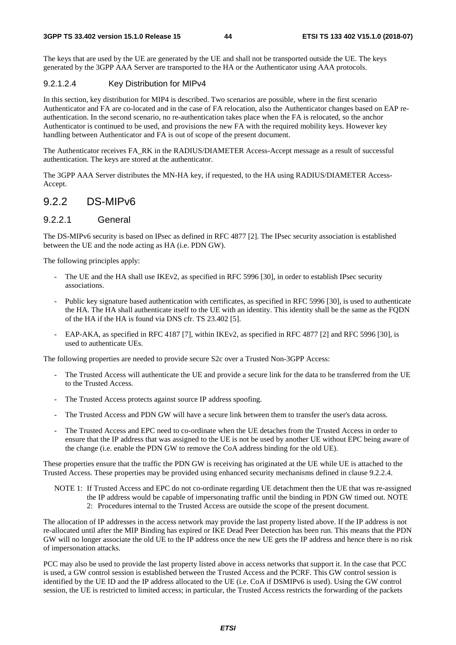The keys that are used by the UE are generated by the UE and shall not be transported outside the UE. The keys generated by the 3GPP AAA Server are transported to the HA or the Authenticator using AAA protocols.

#### 9.2.1.2.4 Key Distribution for MIPv4

In this section, key distribution for MIP4 is described. Two scenarios are possible, where in the first scenario Authenticator and FA are co-located and in the case of FA relocation, also the Authenticator changes based on EAP reauthentication. In the second scenario, no re-authentication takes place when the FA is relocated, so the anchor Authenticator is continued to be used, and provisions the new FA with the required mobility keys. However key handling between Authenticator and FA is out of scope of the present document.

The Authenticator receives FA\_RK in the RADIUS/DIAMETER Access-Accept message as a result of successful authentication. The keys are stored at the authenticator.

The 3GPP AAA Server distributes the MN-HA key, if requested, to the HA using RADIUS/DIAMETER Access-Accept.

#### 9.2.2 DS-MIPv6

#### 9.2.2.1 General

The DS-MIPv6 security is based on IPsec as defined in RFC 4877 [2]. The IPsec security association is established between the UE and the node acting as HA (i.e. PDN GW).

The following principles apply:

- The UE and the HA shall use IKEv2, as specified in RFC 5996 [30], in order to establish IPsec security associations.
- Public key signature based authentication with certificates, as specified in RFC 5996 [30], is used to authenticate the HA. The HA shall authenticate itself to the UE with an identity. This identity shall be the same as the FQDN of the HA if the HA is found via DNS cfr. TS 23.402 [5].
- EAP-AKA, as specified in RFC 4187 [7], within IKEv2, as specified in RFC 4877 [2] and RFC 5996 [30], is used to authenticate UEs.

The following properties are needed to provide secure S2c over a Trusted Non-3GPP Access:

- The Trusted Access will authenticate the UE and provide a secure link for the data to be transferred from the UE to the Trusted Access.
- The Trusted Access protects against source IP address spoofing.
- The Trusted Access and PDN GW will have a secure link between them to transfer the user's data across.
- The Trusted Access and EPC need to co-ordinate when the UE detaches from the Trusted Access in order to ensure that the IP address that was assigned to the UE is not be used by another UE without EPC being aware of the change (i.e. enable the PDN GW to remove the CoA address binding for the old UE).

These properties ensure that the traffic the PDN GW is receiving has originated at the UE while UE is attached to the Trusted Access. These properties may be provided using enhanced security mechanisms defined in clause 9.2.2.4.

NOTE 1: If Trusted Access and EPC do not co-ordinate regarding UE detachment then the UE that was re-assigned the IP address would be capable of impersonating traffic until the binding in PDN GW timed out. NOTE 2: Procedures internal to the Trusted Access are outside the scope of the present document.

The allocation of IP addresses in the access network may provide the last property listed above. If the IP address is not re-allocated until after the MIP Binding has expired or IKE Dead Peer Detection has been run. This means that the PDN GW will no longer associate the old UE to the IP address once the new UE gets the IP address and hence there is no risk of impersonation attacks.

PCC may also be used to provide the last property listed above in access networks that support it. In the case that PCC is used, a GW control session is established between the Trusted Access and the PCRF. This GW control session is identified by the UE ID and the IP address allocated to the UE (i.e. CoA if DSMIPv6 is used). Using the GW control session, the UE is restricted to limited access; in particular, the Trusted Access restricts the forwarding of the packets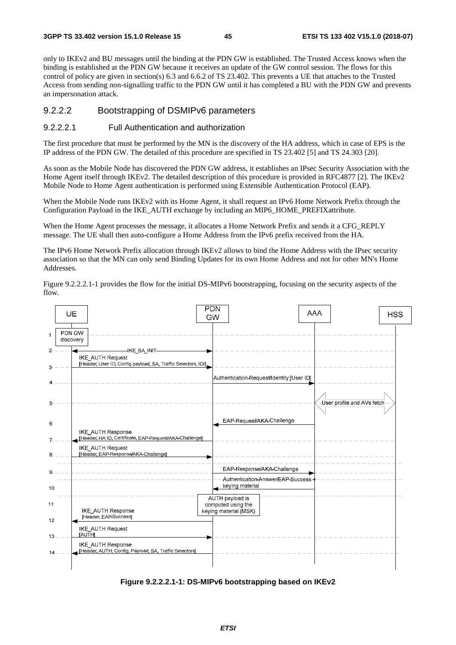only to IKEv2 and BU messages until the binding at the PDN GW is established. The Trusted Access knows when the binding is established at the PDN GW because it receives an update of the GW control session. The flows for this control of policy are given in section(s) 6.3 and 6.6.2 of TS 23.402. This prevents a UE that attaches to the Trusted Access from sending non-signalling traffic to the PDN GW until it has completed a BU with the PDN GW and prevents an impersonation attack.

#### 9.2.2.2 Bootstrapping of DSMIPv6 parameters

#### 9.2.2.2.1 Full Authentication and authorization

The first procedure that must be performed by the MN is the discovery of the HA address, which in case of EPS is the IP address of the PDN GW. The detailed of this procedure are specified in TS 23.402 [5] and TS 24.303 [20].

As soon as the Mobile Node has discovered the PDN GW address, it establishes an IPsec Security Association with the Home Agent itself through IKEv2. The detailed description of this procedure is provided in RFC4877 [2]. The IKEv2 Mobile Node to Home Agent authentication is performed using Extensible Authentication Protocol (EAP).

When the Mobile Node runs IKEv2 with its Home Agent, it shall request an IPv6 Home Network Prefix through the Configuration Payload in the IKE\_AUTH exchange by including an MIP6\_HOME\_PREFIXattribute.

When the Home Agent processes the message, it allocates a Home Network Prefix and sends it a CFG\_REPLY message. The UE shall then auto-configure a Home Address from the IPv6 prefix received from the HA.

The IPv6 Home Network Prefix allocation through IKEv2 allows to bind the Home Address with the IPsec security association so that the MN can only send Binding Updates for its own Home Address and not for other MN's Home Addresses.

Figure 9.2.2.2.1-1 provides the flow for the initial DS-MIPv6 bootstrapping, focusing on the security aspects of the flow.



**Figure 9.2.2.2.1-1: DS-MIPv6 bootstrapping based on IKEv2**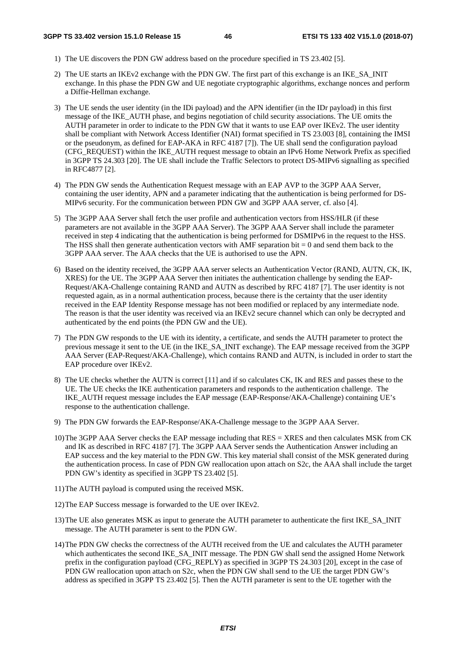- 1) The UE discovers the PDN GW address based on the procedure specified in TS 23.402 [5].
- 2) The UE starts an IKEv2 exchange with the PDN GW. The first part of this exchange is an IKE\_SA\_INIT exchange. In this phase the PDN GW and UE negotiate cryptographic algorithms, exchange nonces and perform a Diffie-Hellman exchange.
- 3) The UE sends the user identity (in the IDi payload) and the APN identifier (in the IDr payload) in this first message of the IKE\_AUTH phase, and begins negotiation of child security associations. The UE omits the AUTH parameter in order to indicate to the PDN GW that it wants to use EAP over IKEv2. The user identity shall be compliant with Network Access Identifier (NAI) format specified in TS 23.003 [8], containing the IMSI or the pseudonym, as defined for EAP-AKA in RFC 4187 [7]). The UE shall send the configuration payload (CFG\_REQUEST) within the IKE\_AUTH request message to obtain an IPv6 Home Network Prefix as specified in 3GPP TS 24.303 [20]. The UE shall include the Traffic Selectors to protect DS-MIPv6 signalling as specified in RFC4877 [2].
- 4) The PDN GW sends the Authentication Request message with an EAP AVP to the 3GPP AAA Server, containing the user identity, APN and a parameter indicating that the authentication is being performed for DS-MIPv6 security. For the communication between PDN GW and 3GPP AAA server, cf. also [4].
- 5) The 3GPP AAA Server shall fetch the user profile and authentication vectors from HSS/HLR (if these parameters are not available in the 3GPP AAA Server). The 3GPP AAA Server shall include the parameter received in step 4 indicating that the authentication is being performed for DSMIPv6 in the request to the HSS. The HSS shall then generate authentication vectors with AMF separation bit  $= 0$  and send them back to the 3GPP AAA server. The AAA checks that the UE is authorised to use the APN.
- 6) Based on the identity received, the 3GPP AAA server selects an Authentication Vector (RAND, AUTN, CK, IK, XRES) for the UE. The 3GPP AAA Server then initiates the authentication challenge by sending the EAP-Request/AKA-Challenge containing RAND and AUTN as described by RFC 4187 [7]. The user identity is not requested again, as in a normal authentication process, because there is the certainty that the user identity received in the EAP Identity Response message has not been modified or replaced by any intermediate node. The reason is that the user identity was received via an IKEv2 secure channel which can only be decrypted and authenticated by the end points (the PDN GW and the UE).
- 7) The PDN GW responds to the UE with its identity, a certificate, and sends the AUTH parameter to protect the previous message it sent to the UE (in the IKE\_SA\_INIT exchange). The EAP message received from the 3GPP AAA Server (EAP-Request/AKA-Challenge), which contains RAND and AUTN, is included in order to start the EAP procedure over IKEv2.
- 8) The UE checks whether the AUTN is correct [11] and if so calculates CK, IK and RES and passes these to the UE. The UE checks the IKE authentication parameters and responds to the authentication challenge. The IKE\_AUTH request message includes the EAP message (EAP-Response/AKA-Challenge) containing UE's response to the authentication challenge.
- 9) The PDN GW forwards the EAP-Response/AKA-Challenge message to the 3GPP AAA Server.
- 10) The 3GPP AAA Server checks the EAP message including that RES = XRES and then calculates MSK from CK and IK as described in RFC 4187 [7]. The 3GPP AAA Server sends the Authentication Answer including an EAP success and the key material to the PDN GW. This key material shall consist of the MSK generated during the authentication process. In case of PDN GW reallocation upon attach on S2c, the AAA shall include the target PDN GW's identity as specified in 3GPP TS 23.402 [5].
- 11) The AUTH payload is computed using the received MSK.
- 12) The EAP Success message is forwarded to the UE over IKEv2.
- 13) The UE also generates MSK as input to generate the AUTH parameter to authenticate the first IKE\_SA\_INIT message. The AUTH parameter is sent to the PDN GW.
- 14) The PDN GW checks the correctness of the AUTH received from the UE and calculates the AUTH parameter which authenticates the second IKE\_SA\_INIT message. The PDN GW shall send the assigned Home Network prefix in the configuration payload (CFG\_REPLY) as specified in 3GPP TS 24.303 [20], except in the case of PDN GW reallocation upon attach on S2c, when the PDN GW shall send to the UE the target PDN GW's address as specified in 3GPP TS 23.402 [5]. Then the AUTH parameter is sent to the UE together with the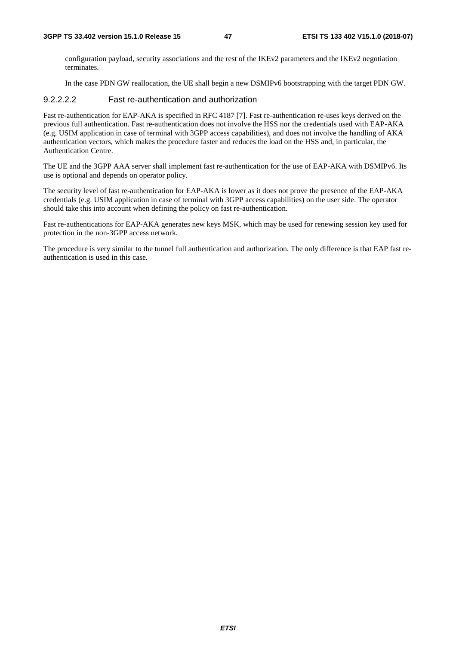configuration payload, security associations and the rest of the IKEv2 parameters and the IKEv2 negotiation terminates.

In the case PDN GW reallocation, the UE shall begin a new DSMIPv6 bootstrapping with the target PDN GW.

#### 9.2.2.2.2 Fast re-authentication and authorization

Fast re-authentication for EAP-AKA is specified in RFC 4187 [7]. Fast re-authentication re-uses keys derived on the previous full authentication. Fast re-authentication does not involve the HSS nor the credentials used with EAP-AKA (e.g. USIM application in case of terminal with 3GPP access capabilities), and does not involve the handling of AKA authentication vectors, which makes the procedure faster and reduces the load on the HSS and, in particular, the Authentication Centre.

The UE and the 3GPP AAA server shall implement fast re-authentication for the use of EAP-AKA with DSMIPv6. Its use is optional and depends on operator policy.

The security level of fast re-authentication for EAP-AKA is lower as it does not prove the presence of the EAP-AKA credentials (e.g. USIM application in case of terminal with 3GPP access capabilities) on the user side. The operator should take this into account when defining the policy on fast re-authentication.

Fast re-authentications for EAP-AKA generates new keys MSK, which may be used for renewing session key used for protection in the non-3GPP access network.

The procedure is very similar to the tunnel full authentication and authorization. The only difference is that EAP fast reauthentication is used in this case.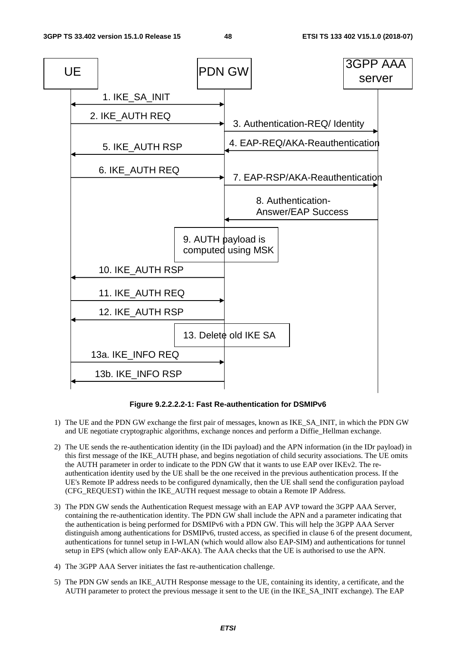

**Figure 9.2.2.2.2-1: Fast Re-authentication for DSMIPv6** 

- 1) The UE and the PDN GW exchange the first pair of messages, known as IKE\_SA\_INIT, in which the PDN GW and UE negotiate cryptographic algorithms, exchange nonces and perform a Diffie\_Hellman exchange.
- 2) The UE sends the re-authentication identity (in the IDi payload) and the APN information (in the IDr payload) in this first message of the IKE\_AUTH phase, and begins negotiation of child security associations. The UE omits the AUTH parameter in order to indicate to the PDN GW that it wants to use EAP over IKEv2. The reauthentication identity used by the UE shall be the one received in the previous authentication process. If the UE's Remote IP address needs to be configured dynamically, then the UE shall send the configuration payload (CFG\_REQUEST) within the IKE\_AUTH request message to obtain a Remote IP Address.
- 3) The PDN GW sends the Authentication Request message with an EAP AVP toward the 3GPP AAA Server, containing the re-authentication identity. The PDN GW shall include the APN and a parameter indicating that the authentication is being performed for DSMIPv6 with a PDN GW. This will help the 3GPP AAA Server distinguish among authentications for DSMIPv6, trusted access, as specified in clause 6 of the present document, authentications for tunnel setup in I-WLAN (which would allow also EAP-SIM) and authentications for tunnel setup in EPS (which allow only EAP-AKA). The AAA checks that the UE is authorised to use the APN.
- 4) The 3GPP AAA Server initiates the fast re-authentication challenge.
- 5) The PDN GW sends an IKE\_AUTH Response message to the UE, containing its identity, a certificate, and the AUTH parameter to protect the previous message it sent to the UE (in the IKE\_SA\_INIT exchange). The EAP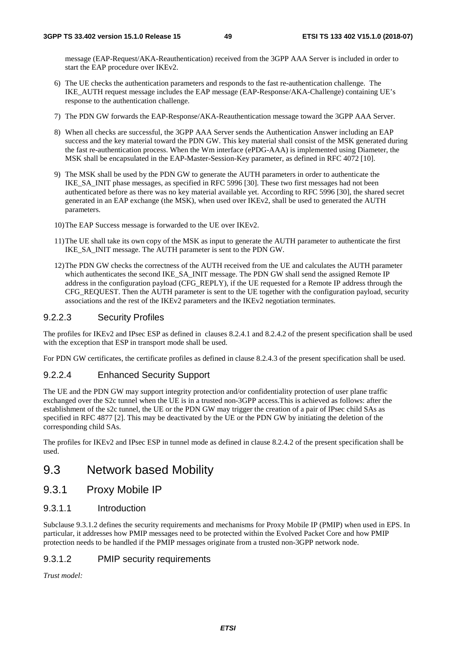message (EAP-Request/AKA-Reauthentication) received from the 3GPP AAA Server is included in order to start the EAP procedure over IKEv2.

- 6) The UE checks the authentication parameters and responds to the fast re-authentication challenge. The IKE\_AUTH request message includes the EAP message (EAP-Response/AKA-Challenge) containing UE's response to the authentication challenge.
- 7) The PDN GW forwards the EAP-Response/AKA-Reauthentication message toward the 3GPP AAA Server.
- 8) When all checks are successful, the 3GPP AAA Server sends the Authentication Answer including an EAP success and the key material toward the PDN GW. This key material shall consist of the MSK generated during the fast re-authentication process. When the Wm interface (ePDG-AAA) is implemented using Diameter, the MSK shall be encapsulated in the EAP-Master-Session-Key parameter, as defined in RFC 4072 [10].
- 9) The MSK shall be used by the PDN GW to generate the AUTH parameters in order to authenticate the IKE\_SA\_INIT phase messages, as specified in RFC 5996 [30]. These two first messages had not been authenticated before as there was no key material available yet. According to RFC 5996 [30], the shared secret generated in an EAP exchange (the MSK), when used over IKEv2, shall be used to generated the AUTH parameters.
- 10) The EAP Success message is forwarded to the UE over IKEv2.
- 11) The UE shall take its own copy of the MSK as input to generate the AUTH parameter to authenticate the first IKE\_SA\_INIT message. The AUTH parameter is sent to the PDN GW.
- 12) The PDN GW checks the correctness of the AUTH received from the UE and calculates the AUTH parameter which authenticates the second IKE\_SA\_INIT message. The PDN GW shall send the assigned Remote IP address in the configuration payload (CFG\_REPLY), if the UE requested for a Remote IP address through the CFG\_REQUEST. Then the AUTH parameter is sent to the UE together with the configuration payload, security associations and the rest of the IKEv2 parameters and the IKEv2 negotiation terminates.

#### 9.2.2.3 Security Profiles

The profiles for IKEv2 and IPsec ESP as defined in clauses 8.2.4.1 and 8.2.4.2 of the present specification shall be used with the exception that ESP in transport mode shall be used.

For PDN GW certificates, the certificate profiles as defined in clause 8.2.4.3 of the present specification shall be used.

#### 9.2.2.4 Enhanced Security Support

The UE and the PDN GW may support integrity protection and/or confidentiality protection of user plane traffic exchanged over the S2c tunnel when the UE is in a trusted non-3GPP access.This is achieved as follows: after the establishment of the s2c tunnel, the UE or the PDN GW may trigger the creation of a pair of IPsec child SAs as specified in RFC 4877 [2]. This may be deactivated by the UE or the PDN GW by initiating the deletion of the corresponding child SAs.

The profiles for IKEv2 and IPsec ESP in tunnel mode as defined in clause 8.2.4.2 of the present specification shall be used.

### 9.3 Network based Mobility

#### 9.3.1 Proxy Mobile IP

9.3.1.1 Introduction

Subclause 9.3.1.2 defines the security requirements and mechanisms for Proxy Mobile IP (PMIP) when used in EPS. In particular, it addresses how PMIP messages need to be protected within the Evolved Packet Core and how PMIP protection needs to be handled if the PMIP messages originate from a trusted non-3GPP network node.

#### 9.3.1.2 PMIP security requirements

*Trust model:*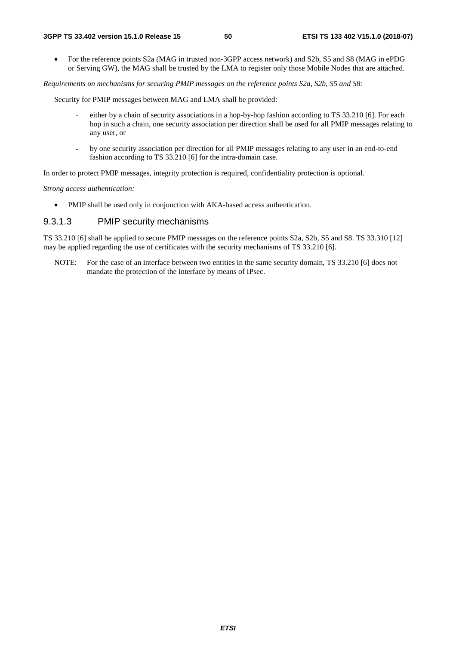• For the reference points S2a (MAG in trusted non-3GPP access network) and S2b, S5 and S8 (MAG in ePDG or Serving GW), the MAG shall be trusted by the LMA to register only those Mobile Nodes that are attached.

*Requirements on mechanisms for securing PMIP messages on the reference points S2a, S2b, S5 and S8:* 

Security for PMIP messages between MAG and LMA shall be provided:

- either by a chain of security associations in a hop-by-hop fashion according to TS 33.210 [6]. For each hop in such a chain, one security association per direction shall be used for all PMIP messages relating to any user, or
- *-* by one security association per direction for all PMIP messages relating to any user in an end-to-end fashion according to TS 33.210 [6] for the intra-domain case.

In order to protect PMIP messages, integrity protection is required, confidentiality protection is optional.

*Strong access authentication:* 

• PMIP shall be used only in conjunction with AKA-based access authentication.

#### 9.3.1.3 PMIP security mechanisms

TS 33.210 [6] shall be applied to secure PMIP messages on the reference points S2a, S2b, S5 and S8. TS 33.310 [12] may be applied regarding the use of certificates with the security mechanisms of TS 33.210 [6].

NOTE: For the case of an interface between two entities in the same security domain, TS 33.210 [6] does not mandate the protection of the interface by means of IPsec.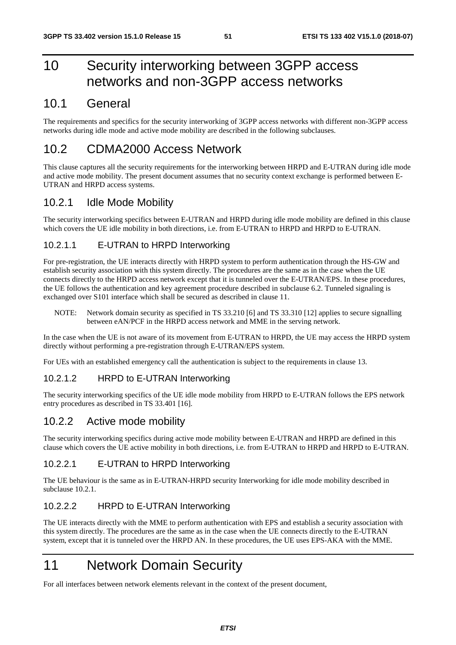## 10 Security interworking between 3GPP access networks and non-3GPP access networks

## 10.1 General

The requirements and specifics for the security interworking of 3GPP access networks with different non-3GPP access networks during idle mode and active mode mobility are described in the following subclauses.

## 10.2 CDMA2000 Access Network

This clause captures all the security requirements for the interworking between HRPD and E-UTRAN during idle mode and active mode mobility. The present document assumes that no security context exchange is performed between E-UTRAN and HRPD access systems.

### 10.2.1 Idle Mode Mobility

The security interworking specifics between E-UTRAN and HRPD during idle mode mobility are defined in this clause which covers the UE idle mobility in both directions, i.e. from E-UTRAN to HRPD and HRPD to E-UTRAN.

### 10.2.1.1 E-UTRAN to HRPD Interworking

For pre-registration, the UE interacts directly with HRPD system to perform authentication through the HS-GW and establish security association with this system directly. The procedures are the same as in the case when the UE connects directly to the HRPD access network except that it is tunneled over the E-UTRAN/EPS. In these procedures, the UE follows the authentication and key agreement procedure described in subclause 6.2. Tunneled signaling is exchanged over S101 interface which shall be secured as described in clause 11.

NOTE: Network domain security as specified in TS 33.210 [6] and TS 33.310 [12] applies to secure signalling between eAN/PCF in the HRPD access network and MME in the serving network.

In the case when the UE is not aware of its movement from E-UTRAN to HRPD, the UE may access the HRPD system directly without performing a pre-registration through E-UTRAN/EPS system.

For UEs with an established emergency call the authentication is subject to the requirements in clause 13.

#### 10.2.1.2 HRPD to E-UTRAN Interworking

The security interworking specifics of the UE idle mode mobility from HRPD to E-UTRAN follows the EPS network entry procedures as described in TS 33.401 [16].

### 10.2.2 Active mode mobility

The security interworking specifics during active mode mobility between E-UTRAN and HRPD are defined in this clause which covers the UE active mobility in both directions, i.e. from E-UTRAN to HRPD and HRPD to E-UTRAN.

#### 10.2.2.1 E-UTRAN to HRPD Interworking

The UE behaviour is the same as in E-UTRAN-HRPD security Interworking for idle mode mobility described in subclause 10.2.1.

#### 10.2.2.2 HRPD to E-UTRAN Interworking

The UE interacts directly with the MME to perform authentication with EPS and establish a security association with this system directly. The procedures are the same as in the case when the UE connects directly to the E-UTRAN system, except that it is tunneled over the HRPD AN. In these procedures, the UE uses EPS-AKA with the MME.

## 11 Network Domain Security

For all interfaces between network elements relevant in the context of the present document,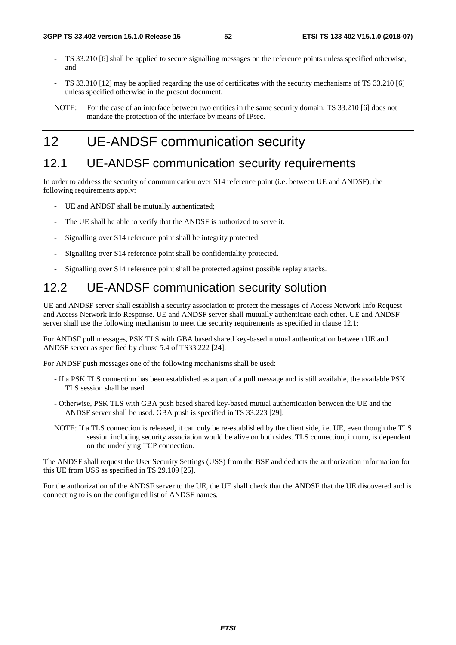- TS 33.210 [6] shall be applied to secure signalling messages on the reference points unless specified otherwise, and
- TS 33.310 [12] may be applied regarding the use of certificates with the security mechanisms of TS 33.210 [6] unless specified otherwise in the present document.

## 12 UE-ANDSF communication security

### 12.1 UE-ANDSF communication security requirements

In order to address the security of communication over S14 reference point (i.e. between UE and ANDSF), the following requirements apply:

- UE and ANDSF shall be mutually authenticated:
- The UE shall be able to verify that the ANDSF is authorized to serve it.
- Signalling over S14 reference point shall be integrity protected
- Signalling over S14 reference point shall be confidentiality protected.
- Signalling over S14 reference point shall be protected against possible replay attacks.

## 12.2 UE-ANDSF communication security solution

UE and ANDSF server shall establish a security association to protect the messages of Access Network Info Request and Access Network Info Response. UE and ANDSF server shall mutually authenticate each other. UE and ANDSF server shall use the following mechanism to meet the security requirements as specified in clause 12.1:

For ANDSF pull messages, PSK TLS with GBA based shared key-based mutual authentication between UE and ANDSF server as specified by clause 5.4 of TS33.222 [24].

For ANDSF push messages one of the following mechanisms shall be used:

- If a PSK TLS connection has been established as a part of a pull message and is still available, the available PSK TLS session shall be used.
- Otherwise, PSK TLS with GBA push based shared key-based mutual authentication between the UE and the ANDSF server shall be used. GBA push is specified in TS 33.223 [29].
- NOTE: If a TLS connection is released, it can only be re-established by the client side, i.e. UE, even though the TLS session including security association would be alive on both sides. TLS connection, in turn, is dependent on the underlying TCP connection.

The ANDSF shall request the User Security Settings (USS) from the BSF and deducts the authorization information for this UE from USS as specified in TS 29.109 [25].

For the authorization of the ANDSF server to the UE, the UE shall check that the ANDSF that the UE discovered and is connecting to is on the configured list of ANDSF names.

NOTE: For the case of an interface between two entities in the same security domain, TS 33.210 [6] does not mandate the protection of the interface by means of IPsec.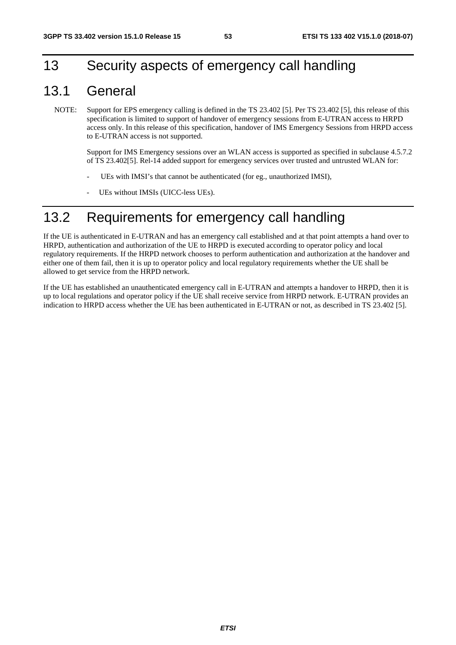## 13 Security aspects of emergency call handling

## 13.1 General

NOTE: Support for EPS emergency calling is defined in the TS 23.402 [5]. Per TS 23.402 [5], this release of this specification is limited to support of handover of emergency sessions from E-UTRAN access to HRPD access only. In this release of this specification, handover of IMS Emergency Sessions from HRPD access to E-UTRAN access is not supported.

 Support for IMS Emergency sessions over an WLAN access is supported as specified in subclause 4.5.7.2 of TS 23.402[5]. Rel-14 added support for emergency services over trusted and untrusted WLAN for:

- UEs with IMSI's that cannot be authenticated (for eg., unauthorized IMSI),
- UEs without IMSIs (UICC-less UEs).

## 13.2 Requirements for emergency call handling

If the UE is authenticated in E-UTRAN and has an emergency call established and at that point attempts a hand over to HRPD, authentication and authorization of the UE to HRPD is executed according to operator policy and local regulatory requirements. If the HRPD network chooses to perform authentication and authorization at the handover and either one of them fail, then it is up to operator policy and local regulatory requirements whether the UE shall be allowed to get service from the HRPD network.

If the UE has established an unauthenticated emergency call in E-UTRAN and attempts a handover to HRPD, then it is up to local regulations and operator policy if the UE shall receive service from HRPD network. E-UTRAN provides an indication to HRPD access whether the UE has been authenticated in E-UTRAN or not, as described in TS 23.402 [5].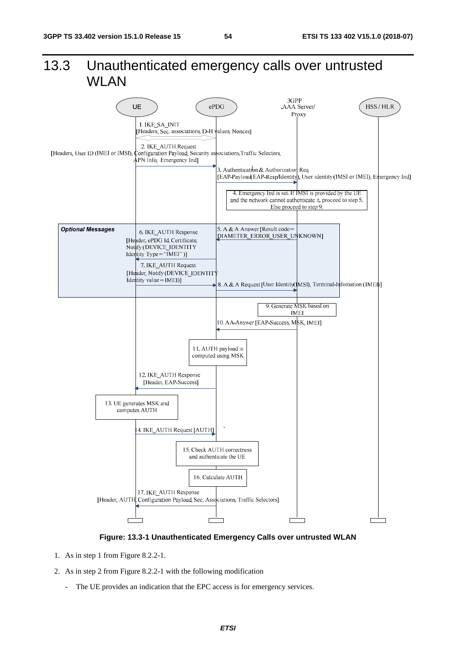## 13.3 Unauthenticated emergency calls over untrusted WLAN



#### **Figure: 13.3-1 Unauthenticated Emergency Calls over untrusted WLAN**

- 1. As in step 1 from Figure 8.2.2-1.
- 2. As in step 2 from Figure 8.2.2-1 with the following modification
	- The UE provides an indication that the EPC access is for emergency services.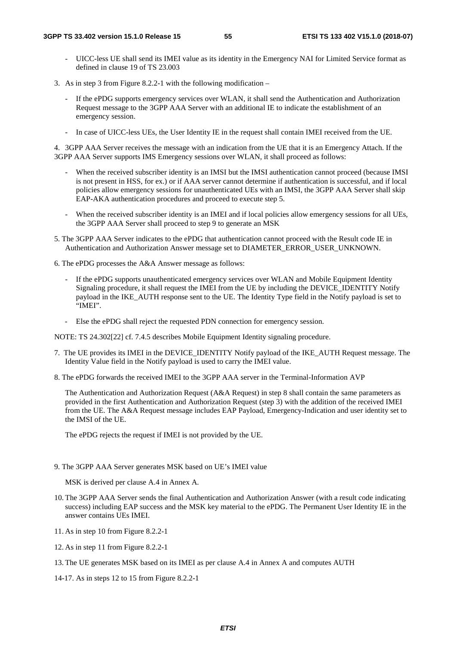- UICC-less UE shall send its IMEI value as its identity in the Emergency NAI for Limited Service format as defined in clause 19 of TS 23.003
- 3. As in step 3 from Figure 8.2.2-1 with the following modification
	- If the ePDG supports emergency services over WLAN, it shall send the Authentication and Authorization Request message to the 3GPP AAA Server with an additional IE to indicate the establishment of an emergency session.
	- In case of UICC-less UEs, the User Identity IE in the request shall contain IMEI received from the UE.

4. 3GPP AAA Server receives the message with an indication from the UE that it is an Emergency Attach. If the 3GPP AAA Server supports IMS Emergency sessions over WLAN, it shall proceed as follows:

- When the received subscriber identity is an IMSI but the IMSI authentication cannot proceed (because IMSI is not present in HSS, for ex.) or if AAA server cannot determine if authentication is successful, and if local policies allow emergency sessions for unauthenticated UEs with an IMSI, the 3GPP AAA Server shall skip EAP-AKA authentication procedures and proceed to execute step 5.
- When the received subscriber identity is an IMEI and if local policies allow emergency sessions for all UEs, the 3GPP AAA Server shall proceed to step 9 to generate an MSK
- 5. The 3GPP AAA Server indicates to the ePDG that authentication cannot proceed with the Result code IE in Authentication and Authorization Answer message set to DIAMETER\_ERROR\_USER\_UNKNOWN.
- 6. The ePDG processes the A&A Answer message as follows:
	- If the ePDG supports unauthenticated emergency services over WLAN and Mobile Equipment Identity Signaling procedure, it shall request the IMEI from the UE by including the DEVICE\_IDENTITY Notify payload in the IKE\_AUTH response sent to the UE. The Identity Type field in the Notify payload is set to "IMEI".
	- Else the ePDG shall reject the requested PDN connection for emergency session.

NOTE: TS 24.302[22] cf. 7.4.5 describes Mobile Equipment Identity signaling procedure.

- 7. The UE provides its IMEI in the DEVICE\_IDENTITY Notify payload of the IKE\_AUTH Request message. The Identity Value field in the Notify payload is used to carry the IMEI value.
- 8. The ePDG forwards the received IMEI to the 3GPP AAA server in the Terminal-Information AVP

The Authentication and Authorization Request (A&A Request) in step 8 shall contain the same parameters as provided in the first Authentication and Authorization Request (step 3) with the addition of the received IMEI from the UE. The A&A Request message includes EAP Payload, Emergency-Indication and user identity set to the IMSI of the UE.

The ePDG rejects the request if IMEI is not provided by the UE.

9. The 3GPP AAA Server generates MSK based on UE's IMEI value

MSK is derived per clause A.4 in Annex A.

- 10. The 3GPP AAA Server sends the final Authentication and Authorization Answer (with a result code indicating success) including EAP success and the MSK key material to the ePDG. The Permanent User Identity IE in the answer contains UEs IMEI.
- 11. As in step 10 from Figure 8.2.2-1
- 12. As in step 11 from Figure 8.2.2-1
- 13. The UE generates MSK based on its IMEI as per clause A.4 in Annex A and computes AUTH
- 14-17. As in steps 12 to 15 from Figure 8.2.2-1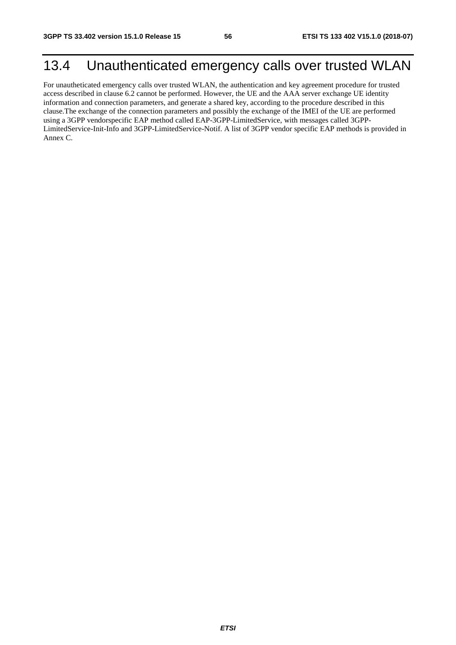## 13.4 Unauthenticated emergency calls over trusted WLAN

For unautheticated emergency calls over trusted WLAN, the authentication and key agreement procedure for trusted access described in clause 6.2 cannot be performed. However, the UE and the AAA server exchange UE identity information and connection parameters, and generate a shared key, according to the procedure described in this clause.The exchange of the connection parameters and possibly the exchange of the IMEI of the UE are performed using a 3GPP vendorspecific EAP method called EAP-3GPP-LimitedService, with messages called 3GPP-LimitedService-Init-Info and 3GPP-LimitedService-Notif. A list of 3GPP vendor specific EAP methods is provided in Annex C.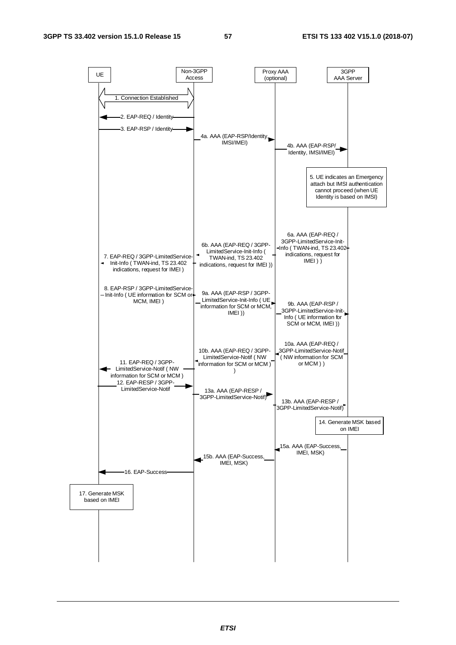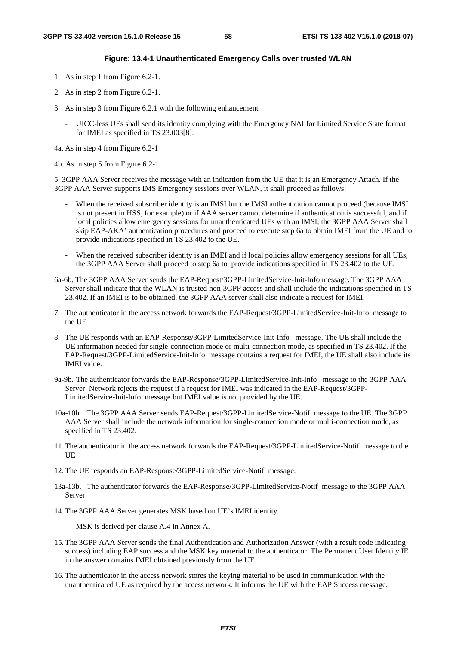#### **Figure: 13.4-1 Unauthenticated Emergency Calls over trusted WLAN**

- 1. As in step 1 from Figure 6.2-1.
- 2. As in step 2 from Figure 6.2-1.
- 3. As in step 3 from Figure 6.2.1 with the following enhancement
	- UICC-less UEs shall send its identity complying with the Emergency NAI for Limited Service State format for IMEI as specified in TS 23.003[8].

4a. As in step 4 from Figure 6.2-1

4b. As in step 5 from Figure 6.2-1.

5. 3GPP AAA Server receives the message with an indication from the UE that it is an Emergency Attach. If the 3GPP AAA Server supports IMS Emergency sessions over WLAN, it shall proceed as follows:

- When the received subscriber identity is an IMSI but the IMSI authentication cannot proceed (because IMSI is not present in HSS, for example) or if AAA server cannot determine if authentication is successful, and if local policies allow emergency sessions for unauthenticated UEs with an IMSI, the 3GPP AAA Server shall skip EAP-AKA' authentication procedures and proceed to execute step 6a to obtain IMEI from the UE and to provide indications specified in TS 23.402 to the UE.
- When the received subscriber identity is an IMEI and if local policies allow emergency sessions for all UEs, the 3GPP AAA Server shall proceed to step 6a to provide indications specified in TS 23.402 to the UE.
- 6a-6b. The 3GPP AAA Server sends the EAP-Request/3GPP-LimitedService-Init-Info message. The 3GPP AAA Server shall indicate that the WLAN is trusted non-3GPP access and shall include the indications specified in TS 23.402. If an IMEI is to be obtained, the 3GPP AAA server shall also indicate a request for IMEI.
- 7. The authenticator in the access network forwards the EAP-Request/3GPP-LimitedService-Init-Info message to the UE
- 8. The UE responds with an EAP-Response/3GPP-LimitedService-Init-Info message. The UE shall include the UE information needed for single-connection mode or multi-connection mode, as specified in TS 23.402. If the EAP-Request/3GPP-LimitedService-Init-Info message contains a request for IMEI, the UE shall also include its IMEI value.
- 9a-9b. The authenticator forwards the EAP-Response/3GPP-LimitedService-Init-Info message to the 3GPP AAA Server. Network rejects the request if a request for IMEI was indicated in the EAP-Request/3GPP-LimitedService-Init-Info message but IMEI value is not provided by the UE.
- 10a-10b The 3GPP AAA Server sends EAP-Request/3GPP-LimitedService-Notif message to the UE. The 3GPP AAA Server shall include the network information for single-connection mode or multi-connection mode, as specified in TS 23.402.
- 11. The authenticator in the access network forwards the EAP-Request/3GPP-LimitedService-Notif message to the **UE**
- 12. The UE responds an EAP-Response/3GPP-LimitedService-Notif message.
- 13a-13b. The authenticator forwards the EAP-Response/3GPP-LimitedService-Notif message to the 3GPP AAA Server.
- 14. The 3GPP AAA Server generates MSK based on UE's IMEI identity.

MSK is derived per clause A.4 in Annex A.

- 15. The 3GPP AAA Server sends the final Authentication and Authorization Answer (with a result code indicating success) including EAP success and the MSK key material to the authenticator. The Permanent User Identity IE in the answer contains IMEI obtained previously from the UE.
- 16. The authenticator in the access network stores the keying material to be used in communication with the unauthenticated UE as required by the access network. It informs the UE with the EAP Success message.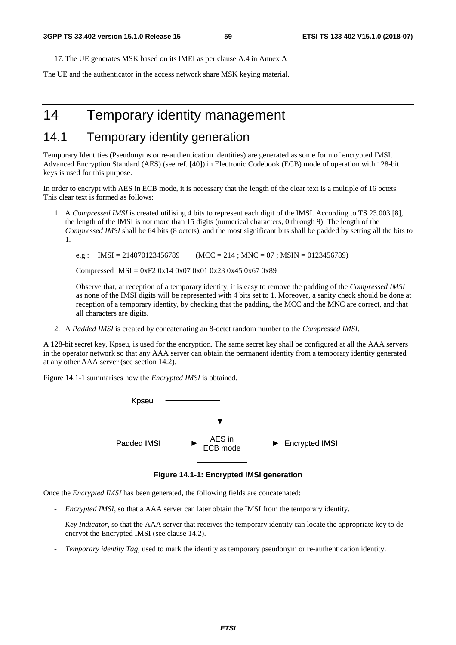17. The UE generates MSK based on its IMEI as per clause A.4 in Annex A

The UE and the authenticator in the access network share MSK keying material.

## 14 Temporary identity management

## 14.1 Temporary identity generation

Temporary Identities (Pseudonyms or re-authentication identities) are generated as some form of encrypted IMSI. Advanced Encryption Standard (AES) (see ref. [40]) in Electronic Codebook (ECB) mode of operation with 128-bit keys is used for this purpose.

In order to encrypt with AES in ECB mode, it is necessary that the length of the clear text is a multiple of 16 octets. This clear text is formed as follows:

1. A *Compressed IMSI* is created utilising 4 bits to represent each digit of the IMSI. According to TS 23.003 [8], the length of the IMSI is not more than 15 digits (numerical characters, 0 through 9). The length of the *Compressed IMSI* shall be 64 bits (8 octets), and the most significant bits shall be padded by setting all the bits to 1.

e.g.:  $IMSI = 214070123456789$   $(MCC = 214 ; MNC = 07 ; MSIN = 0123456789)$ 

Compressed IMSI =  $0xF2 0x14 0x07 0x01 0x23 0x45 0x67 0x89$ 

 Observe that, at reception of a temporary identity, it is easy to remove the padding of the *Compressed IMSI* as none of the IMSI digits will be represented with 4 bits set to 1. Moreover, a sanity check should be done at reception of a temporary identity, by checking that the padding, the MCC and the MNC are correct, and that all characters are digits.

2. A *Padded IMSI* is created by concatenating an 8-octet random number to the *Compressed IMSI*.

A 128-bit secret key, Kpseu, is used for the encryption. The same secret key shall be configured at all the AAA servers in the operator network so that any AAA server can obtain the permanent identity from a temporary identity generated at any other AAA server (see section 14.2).

Figure 14.1-1 summarises how the *Encrypted IMSI* is obtained.



**Figure 14.1-1: Encrypted IMSI generation** 

Once the *Encrypted IMSI* has been generated, the following fields are concatenated:

- *Encrypted IMSI*, so that a AAA server can later obtain the IMSI from the temporary identity.
- *Key Indicator*, so that the AAA server that receives the temporary identity can locate the appropriate key to deencrypt the Encrypted IMSI (see clause 14.2).
- *Temporary identity Tag*, used to mark the identity as temporary pseudonym or re-authentication identity.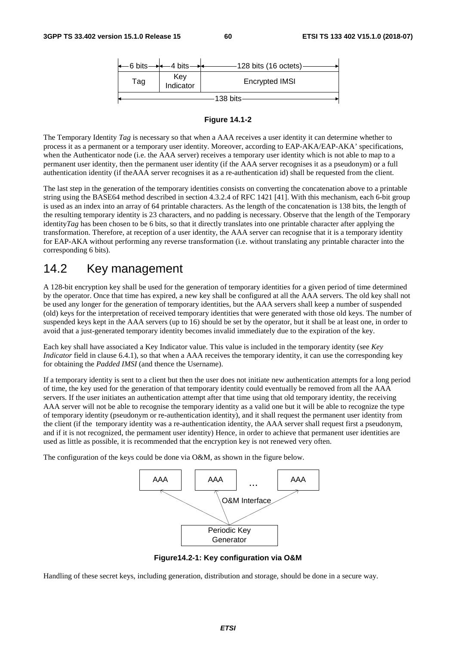



The Temporary Identity *Tag* is necessary so that when a AAA receives a user identity it can determine whether to process it as a permanent or a temporary user identity. Moreover, according to EAP-AKA/EAP-AKA' specifications, when the Authenticator node (i.e. the AAA server) receives a temporary user identity which is not able to map to a permanent user identity, then the permanent user identity (if the AAA server recognises it as a pseudonym) or a full authentication identity (if theAAA server recognises it as a re-authentication id) shall be requested from the client.

The last step in the generation of the temporary identities consists on converting the concatenation above to a printable string using the BASE64 method described in section 4.3.2.4 of RFC 1421 [41]. With this mechanism, each 6-bit group is used as an index into an array of 64 printable characters. As the length of the concatenation is 138 bits, the length of the resulting temporary identity is 23 characters, and no padding is necessary. Observe that the length of the Temporary identity*Tag* has been chosen to be 6 bits, so that it directly translates into one printable character after applying the transformation. Therefore, at reception of a user identity, the AAA server can recognise that it is a temporary identity for EAP-AKA without performing any reverse transformation (i.e. without translating any printable character into the corresponding 6 bits).

## 14.2 Key management

A 128-bit encryption key shall be used for the generation of temporary identities for a given period of time determined by the operator. Once that time has expired, a new key shall be configured at all the AAA servers. The old key shall not be used any longer for the generation of temporary identities, but the AAA servers shall keep a number of suspended (old) keys for the interpretation of received temporary identities that were generated with those old keys. The number of suspended keys kept in the AAA servers (up to 16) should be set by the operator, but it shall be at least one, in order to avoid that a just-generated temporary identity becomes invalid immediately due to the expiration of the key.

Each key shall have associated a Key Indicator value. This value is included in the temporary identity (see *Key Indicator* field in clause 6.4.1), so that when a AAA receives the temporary identity, it can use the corresponding key for obtaining the *Padded IMSI* (and thence the Username).

If a temporary identity is sent to a client but then the user does not initiate new authentication attempts for a long period of time, the key used for the generation of that temporary identity could eventually be removed from all the AAA servers. If the user initiates an authentication attempt after that time using that old temporary identity, the receiving AAA server will not be able to recognise the temporary identity as a valid one but it will be able to recognize the type of temporary identity (pseudonym or re-authentication identity), and it shall request the permanent user identity from the client (if the temporary identity was a re-authentication identity, the AAA server shall request first a pseudonym, and if it is not recognized, the permament user identity) Hence, in order to achieve that permanent user identities are used as little as possible, it is recommended that the encryption key is not renewed very often.

The configuration of the keys could be done via O&M, as shown in the figure below.



**Figure14.2-1: Key configuration via O&M** 

Handling of these secret keys, including generation, distribution and storage, should be done in a secure way.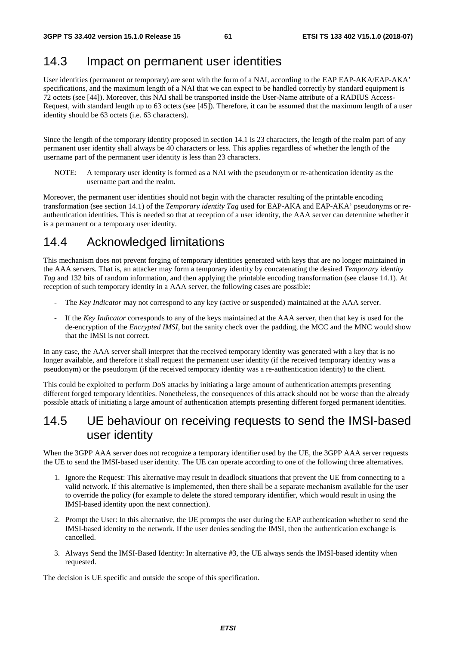### 14.3 Impact on permanent user identities

User identities (permanent or temporary) are sent with the form of a NAI, according to the EAP EAP-AKA/EAP-AKA' specifications, and the maximum length of a NAI that we can expect to be handled correctly by standard equipment is 72 octets (see [44]). Moreover, this NAI shall be transported inside the User-Name attribute of a RADIUS Access-Request, with standard length up to 63 octets (see [45]). Therefore, it can be assumed that the maximum length of a user identity should be 63 octets (i.e. 63 characters).

Since the length of the temporary identity proposed in section 14.1 is 23 characters, the length of the realm part of any permanent user identity shall always be 40 characters or less. This applies regardless of whether the length of the username part of the permanent user identity is less than 23 characters.

NOTE: A temporary user identity is formed as a NAI with the pseudonym or re-athentication identity as the username part and the realm.

Moreover, the permanent user identities should not begin with the character resulting of the printable encoding transformation (see section 14.1) of the *Temporary identity Tag* used for EAP-AKA and EAP-AKA' pseudonyms or reauthentication identities. This is needed so that at reception of a user identity, the AAA server can determine whether it is a permanent or a temporary user identity.

## 14.4 Acknowledged limitations

This mechanism does not prevent forging of temporary identities generated with keys that are no longer maintained in the AAA servers. That is, an attacker may form a temporary identity by concatenating the desired *Temporary identity Tag* and 132 bits of random information, and then applying the printable encoding transformation (see clause 14.1). At reception of such temporary identity in a AAA server, the following cases are possible:

- The *Key Indicator* may not correspond to any key (active or suspended) maintained at the AAA server.
- If the *Key Indicator* corresponds to any of the keys maintained at the AAA server, then that key is used for the de-encryption of the *Encrypted IMSI*, but the sanity check over the padding, the MCC and the MNC would show that the IMSI is not correct.

In any case, the AAA server shall interpret that the received temporary identity was generated with a key that is no longer available, and therefore it shall request the permanent user identity (if the received temporary identity was a pseudonym) or the pseudonym (if the received temporary identity was a re-authentication identity) to the client.

This could be exploited to perform DoS attacks by initiating a large amount of authentication attempts presenting different forged temporary identities. Nonetheless, the consequences of this attack should not be worse than the already possible attack of initiating a large amount of authentication attempts presenting different forged permanent identities.

## 14.5 UE behaviour on receiving requests to send the IMSI-based user identity

When the 3GPP AAA server does not recognize a temporary identifier used by the UE, the 3GPP AAA server requests the UE to send the IMSI-based user identity. The UE can operate according to one of the following three alternatives.

- 1. Ignore the Request: This alternative may result in deadlock situations that prevent the UE from connecting to a valid network. If this alternative is implemented, then there shall be a separate mechanism available for the user to override the policy (for example to delete the stored temporary identifier, which would result in using the IMSI-based identity upon the next connection).
- 2. Prompt the User: In this alternative, the UE prompts the user during the EAP authentication whether to send the IMSI-based identity to the network. If the user denies sending the IMSI, then the authentication exchange is cancelled.
- 3. Always Send the IMSI-Based Identity: In alternative #3, the UE always sends the IMSI-based identity when requested.

The decision is UE specific and outside the scope of this specification.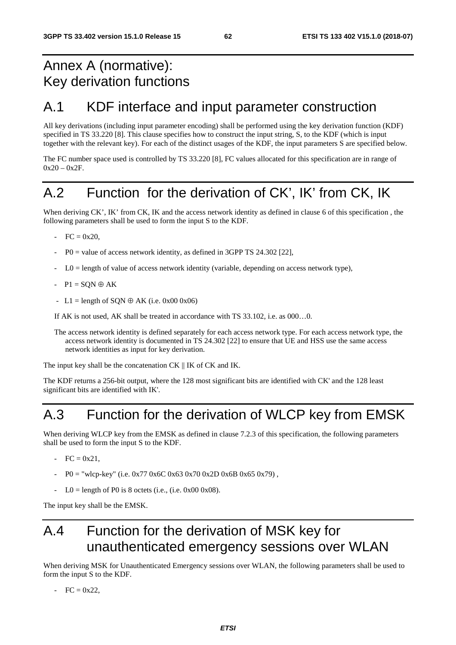## Annex A (normative): Key derivation functions

## A.1 KDF interface and input parameter construction

All key derivations (including input parameter encoding) shall be performed using the key derivation function (KDF) specified in TS 33.220 [8]. This clause specifies how to construct the input string, S, to the KDF (which is input together with the relevant key). For each of the distinct usages of the KDF, the input parameters S are specified below.

The FC number space used is controlled by TS 33.220 [8], FC values allocated for this specification are in range of  $0x20 - 0x2F$ .

## A.2 Function for the derivation of CK', IK' from CK, IK

When deriving CK', IK' from CK, IK and the access network identity as defined in clause 6 of this specification, the following parameters shall be used to form the input S to the KDF.

- $FC = 0x20,$
- $P0 =$  value of access network identity, as defined in 3GPP TS 24.302 [22],
- $LO =$  length of value of access network identity (variable, depending on access network type),
- $-P1 = SQN \oplus AK$
- L1 = length of SON  $\oplus$  AK (i.e. 0x00 0x06)

If AK is not used, AK shall be treated in accordance with TS 33.102, i.e. as 000…0.

The access network identity is defined separately for each access network type. For each access network type, the access network identity is documented in TS 24.302 [22] to ensure that UE and HSS use the same access network identities as input for key derivation.

The input key shall be the concatenation CK  $\parallel$  IK of CK and IK.

The KDF returns a 256-bit output, where the 128 most significant bits are identified with CK' and the 128 least significant bits are identified with IK'.

## A.3 Function for the derivation of WLCP key from EMSK

When deriving WLCP key from the EMSK as defined in clause 7.2.3 of this specification, the following parameters shall be used to form the input S to the KDF.

- $FC = 0x21$ .
- $P0 =$  "wlcp-key" (i.e. 0x77 0x6C 0x63 0x70 0x2D 0x6B 0x65 0x79),
- $LO =$  length of P0 is 8 octets (i.e., (i.e. 0x00 0x08).

The input key shall be the EMSK.

## A.4 Function for the derivation of MSK key for unauthenticated emergency sessions over WLAN

When deriving MSK for Unauthenticated Emergency sessions over WLAN, the following parameters shall be used to form the input S to the KDF.

 $- FC = 0x22$ ,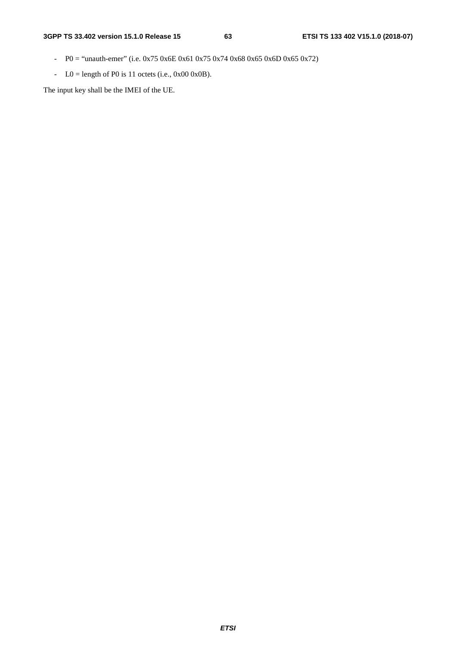- P0 = "unauth-emer" (i.e. 0x75 0x6E 0x61 0x75 0x74 0x68 0x65 0x6D 0x65 0x72)
- $LO =$  length of P0 is 11 octets (i.e., 0x00 0x0B).

The input key shall be the IMEI of the UE.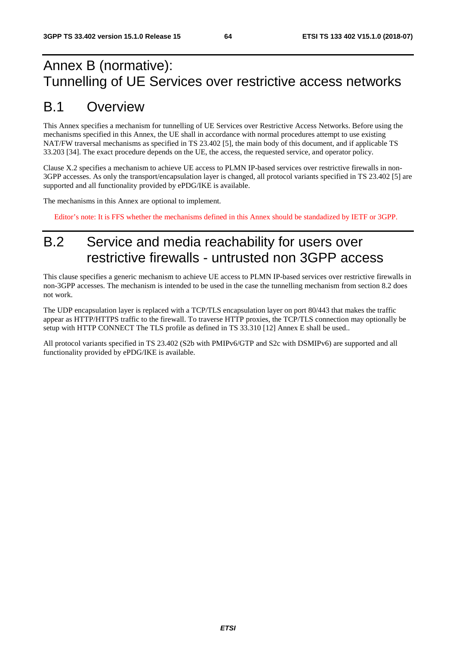## Annex B (normative): Tunnelling of UE Services over restrictive access networks

## B.1 Overview

This Annex specifies a mechanism for tunnelling of UE Services over Restrictive Access Networks. Before using the mechanisms specified in this Annex, the UE shall in accordance with normal procedures attempt to use existing NAT/FW traversal mechanisms as specified in TS 23.402 [5], the main body of this document, and if applicable TS 33.203 [34]. The exact procedure depends on the UE, the access, the requested service, and operator policy.

Clause X.2 specifies a mechanism to achieve UE access to PLMN IP-based services over restrictive firewalls in non-3GPP accesses. As only the transport/encapsulation layer is changed, all protocol variants specified in TS 23.402 [5] are supported and all functionality provided by ePDG/IKE is available.

The mechanisms in this Annex are optional to implement.

Editor's note: It is FFS whether the mechanisms defined in this Annex should be standadized by IETF or 3GPP.

## B.2 Service and media reachability for users over restrictive firewalls - untrusted non 3GPP access

This clause specifies a generic mechanism to achieve UE access to PLMN IP-based services over restrictive firewalls in non-3GPP accesses. The mechanism is intended to be used in the case the tunnelling mechanism from section 8.2 does not work.

The UDP encapsulation layer is replaced with a TCP/TLS encapsulation layer on port 80/443 that makes the traffic appear as HTTP/HTTPS traffic to the firewall. To traverse HTTP proxies, the TCP/TLS connection may optionally be setup with HTTP CONNECT The TLS profile as defined in TS 33.310 [12] Annex E shall be used..

All protocol variants specified in TS 23.402 (S2b with PMIPv6/GTP and S2c with DSMIPv6) are supported and all functionality provided by ePDG/IKE is available.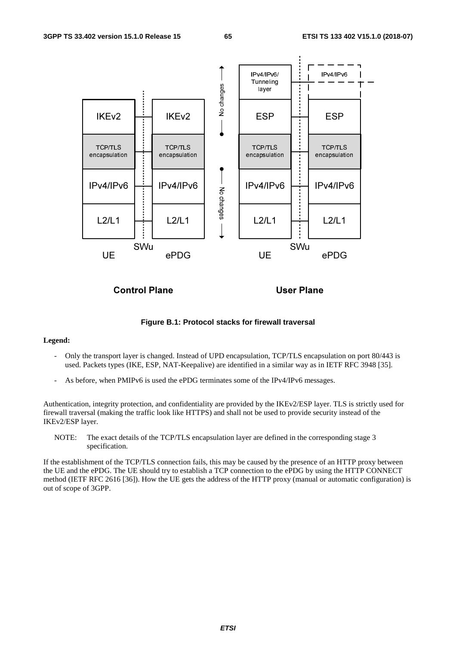

Control Plane

User Plane

**Figure B.1: Protocol stacks for firewall traversal** 

#### **Legend:**

- Only the transport layer is changed. Instead of UPD encapsulation, TCP/TLS encapsulation on port 80/443 is used. Packets types (IKE, ESP, NAT-Keepalive) are identified in a similar way as in IETF RFC 3948 [35].
- As before, when PMIPv6 is used the ePDG terminates some of the IPv4/IPv6 messages.

Authentication, integrity protection, and confidentiality are provided by the IKEv2/ESP layer. TLS is strictly used for firewall traversal (making the traffic look like HTTPS) and shall not be used to provide security instead of the IKEv2/ESP layer.

NOTE: The exact details of the TCP/TLS encapsulation layer are defined in the corresponding stage 3 specification.

If the establishment of the TCP/TLS connection fails, this may be caused by the presence of an HTTP proxy between the UE and the ePDG. The UE should try to establish a TCP connection to the ePDG by using the HTTP CONNECT method (IETF RFC 2616 [36]). How the UE gets the address of the HTTP proxy (manual or automatic configuration) is out of scope of 3GPP.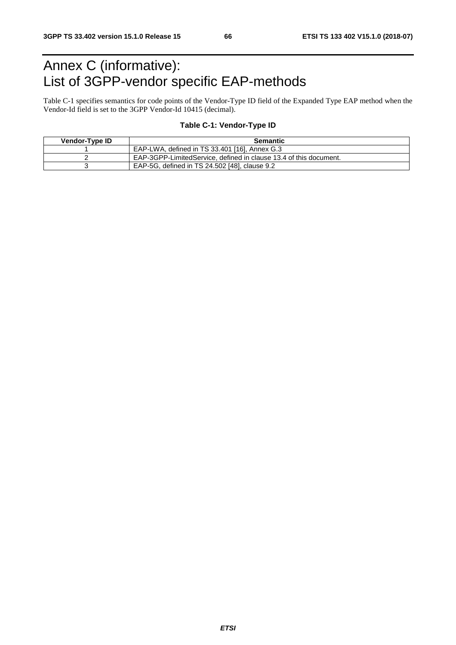## Annex C (informative): List of 3GPP-vendor specific EAP-methods

Table C-1 specifies semantics for code points of the Vendor-Type ID field of the Expanded Type EAP method when the Vendor-Id field is set to the 3GPP Vendor-Id 10415 (decimal).

#### **Table C-1: Vendor-Type ID**

| Vendor-Type ID | <b>Semantic</b>                                                   |
|----------------|-------------------------------------------------------------------|
|                | EAP-LWA, defined in TS 33.401 [16], Annex G.3                     |
|                | EAP-3GPP-LimitedService, defined in clause 13.4 of this document. |
|                | EAP-5G, defined in TS 24.502 [48], clause 9.2                     |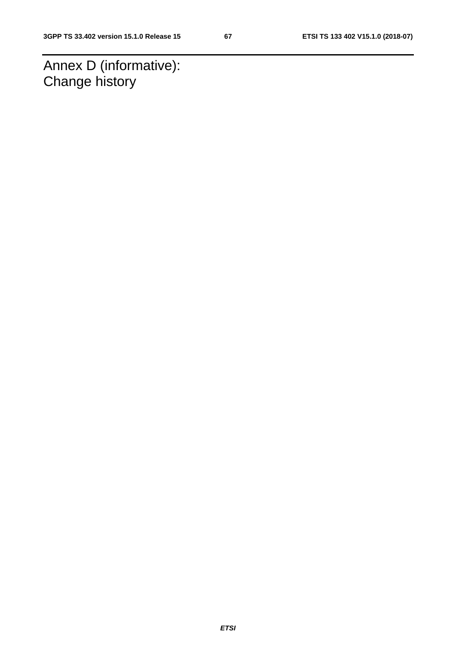Annex D (informative): Change history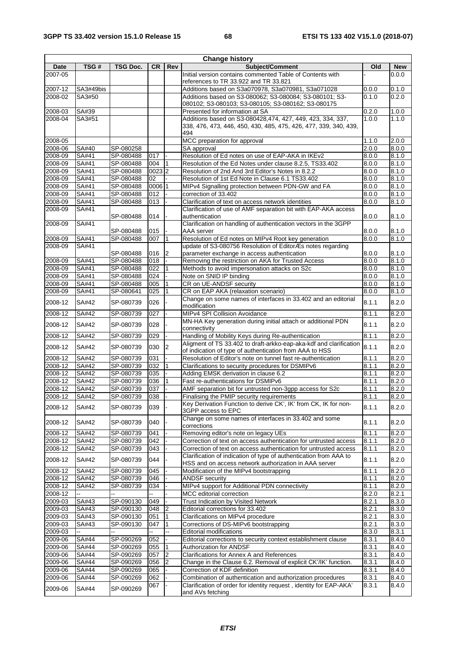| <b>Change history</b> |              |           |           |                |                                                                                                                               |       |            |
|-----------------------|--------------|-----------|-----------|----------------|-------------------------------------------------------------------------------------------------------------------------------|-------|------------|
| Date                  | TSG#         | TSG Doc.  | <b>CR</b> | Rev            | <b>Subject/Comment</b>                                                                                                        | Old   | <b>New</b> |
| 2007-05               |              |           |           |                | Initial version contains commented Table of Contents with<br>references to TR 33.922 and TR 33.821                            |       | 0.0.0      |
| 2007-12               | SA3#49bis    |           |           |                | Additions based on S3a070978, S3a070981, S3a071028                                                                            | 0.0.0 | 0.1.0      |
| 2008-02               | SA3#50       |           |           |                | Additions based on S3-080062; S3-080084; S3-080101; S3-                                                                       | 0.1.0 | 0.2.0      |
|                       |              |           |           |                | 080102; S3-080103; S3-080105; S3-080162; S3-080175                                                                            |       |            |
| 2008-03               | SA#39        |           |           |                | Presented for information at SA                                                                                               | 0.2.0 | 1.0.0      |
| 2008-04               | SA3#51       |           |           |                | Additions based on S3-080428,474, 427, 449, 423, 334, 337,                                                                    | 1.0.0 | 1.1.0      |
|                       |              |           |           |                | 338, 476, 473, 446, 450, 430, 485, 475, 426, 477, 339, 340, 439,<br>494                                                       |       |            |
| 2008-05               |              |           |           |                | MCC preparation for approval                                                                                                  | 1.1.0 | 2.0.0      |
| 2008-06               | SA#40        | SP-080258 |           |                | SA approval                                                                                                                   | 2.0.0 | 8.0.0      |
| 2008-09               | SA#41        | SP-080488 | 017       |                | Resolution of Ed notes on use of EAP-AKA in IKEv2                                                                             | 8.0.0 | 8.1.0      |
| 2008-09               | SA#41        | SP-080488 | 004       |                | Resolution of the Ed Notes under clause 8.2.5, TS33.402                                                                       | 8.0.0 | 8.1.0      |
| 2008-09               | SA#41        | SP-080488 | 0023 2    |                | Resolution of 2nd And 3rd Editor's Notes in 8.2.2                                                                             | 8.0.0 | 8.1.0      |
| 2008-09               | SA#41        | SP-080488 | 02        |                | Resolution of 1st Ed Note in Clause 6.1 TS33.402                                                                              | 8.0.0 | 8.1.0      |
| 2008-09               | SA#41        | SP-080488 | 0006 1    |                | MIPv4 Signalling protection between PDN-GW and FA                                                                             | 8.0.0 | 8.1.0      |
| 2008-09               | SA#41        | SP-080488 | 012       |                | correction of 33.402                                                                                                          | 8.0.0 | 8.1.0      |
| 2008-09               | SA#41        | SP-080488 | 013       |                | Clarification of text on access network identities                                                                            | 8.0.0 | 8.1.0      |
| 2008-09               | SA#41        |           |           |                | Clarification of use of AMF separation bit with EAP-AKA access                                                                |       |            |
| 2008-09               | SA#41        | SP-080488 | 014       |                | authentication<br>Clarification on handling of authentication vectors in the 3GPP                                             | 8.0.0 | 8.1.0      |
|                       |              | SP-080488 | 015       |                | AAA server                                                                                                                    | 8.0.0 | 8.1.0      |
| 2008-09               | SA#41        | SP-080488 | 007       | $\overline{1}$ | Resolution of Ed notes on MIPv4 Root key generation                                                                           | 8.0.0 | 8.1.0      |
| 2008-09               | SA#41        |           |           |                | update of S3-080756 Resolution of EditorÆs notes regarding                                                                    |       |            |
|                       |              | SP-080488 | 016       | 2              | parameter exchange in access authentication                                                                                   | 8.0.0 | 8.1.0      |
| 2008-09               | SA#41        | SP-080488 | 018       |                | Removing the restriction on AKA for Trusted Access                                                                            | 8.0.0 | 8.1.0      |
| 2008-09               | SA#41        | SP-080488 | 022       |                | Methods to avoid impersonation attacks on S2c                                                                                 | 8.0.0 | 8.1.0      |
| 2008-09               | SA#41        | SP-080488 | 024       |                | Note on SNID IP binding                                                                                                       | 8.0.0 | 8.1.0      |
| 2008-09               | SA#41        | SP-080488 | 005       |                | CR on UE-ANDSF security                                                                                                       | 8.0.0 | 8.1.0      |
| 2008-09               | SA#41        | SP-080641 | 025       |                | CR on EAP AKA (relaxation scenario)                                                                                           | 8.0.0 | 8.1.0      |
| 2008-12               | SA#42        | SP-080739 | 026       |                | Change on some names of interfaces in 33.402 and an editorial<br>modification                                                 | 8.1.1 | 8.2.0      |
| 2008-12               | SA#42        | SP-080739 | 027       |                | MIPv4 SPI Collision Avoidance                                                                                                 | 8.1.1 | 8.2.0      |
| 2008-12               | SA#42        | SP-080739 | 028       |                | MN-HA Key generation during initial attach or additional PDN<br>connectivity                                                  | 8.1.1 | 8.2.0      |
| 2008-12               | SA#42        | SP-080739 | 029       |                | Handling of Mobility Keys during Re-authentication                                                                            | 8.1.1 | 8.2.0      |
| 2008-12               | SA#42        | SP-080739 | 030       | $\overline{2}$ | Aligment of TS 33.402 to draft-arkko-eap-aka-kdf and clarification<br>of indication of type of authentication from AAA to HSS | 8.1.1 | 8.2.0      |
| 2008-12               | SA#42        | SP-080739 | 031       |                | Resolution of Editor's note on tunnel fast re-authentication                                                                  | 8.1.1 | 8.2.0      |
| $2008 - 12$           | SA#42        | SP-080739 | 032       |                | Clarifications to security procedures for DSMIPv6                                                                             | 8.1.1 | 8.2.0      |
| 2008-12               | SA#42        | SP-080739 | 035       |                | Adding EMSK derivation in clause 6.2                                                                                          | 8.1.1 | 8.2.0      |
| 2008-12               | SA#42        | SP-080739 | 036       |                | Fast re-authentications for DSMIPv6                                                                                           | 8.1.1 | 8.2.0      |
| 2008-12               | SA#42        | SP-080739 | 037       |                | AMF separation bit for untrusted non-3qpp access for S2c                                                                      | 8.1.1 | 8.2.0      |
| 2008-12               | SA#42        | SP-080739 | 038       |                | Finalising the PMIP security requirements                                                                                     | 8.1.1 | 8.2.0      |
| 2008-12               | SA#42        | SP-080739 | 039       |                | Key Derivation Function to derive CK', IK' from CK, IK for non-<br>3GPP access to EPC                                         | 8.1.1 | 8.2.0      |
| 2008-12               | SA#42        | SP-080739 | 040       |                | Change on some names of interfaces in 33.402 and some<br>corrections                                                          | 8.1.1 | 8.2.0      |
| 2008-12               | SA#42        | SP-080739 | 041       |                | Removing editor's note on legacy UEs                                                                                          | 8.1.1 | 8.2.0      |
| 2008-12               | SA#42        | SP-080739 | 042       |                | Correction of text on access authentication for untrusted access                                                              | 8.1.1 | 8.2.0      |
| $2008 - 12$           | SA#42        | SP-080739 | 043       |                | Correction of text on access authentication for untrusted access                                                              | 8.1.1 | 8.2.0      |
| 2008-12               | SA#42        | SP-080739 | 044       |                | Clarification of indication of type of authentication from AAA to<br>HSS and on access network authorization in AAA server    | 8.1.1 | 8.2.0      |
| 2008-12               | SA#42        | SP-080739 | 045       |                | Modification of the MIPv4 bootstrapping                                                                                       | 8.1.1 | 8.2.0      |
| $2008 - 12$           | <b>SA#42</b> | SP-080739 | 046       |                | <b>ANDSF</b> security                                                                                                         | 8.1.1 | 8.2.0      |
| 2008-12               | SA#42        | SP-080739 | 034       |                | MIPv4 support for Additional PDN connectivity                                                                                 | 8.1.1 | 8.2.0      |
| 2008-12               |              |           |           |                | MCC editorial correction                                                                                                      | 8.2.0 | 8.2.1      |
| 2009-03               | SA#43        | SP-090130 | 049       |                | Trust Indication by Visited Network                                                                                           | 8.2.1 | 8.3.0      |
| 2009-03               | SA#43        | SP-090130 | 048       | $\overline{2}$ | Editorial corrections for 33.402                                                                                              | 8.2.1 | 8.3.0      |
| 2009-03               | SA#43        | SP-090130 | 051       | 11             | Clarifications on MIPv4 procedure                                                                                             | 8.2.1 | 8.3.0      |
| 2009-03               | SA#43        | SP-090130 | 047       |                | Corrections of DS-MIPv6 bootstrapping                                                                                         | 8.2.1 | 8.3.0      |
| 2009-03               |              |           | ц,        | ÷.             | Editorial modifications                                                                                                       | 8.3.0 | 8.3.1      |
| 2009-06               | <b>SA#44</b> | SP-090269 | 052       |                | Editorial corrections to security context establishment clause                                                                | 8.3.1 | 8.4.0      |
| 2009-06               | SA#44        | SP-090269 | 055       |                | Authorization for ANDSF                                                                                                       | 8.3.1 | 8.4.0      |
| 2009-06               | SA#44        | SP-090269 | 057       | 2              | Clarifications for Annex A and References                                                                                     | 8.3.1 | 8.4.0      |
| 2009-06               | SA#44        | SP-090269 | 056       | 2              | Change in the Clause 6.2. Removal of explicit CK'/IK' function.                                                               | 8.3.1 | 8.4.0      |
| 2009-06               | SA#44        | SP-090269 | 065       |                | Correction of KDF definition                                                                                                  | 8.3.1 | 8.4.0      |
| 2009-06               | SA#44        | SP-090269 | 062       |                | Combination of authentication and authorization procedures                                                                    | 8.3.1 | 8.4.0      |
| 2009-06               | SA#44        | SP-090269 | 067       |                | Clarification of order for identity request, identity for EAP-AKA'<br>and AVs fetching                                        | 8.3.1 | 8.4.0      |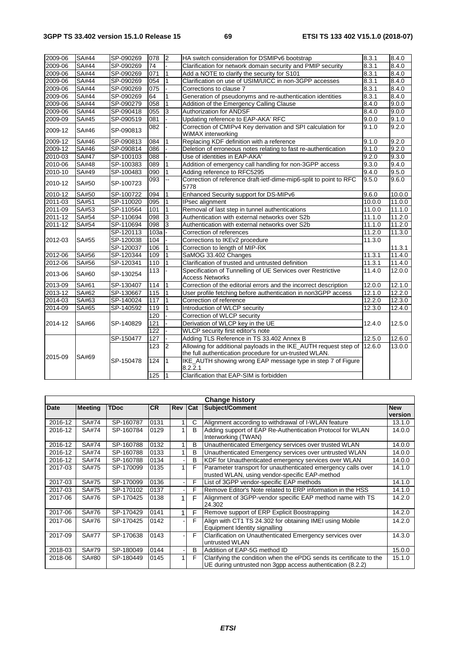| 2009-06 | <b>SA#44</b> | SP-090269 | 078  | <sup>2</sup>   | HA switch consideration for DSMIPv6 bootstrap                                         | 8.3.1  | 8.4.0                |
|---------|--------------|-----------|------|----------------|---------------------------------------------------------------------------------------|--------|----------------------|
| 2009-06 | SA#44        | SP-090269 | 74   |                | Clarification for network domain security and PMIP security                           | 8.3.1  | 8.4.0                |
| 2009-06 | SA#44        | SP-090269 | 071  |                | Add a NOTE to clarify the security for S101                                           | 8.3.1  | 8.4.0                |
| 2009-06 | <b>SA#44</b> | SP-090269 | 054  |                | Clarification on use of USIM/UICC in non-3GPP accesses                                | 8.3.1  | 8.4.0                |
| 2009-06 | SA#44        | SP-090269 | 075  |                | Corrections to clause 7                                                               | 8.3.1  | 8.4.0                |
| 2009-06 | SA#44        | SP-090269 | 64   |                | Generation of pseudonyms and re-authentication identities                             | 8.3.1  | 8.4.0                |
| 2009-06 | SA#44        | SP-090279 | 058  |                | Addition of the Emergency Calling Clause                                              | 8.4.0  | 9.0.0                |
| 2009-06 | <b>SA#44</b> | SP-090418 | 055  | 3              | <b>Authorization for ANDSF</b>                                                        | 8.4.0  | 9.0.0                |
| 2009-09 | SA#45        | SP-090519 | 081  |                | Updating reference to EAP-AKA' RFC                                                    | 9.0.0  | 9.1.0                |
| 2009-12 | SA#46        | SP-090813 | 082  |                | Correction of CMIPv4 Key derivation and SPI calculation for<br>WiMAX interworking     | 9.1.0  | 9.2.0                |
| 2009-12 | SA#46        | SP-090813 | 084  |                | Replacing KDF definition with a reference                                             | 9.1.0  | 9.2.0                |
| 2009-12 | SA#46        | SP-090814 | 086  |                | Deletion of erroneous notes relating to fast re-authentication                        | 9.1.0  | 9.2.0                |
| 2010-03 | <b>SA#47</b> | SP-100103 | 088  |                | Use of identities in EAP-AKA'                                                         | 9.2.0  | 9.3.0                |
| 2010-06 | SA#48        | SP-100383 | 089  |                | Addition of emergency call handling for non-3GPP access                               | 9.3.0  | 9.4.0                |
| 2010-10 | SA#49        | SP-100483 | 090  |                | Adding reference to RFC5295                                                           | 9.4.0  | 9.5.0                |
| 2010-12 | SA#50        | SP-100723 | 093  |                | Correction of reference draft-ietf-dime-mip6-split to point to RFC<br>5778            | 9.5.0  | 9.6.0                |
| 2010-12 | <b>SA#50</b> | SP-100722 | 094  |                | Enhanced Security support for DS-MIPv6                                                | 9.6.0  | 10.0.0               |
| 2011-03 | SA#51        | SP-110020 | 095  |                | IPsec alignment                                                                       | 10.00  | 11.0.0               |
| 2011-09 | SA#53        | SP-110564 | 101  |                | Removal of last step in tunnel authentications<br>11.0.0                              |        | 11.1.0               |
| 2011-12 | SA#54        | SP-110694 | 098  | 3              | Authentication with external networks over S2b<br>11.1.0                              |        | 11.2.0               |
| 2011-12 | SA#54        | SP-110694 | 098  | 3              | Authentication with external networks over S2b<br>11.1.0                              |        | 11.2.0               |
|         |              | SP-120113 | 103a |                | Correction of references                                                              | 11.2.0 | 11.3.0               |
| 2012-03 | SA#55        | SP-120038 | 104  |                | Corrections to IKEv2 procedure                                                        | 11.3.0 |                      |
|         |              | SP-120037 | 106  |                | Correction to length of MIP-RK                                                        |        | 11.3.1               |
| 2012-06 | SA#56        | SP-120344 | 109  |                | SaMOG 33.402 Changes                                                                  | 11.3.1 | 11.4.0               |
| 2012-06 | SA#56        | SP-120341 | 110  |                | Clarification of trusted and untrusted definition                                     | 11.3.1 | 11.4.0               |
| 2013-06 | SA#60        | SP-130254 | 113  |                | Specification of Tunnelling of UE Services over Restrictive<br><b>Access Networks</b> | 11.4.0 | 12.0.0               |
| 2013-09 | SA#61        | SP-130407 | 114  |                | Correction of the editorial errors and the incorrect description                      | 12.0.0 | 12.1.0               |
| 2013-12 | SA#62        | SP-130667 | 115  |                | User profile fetching before authentication in non3GPP access                         | 12.1.0 | 12.2.0               |
| 2014-03 | SA#63        | SP-140024 | 117  |                | Correction of reference                                                               | 12.2.0 | 12.3.0               |
| 2014-09 | SA#65        | SP-140592 | 119  |                | Introduction of WLCP security                                                         | 12.3.0 | 12.4.0               |
|         |              |           | 120  |                | Correction of WLCP security                                                           |        |                      |
| 2014-12 | SA#66        | SP-140829 | 121  |                | Derivation of WLCP key in the UE                                                      | 12.4.0 | 12.5.0               |
|         |              |           | 122  |                | WLCP security first editor's note                                                     |        |                      |
|         |              | SP-150477 | 127  |                | Adding TLS Reference in TS 33.402 Annex B                                             | 12.5.0 | $\overline{1}$ 2.6.0 |
|         |              |           | 123  | 12             | Allowing for additional payloads in the IKE_AUTH request step of                      | 12.6.0 | 13.0.0               |
| 2015-09 | SA#69        |           |      |                | the full authentication procedure for un-trusted WLAN.                                |        |                      |
|         |              | SP-150478 | 124  | $\overline{1}$ | IKE_AUTH showing wrong EAP message type in step 7 of Figure<br>8.2.2.1                |        |                      |
|         |              |           | 125  | 11             | Clarification that EAP-SIM is forbidden                                               |        |                      |

| <b>Change history</b> |                |             |           |            |              |                                                                                                                                   |                       |  |
|-----------------------|----------------|-------------|-----------|------------|--------------|-----------------------------------------------------------------------------------------------------------------------------------|-----------------------|--|
| Date                  | <b>Meeting</b> | <b>TDoc</b> | <b>CR</b> | <b>Rev</b> | <b>Cat</b>   | Subject/Comment                                                                                                                   | <b>New</b><br>version |  |
| 2016-12               | SA#74          | SP-160787   | 0131      |            | C            | Alignment according to withdrawal of I-WLAN feature                                                                               | 13.1.0                |  |
| 2016-12               | SA#74          | SP-160784   | 0129      |            | <sub>B</sub> | Adding support of EAP Re-Authentication Protocol for WLAN<br>Interworking (TWAN)                                                  | 14.0.0                |  |
| 2016-12               | SA#74          | SP-160788   | 0132      |            | B            | Unauthenticated Emergency services over trusted WLAN                                                                              | 14.0.0                |  |
| 2016-12               | SA#74          | SP-160788   | 0133      |            | B            | Unauthenticated Emergency services over untrusted WLAN                                                                            | 14.0.0                |  |
| 2016-12               | SA#74          | SP-160788   | 0134      |            | B            | KDF for Unauthenticated emergency services over WLAN                                                                              | 14.0.0                |  |
| 2017-03               | SA#75          | SP-170099   | 0135      |            | F            | Parameter transport for unauthenticated emergency calls over                                                                      | 14.1.0                |  |
|                       |                |             |           |            |              | trusted WLAN, using vendor-specific EAP-method                                                                                    |                       |  |
| 2017-03               | SA#75          | SP-170099   | 0136      |            | F            | List of 3GPP vendor-specific EAP methods                                                                                          | 14.1.0                |  |
| 2017-03               | SA#75          | SP-170102   | 0137      |            | F            | Remove Editor's Note related to ERP information in the HSS                                                                        | 14.1.0                |  |
| 2017-06               | SA#76          | SP-170425   | 0138      |            | F            | Alignment of 3GPP-vendor specific EAP method name with TS<br>24.302                                                               | 14.2.0                |  |
| 2017-06               | SA#76          | SP-170429   | 0141      |            | F            | Remove support of ERP Explicit Boostrapping                                                                                       | 14.2.0                |  |
| 2017-06               | SA#76          | SP-170425   | 0142      |            | F            | Align with CT1 TS 24.302 for obtaining IMEI using Mobile<br>Equipment Identity signalling                                         | 14.2.0                |  |
| 2017-09               | <b>SA#77</b>   | SP-170638   | 0143      |            | F            | Clarification on Unauthenticated Emergency services over<br>untrusted WLAN                                                        | 14.3.0                |  |
| 2018-03               | SA#79          | SP-180049   | 0144      |            | B            | Addition of EAP-5G method ID                                                                                                      | 15.0.0                |  |
| 2018-06               | SA#80          | SP-180449   | 0145      |            | F            | Clarifying the condition when the ePDG sends its certificate to the<br>UE during untrusted non 3gpp access authentication (8.2.2) | 15.1.0                |  |